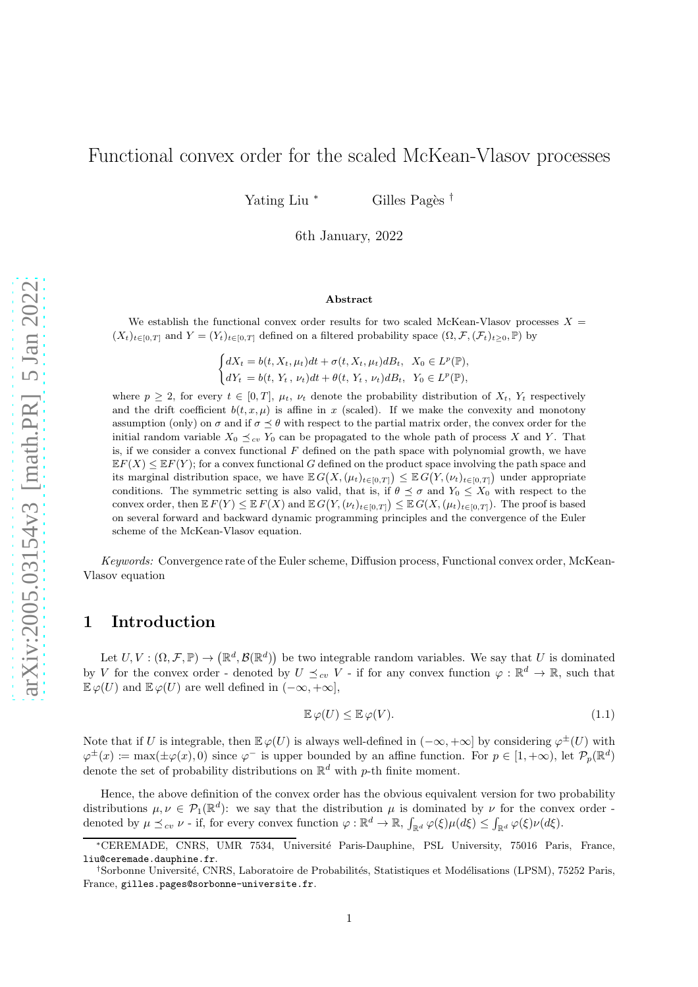# Functional convex order for the scaled McKean-Vlasov processes

Yating Liu <sup>∗</sup> Gilles Pagès <sup>†</sup>

6th January, 2022

#### Abstract

We establish the functional convex order results for two scaled McKean-Vlasov processes  $X =$  $(X_t)_{t\in[0,T]}$  and  $Y = (Y_t)_{t\in[0,T]}$  defined on a filtered probability space  $(\Omega, \mathcal{F}, (\mathcal{F}_t)_{t\geq0}, \mathbb{P})$  by

> $\int dX_t = b(t, X_t, \mu_t)dt + \sigma(t, X_t, \mu_t)dB_t, X_0 \in L^p(\mathbb{P}),$  $dY_t = b(t, Y_t, \nu_t)dt + \theta(t, Y_t, \nu_t)dB_t, Y_0 \in L^p(\mathbb{P}),$

where  $p \geq 2$ , for every  $t \in [0, T]$ ,  $\mu_t$ ,  $\nu_t$  denote the probability distribution of  $X_t$ ,  $Y_t$  respectively and the drift coefficient  $b(t, x, \mu)$  is affine in x (scaled). If we make the convexity and monotony assumption (only) on  $\sigma$  and if  $\sigma \leq \theta$  with respect to the partial matrix order, the convex order for the initial random variable  $X_0 \preceq_{cv} Y_0$  can be propagated to the whole path of process X and Y. That is, if we consider a convex functional  $F$  defined on the path space with polynomial growth, we have  $E\mathbb{E}F(X) \leq E\mathbb{E}F(Y)$ ; for a convex functional G defined on the product space involving the path space and its marginal distribution space, we have  $\mathbb{E} G(X, (\mu_t)_{t \in [0,T]}) \leq \mathbb{E} G(Y, (\nu_t)_{t \in [0,T]})$  under appropriate conditions. The symmetric setting is also valid, that is, if  $\theta \preceq \sigma$  and  $Y_0 \leq X_0$  with respect to the convex order, then  $E F(Y) \le E F(X)$  and  $E G(Y, (\nu_t)_{t \in [0,T]}) \le E G(X, (\mu_t)_{t \in [0,T]})$ . The proof is based on several forward and backward dynamic programming principles and the convergence of the Euler scheme of the McKean-Vlasov equation.

Keywords: Convergence rate of the Euler scheme, Diffusion process, Functional convex order, McKean-Vlasov equation

## 1 Introduction

Let  $U, V: (\Omega, \mathcal{F}, \mathbb{P}) \to (\mathbb{R}^d, \mathcal{B}(\mathbb{R}^d))$  be two integrable random variables. We say that U is dominated by V for the convex order - denoted by  $U \preceq_{cv} V$  - if for any convex function  $\varphi : \mathbb{R}^d \to \mathbb{R}$ , such that  $\mathbb{E}\varphi(U)$  and  $\mathbb{E}\varphi(U)$  are well defined in  $(-\infty, +\infty]$ ,

$$
\mathbb{E}\,\varphi(U) \le \mathbb{E}\,\varphi(V). \tag{1.1}
$$

Note that if U is integrable, then  $\mathbb{E}\varphi(U)$  is always well-defined in  $(-\infty, +\infty]$  by considering  $\varphi^{\pm}(U)$  with  $\varphi^{\pm}(x) := \max(\pm \varphi(x), 0)$  since  $\varphi^{-}$  is upper bounded by an affine function. For  $p \in [1, +\infty)$ , let  $\mathcal{P}_p(\mathbb{R}^d)$ denote the set of probability distributions on  $\mathbb{R}^d$  with p-th finite moment.

Hence, the above definition of the convex order has the obvious equivalent version for two probability distributions  $\mu, \nu \in \mathcal{P}_1(\mathbb{R}^d)$ : we say that the distribution  $\mu$  is dominated by  $\nu$  for the convex order denoted by  $\mu \preceq_{cv} \nu$  - if, for every convex function  $\varphi : \mathbb{R}^d \to \mathbb{R}$ ,  $\int_{\mathbb{R}^d} \varphi(\xi) \mu(d\xi) \leq \int_{\mathbb{R}^d} \varphi(\xi) \nu(d\xi)$ .

<sup>∗</sup>CEREMADE, CNRS, UMR 7534, Universit´e Paris-Dauphine, PSL University, 75016 Paris, France, liu@ceremade.dauphine.fr.

<sup>&</sup>lt;sup>†</sup>Sorbonne Université, CNRS, Laboratoire de Probabilités, Statistiques et Modélisations (LPSM), 75252 Paris, France, gilles.pages@sorbonne-universite.fr.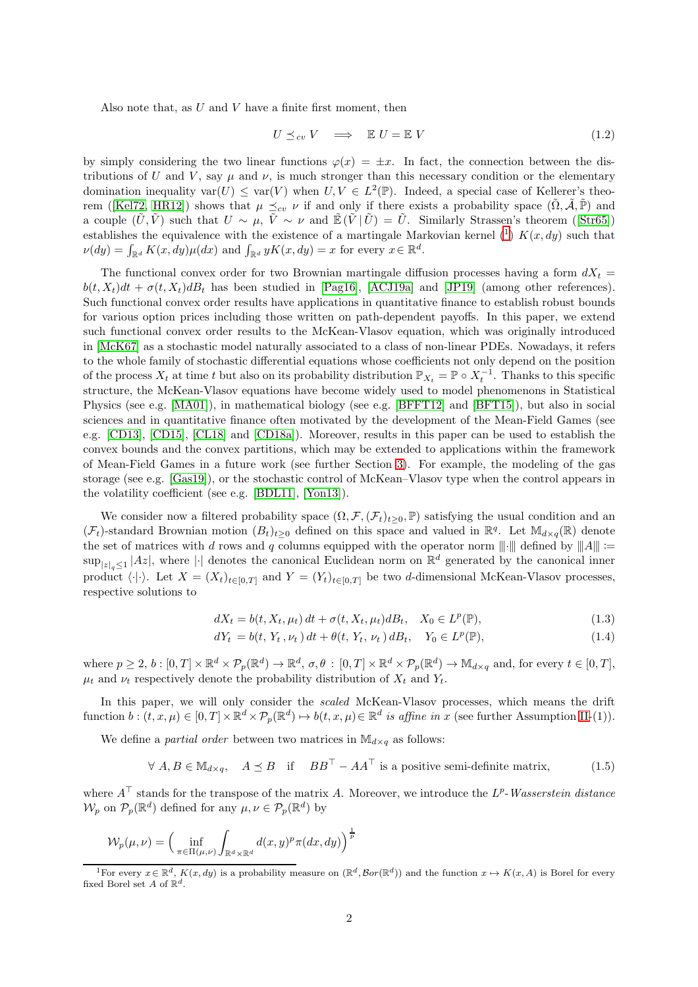Also note that, as  $U$  and  $V$  have a finite first moment, then

<span id="page-1-3"></span>
$$
U \preceq_{cv} V \quad \Longrightarrow \quad \mathbb{E} \ U = \mathbb{E} \ V \tag{1.2}
$$

by simply considering the two linear functions  $\varphi(x) = \pm x$ . In fact, the connection between the distributions of U and V, say  $\mu$  and  $\nu$ , is much stronger than this necessary condition or the elementary domination inequality  $var(U) \leq var(V)$  when  $U, V \in L^2(\mathbb{P})$ . Indeed, a special case of Kellerer's theo-rem ([\[Kel72,](#page-21-0) [HR12\]](#page-21-1)) shows that  $\mu \preceq_{cv} \nu$  if and only if there exists a probability space  $(\tilde{\Omega}, \tilde{\mathcal{A}}, \tilde{\mathbb{P}})$  and a couple  $(\tilde{U}, \tilde{V})$  such that  $U \sim \mu$ ,  $\tilde{V} \sim \nu$  and  $\mathbb{E}(\tilde{V} | \tilde{U}) = U$ . Similarly Strassen's theorem ([\[Str65\]](#page-21-2)) establishes the equivalence with the existence of a martingale Markovian kernel  $\binom{1}{1} K(x, dy)$  $\binom{1}{1} K(x, dy)$  $\binom{1}{1} K(x, dy)$  such that  $\nu(dy) = \int_{\mathbb{R}^d} K(x, dy) \mu(dx)$  and  $\int_{\mathbb{R}^d} yK(x, dy) = x$  for every  $x \in \mathbb{R}^d$ .

The functional convex order for two Brownian martingale diffusion processes having a form  $dX_t =$  $b(t, X_t)dt + \sigma(t, X_t)dB_t$  has been studied in [\[Pag16\]](#page-21-3), [\[ACJ19a\]](#page-20-0) and [\[JP19\]](#page-21-4) (among other references). Such functional convex order results have applications in quantitative finance to establish robust bounds for various option prices including those written on path-dependent payoffs. In this paper, we extend such functional convex order results to the McKean-Vlasov equation, which was originally introduced in [\[McK67\]](#page-21-5) as a stochastic model naturally associated to a class of non-linear PDEs. Nowadays, it refers to the whole family of stochastic differential equations whose coefficients not only depend on the position of the process  $X_t$  at time t but also on its probability distribution  $\mathbb{P}_{X_t} = \mathbb{P} \circ X_t^{-1}$ . Thanks to this specific structure, the McKean-Vlasov equations have become widely used to model phenomenons in Statistical Physics (see e.g. [\[MA01\]](#page-21-6)), in mathematical biology (see e.g. [\[BFFT12\]](#page-20-1) and [\[BFT15\]](#page-20-2)), but also in social sciences and in quantitative finance often motivated by the development of the Mean-Field Games (see e.g. [\[CD13\]](#page-20-3), [\[CD15\]](#page-20-4), [\[CL18\]](#page-21-7) and [\[CD18a\]](#page-20-5)). Moreover, results in this paper can be used to establish the convex bounds and the convex partitions, which may be extended to applications within the framework of Mean-Field Games in a future work (see further Section [3\)](#page-7-0). For example, the modeling of the gas storage (see e.g. [\[Gas19\]](#page-21-8)), or the stochastic control of McKean–Vlasov type when the control appears in the volatility coefficient (see e.g. [\[BDL11\]](#page-20-6), [\[Yon13\]](#page-21-9)).

We consider now a filtered probability space  $(\Omega, \mathcal{F}, (\mathcal{F}_t)_{t\geq 0}, \mathbb{P})$  satisfying the usual condition and an  $(\mathcal{F}_t)$ -standard Brownian motion  $(B_t)_{t\geq 0}$  defined on this space and valued in  $\mathbb{R}^q$ . Let  $\mathbb{M}_{d\times q}(\mathbb{R})$  denote the set of matrices with d rows and q columns equipped with the operator norm  $\|\cdot\|$  defined by  $\|A\| :=$  $\sup_{|z|_q\leq 1} |Az|$ , where  $|\cdot|$  denotes the canonical Euclidean norm on  $\mathbb{R}^d$  generated by the canonical inner product  $\langle \cdot | \cdot \rangle$ . Let  $X = (X_t)_{t \in [0,T]}$  and  $Y = (Y_t)_{t \in [0,T]}$  be two d-dimensional McKean-Vlasov processes, respective solutions to

$$
dX_t = b(t, X_t, \mu_t) dt + \sigma(t, X_t, \mu_t) dB_t, \quad X_0 \in L^p(\mathbb{P}),
$$
\n(1.3)

<span id="page-1-2"></span><span id="page-1-1"></span>
$$
dY_t = b(t, Y_t, \nu_t) dt + \theta(t, Y_t, \nu_t) dB_t, \quad Y_0 \in L^p(\mathbb{P}), \tag{1.4}
$$

where  $p \geq 2$ ,  $b : [0, T] \times \mathbb{R}^d \times \mathcal{P}_p(\mathbb{R}^d) \to \mathbb{R}^d$ ,  $\sigma, \theta : [0, T] \times \mathbb{R}^d \times \mathcal{P}_p(\mathbb{R}^d) \to \mathbb{M}_{d \times q}$  and, for every  $t \in [0, T]$ ,  $\mu_t$  and  $\nu_t$  respectively denote the probability distribution of  $X_t$  and  $Y_t$ .

In this paper, we will only consider the scaled McKean-Vlasov processes, which means the drift function  $b: (t, x, \mu) \in [0, T] \times \mathbb{R}^d \times \mathcal{P}_p(\mathbb{R}^d) \mapsto b(t, x, \mu) \in \mathbb{R}^d$  is affine in x (see further Assumption [II-](#page-2-0)(1)).

We define a *partial order* between two matrices in  $\mathbb{M}_{d \times a}$  as follows:

<span id="page-1-4"></span>
$$
\forall A, B \in \mathbb{M}_{d \times q}, \quad A \preceq B \quad \text{if} \quad BB^{\top} - AA^{\top} \text{ is a positive semi-definite matrix}, \tag{1.5}
$$

where  $A^{\top}$  stands for the transpose of the matrix A. Moreover, we introduce the  $L^{p}$ -Wasserstein distance  $\mathcal{W}_p$  on  $\mathcal{P}_p(\mathbb{R}^d)$  defined for any  $\mu, \nu \in \mathcal{P}_p(\mathbb{R}^d)$  by

$$
\mathcal{W}_p(\mu,\nu) = \left(\inf_{\pi \in \Pi(\mu,\nu)} \int_{\mathbb{R}^d \times \mathbb{R}^d} d(x,y)^p \pi(dx,dy)\right)^{\frac{1}{p}}
$$

<span id="page-1-0"></span><sup>&</sup>lt;sup>1</sup>For every  $x \in \mathbb{R}^d$ ,  $K(x, dy)$  is a probability measure on  $(\mathbb{R}^d, \mathcal{B}or(\mathbb{R}^d))$  and the function  $x \mapsto K(x, A)$  is Borel for every fixed Borel set A of  $\mathbb{R}^d$ .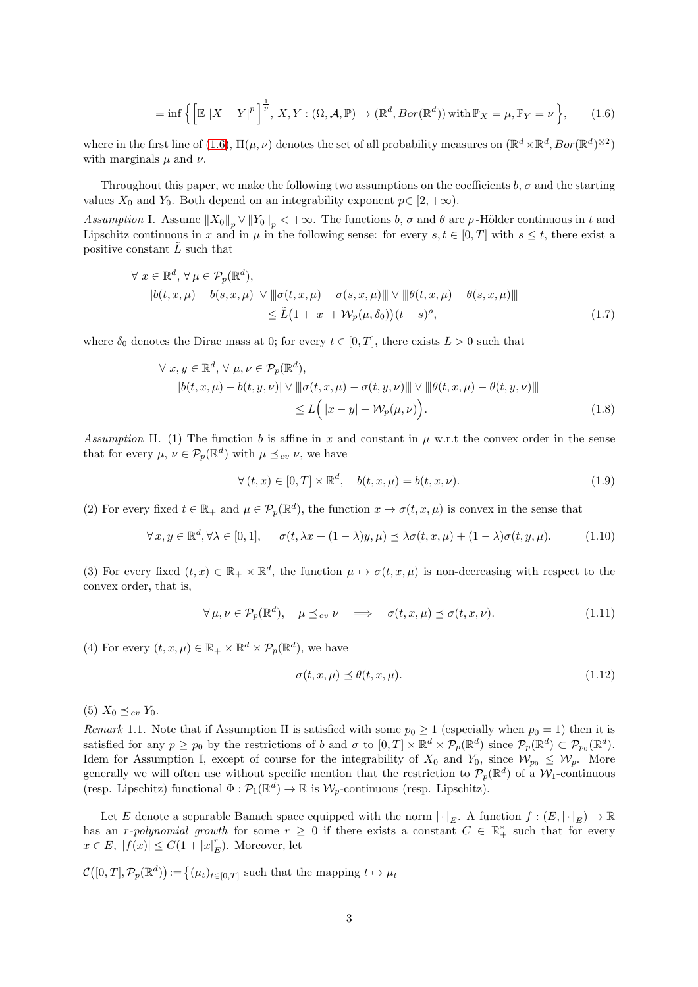<span id="page-2-1"></span>
$$
= \inf \left\{ \left[ \mathbb{E} |X - Y|^p \right]^{\frac{1}{p}}, X, Y : (\Omega, \mathcal{A}, \mathbb{P}) \to (\mathbb{R}^d, \operatorname{Bor}(\mathbb{R}^d)) \text{ with } \mathbb{P}_X = \mu, \mathbb{P}_Y = \nu \right\},\qquad(1.6)
$$

where in the first line of [\(1.6\)](#page-2-1),  $\Pi(\mu, \nu)$  denotes the set of all probability measures on  $(\mathbb{R}^d \times \mathbb{R}^d, Bor(\mathbb{R}^d)^{\otimes 2})$ with marginals  $\mu$  and  $\nu$ .

Throughout this paper, we make the following two assumptions on the coefficients  $b, \sigma$  and the starting values  $X_0$  and  $Y_0$ . Both depend on an integrability exponent  $p \in [2, +\infty)$ .

<span id="page-2-2"></span>Assumption I. Assume  $||X_0||_p \vee ||Y_0||_p < +\infty$ . The functions b,  $\sigma$  and  $\theta$  are  $\rho$ -Hölder continuous in t and Lipschitz continuous in x and in  $\mu$  in the following sense: for every  $s, t \in [0, T]$  with  $s \leq t$ , there exist a positive constant  $\tilde{L}$  such that

$$
\forall x \in \mathbb{R}^d, \forall \mu \in \mathcal{P}_p(\mathbb{R}^d),
$$
  
\n
$$
|b(t, x, \mu) - b(s, x, \mu)| \lor ||\sigma(t, x, \mu) - \sigma(s, x, \mu)|| \lor ||\theta(t, x, \mu) - \theta(s, x, \mu)||
$$
  
\n
$$
\leq \tilde{L}(1 + |x| + \mathcal{W}_p(\mu, \delta_0))(t - s)^{\rho},
$$
\n(1.7)

where  $\delta_0$  denotes the Dirac mass at 0; for every  $t \in [0, T]$ , there exists  $L > 0$  such that

$$
\forall x, y \in \mathbb{R}^d, \forall \mu, \nu \in \mathcal{P}_p(\mathbb{R}^d),
$$
  
\n
$$
|b(t, x, \mu) - b(t, y, \nu)| \lor ||\sigma(t, x, \mu) - \sigma(t, y, \nu)|| \lor ||\theta(t, x, \mu) - \theta(t, y, \nu)||
$$
  
\n
$$
\leq L\Big(|x - y| + \mathcal{W}_p(\mu, \nu)\Big).
$$
\n(1.8)

<span id="page-2-0"></span>Assumption II. (1) The function b is affine in x and constant in  $\mu$  w.r.t the convex order in the sense that for every  $\mu, \nu \in \mathcal{P}_p(\mathbb{R}^d)$  with  $\mu \preceq_{cv} \nu$ , we have

<span id="page-2-4"></span><span id="page-2-3"></span>
$$
\forall (t, x) \in [0, T] \times \mathbb{R}^d, \quad b(t, x, \mu) = b(t, x, \nu). \tag{1.9}
$$

(2) For every fixed  $t \in \mathbb{R}_+$  and  $\mu \in \mathcal{P}_p(\mathbb{R}^d)$ , the function  $x \mapsto \sigma(t, x, \mu)$  is convex in the sense that

$$
\forall x, y \in \mathbb{R}^d, \forall \lambda \in [0, 1], \quad \sigma(t, \lambda x + (1 - \lambda)y, \mu) \leq \lambda \sigma(t, x, \mu) + (1 - \lambda)\sigma(t, y, \mu). \tag{1.10}
$$

(3) For every fixed  $(t, x) \in \mathbb{R}_+ \times \mathbb{R}^d$ , the function  $\mu \mapsto \sigma(t, x, \mu)$  is non-decreasing with respect to the convex order, that is,

<span id="page-2-5"></span>
$$
\forall \mu, \nu \in \mathcal{P}_p(\mathbb{R}^d), \quad \mu \leq_{cv} \nu \quad \Longrightarrow \quad \sigma(t, x, \mu) \leq \sigma(t, x, \nu). \tag{1.11}
$$

(4) For every  $(t, x, \mu) \in \mathbb{R}_+ \times \mathbb{R}^d \times \mathcal{P}_p(\mathbb{R}^d)$ , we have

$$
\sigma(t, x, \mu) \le \theta(t, x, \mu). \tag{1.12}
$$

(5)  $X_0 \preceq_{cv} Y_0$ .

Remark 1.1. Note that if Assumption II is satisfied with some  $p_0 \ge 1$  (especially when  $p_0 = 1$ ) then it is satisfied for any  $p \geq p_0$  by the restrictions of b and  $\sigma$  to  $[0,T] \times \mathbb{R}^d \times \mathcal{P}_p(\mathbb{R}^d)$  since  $\mathcal{P}_p(\mathbb{R}^d) \subset \mathcal{P}_{p_0}(\mathbb{R}^d)$ . Idem for Assumption I, except of course for the integrability of  $X_0$  and  $Y_0$ , since  $\mathcal{W}_{p_0} \leq \mathcal{W}_p$ . More generally we will often use without specific mention that the restriction to  $\mathcal{P}_p(\mathbb{R}^d)$  of a  $\mathcal{W}_1$ -continuous (resp. Lipschitz) functional  $\Phi : \mathcal{P}_1(\mathbb{R}^d) \to \mathbb{R}$  is  $\mathcal{W}_p$ -continuous (resp. Lipschitz).

Let E denote a separable Banach space equipped with the norm  $|\cdot|_E$ . A function  $f:(E, |\cdot|_E) \to \mathbb{R}$ has an r-polynomial growth for some  $r \geq 0$  if there exists a constant  $C \in \mathbb{R}^*_+$  such that for every  $x \in E, |f(x)| \leq C(1 + |x|_F^r)$  $_{E}^{r}$ ). Moreover, let

 $\mathcal{C}([0,T], \mathcal{P}_p(\mathbb{R}^d)) := \big\{(\mu_t)_{t \in [0,T]} \text{ such that the mapping } t \mapsto \mu_t\big\}$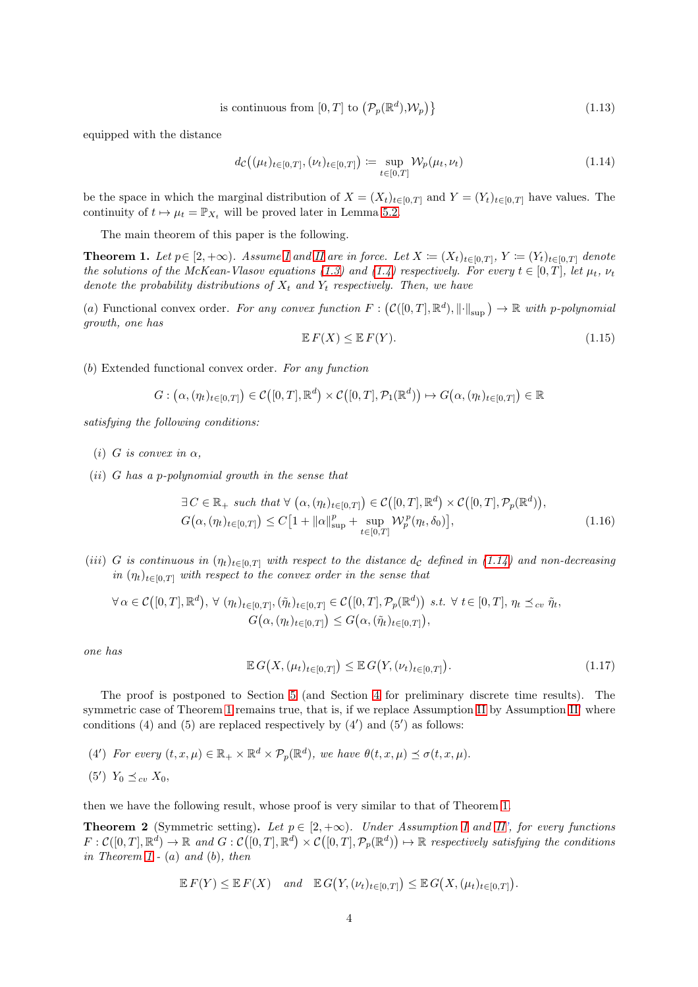is continuous from 
$$
[0, T]
$$
 to  $(\mathcal{P}_p(\mathbb{R}^d), \mathcal{W}_p)$  (1.13)

equipped with the distance

<span id="page-3-0"></span>
$$
d_{\mathcal{C}}((\mu_t)_{t \in [0,T]}, (\nu_t)_{t \in [0,T]}) := \sup_{t \in [0,T]} \mathcal{W}_p(\mu_t, \nu_t)
$$
\n(1.14)

be the space in which the marginal distribution of  $X = (X_t)_{t \in [0,T]}$  and  $Y = (Y_t)_{t \in [0,T]}$  have values. The continuity of  $t \mapsto \mu_t = \mathbb{P}_{X_t}$  will be proved later in Lemma [5.2.](#page-17-0)

The main theorem of this paper is the following.

<span id="page-3-1"></span>**Theorem 1.** Let  $p \in [2, +\infty)$ . Assume [I](#page-2-2) and [II](#page-2-0) are in force. Let  $X := (X_t)_{t \in [0,T]}$ ,  $Y := (Y_t)_{t \in [0,T]}$  denote the solutions of the McKean-Vlasov equations [\(1.3\)](#page-1-1) and [\(1.4\)](#page-1-2) respectively. For every  $t \in [0, T]$ , let  $\mu_t$ ,  $\nu_t$ denote the probability distributions of  $X_t$  and  $Y_t$  respectively. Then, we have

(a) Functional convex order. For any convex function  $F: (C([0,T], \mathbb{R}^d), ||\cdot||_{\text{sup}}) \to \mathbb{R}$  with p-polynomial growth, one has

$$
\mathbb{E}\,F(X) \le \mathbb{E}\,F(Y). \tag{1.15}
$$

(b) Extended functional convex order. For any function

$$
G: (\alpha, (\eta_t)_{t \in [0,T]}) \in \mathcal{C}([0,T],\mathbb{R}^d) \times \mathcal{C}([0,T],\mathcal{P}_1(\mathbb{R}^d)) \mapsto G(\alpha, (\eta_t)_{t \in [0,T]}) \in \mathbb{R}
$$

satisfying the following conditions:

- (i) G is convex in  $\alpha$ ,
- $(ii)$  G has a p-polynomial growth in the sense that

$$
\exists C \in \mathbb{R}_+ \text{ such that } \forall (\alpha, (\eta_t)_{t \in [0,T]}) \in C([0,T], \mathbb{R}^d) \times C([0,T], \mathcal{P}_p(\mathbb{R}^d)),
$$
  

$$
G(\alpha, (\eta_t)_{t \in [0,T]}) \le C[1 + ||\alpha||_{\sup}^p + \sup_{t \in [0,T]} \mathcal{W}_p^p(\eta_t, \delta_0)],
$$
 (1.16)

(iii) G is continuous in  $(\eta_t)_{t\in[0,T]}$  with respect to the distance  $d_c$  defined in [\(1.14\)](#page-3-0) and non-decreasing in  $(\eta_t)_{t\in[0,T]}$  with respect to the convex order in the sense that

$$
\forall \alpha \in \mathcal{C}([0,T],\mathbb{R}^d), \forall (\eta_t)_{t \in [0,T]}, (\tilde{\eta}_t)_{t \in [0,T]} \in \mathcal{C}([0,T],\mathcal{P}_p(\mathbb{R}^d)) \text{ s.t. } \forall t \in [0,T], \eta_t \preceq_{cv} \tilde{\eta}_t, G(\alpha,(\eta_t)_{t \in [0,T]}) \leq G(\alpha,(\tilde{\eta}_t)_{t \in [0,T]}),
$$

one has

<span id="page-3-3"></span>
$$
\mathbb{E} G\big(X, (\mu_t)_{t \in [0,T]}\big) \leq \mathbb{E} G\big(Y, (\nu_t)_{t \in [0,T]}\big). \tag{1.17}
$$

The proof is postponed to Section [5](#page-15-0) (and Section [4](#page-9-0) for preliminary discrete time results). The symmetric case of Theorem [1](#page-3-1) remains true, that is, if we replace Assumption [II](#page-2-0) by Assumption [II'](#page-2-0) where conditions (4) and (5) are replaced respectively by  $(4')$  and  $(5')$  as follows:

(4') For every  $(t, x, \mu) \in \mathbb{R}_+ \times \mathbb{R}^d \times \mathcal{P}_p(\mathbb{R}^d)$ , we have  $\theta(t, x, \mu) \preceq \sigma(t, x, \mu)$ .

$$
(5') Y_0 \preceq_{cv} X_0,
$$

then we have the following result, whose proof is very similar to that of Theorem [1.](#page-3-1)

<span id="page-3-2"></span>**Theorem 2** (Symmetric setting). Let  $p \in [2, +\infty)$ . Under Assumption [I](#page-2-2) and [II'](#page-2-0), for every functions  $F: \mathcal{C}([0,T], \mathbb{R}^d) \to \mathbb{R}$  and  $G: \mathcal{C}([0,T], \mathbb{R}^d) \times \mathcal{C}([0,T], \mathcal{P}_p(\mathbb{R}^d)) \mapsto \mathbb{R}$  respectively satisfying the conditions in Theorem  $1 - (a)$  and  $(b)$ , then

$$
\mathbb{E} F(Y) \leq \mathbb{E} F(X) \quad and \quad \mathbb{E} G(Y, (\nu_t)_{t \in [0,T]}) \leq \mathbb{E} G(X, (\mu_t)_{t \in [0,T]}).
$$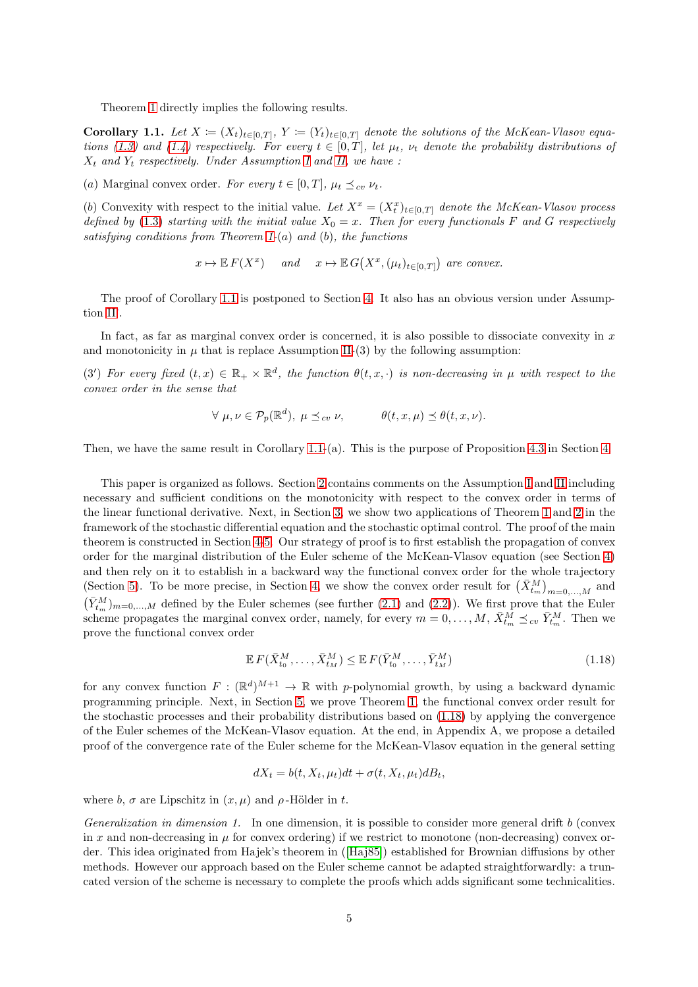Theorem [1](#page-3-1) directly implies the following results.

<span id="page-4-0"></span>**Corollary 1.1.** Let  $X = (X_t)_{t \in [0,T]}, Y = (Y_t)_{t \in [0,T]}$  denote the solutions of the McKean-Vlasov equa-tions [\(1.3\)](#page-1-1) and [\(1.4\)](#page-1-2) respectively. For every  $t \in [0,T]$ , let  $\mu_t$ ,  $\nu_t$  denote the probability distributions of  $X_t$  and  $Y_t$  respectively. Under Assumption [I](#page-2-2) and [II,](#page-2-0) we have :

(a) Marginal convex order. For every  $t \in [0, T]$ ,  $\mu_t \preceq_{cv} \nu_t$ .

(b) Convexity with respect to the initial value. Let  $X^x = (X_t^x)_{t \in [0,T]}$  denote the McKean-Vlasov process defined by [\(1.3\)](#page-1-1) starting with the initial value  $X_0 = x$ . Then for every functionals F and G respectively satisfying conditions from Theorem [1-](#page-3-1)(a) and (b), the functions

$$
x \mapsto \mathbb{E} F(X^x)
$$
 and  $x \mapsto \mathbb{E} G(X^x, (\mu_t)_{t \in [0,T]})$  are convex.

The proof of Corollary [1.1](#page-4-0) is postponed to Section [4.](#page-9-0) It also has an obvious version under Assumption [II'](#page-2-0).

In fact, as far as marginal convex order is concerned, it is also possible to dissociate convexity in  $x$ and monotonicity in  $\mu$  that is replace Assumption [II-](#page-2-0)(3) by the following assumption:

(3') For every fixed  $(t, x) \in \mathbb{R}_+ \times \mathbb{R}^d$ , the function  $\theta(t, x, \cdot)$  is non-decreasing in  $\mu$  with respect to the convex order in the sense that

$$
\forall \mu, \nu \in \mathcal{P}_p(\mathbb{R}^d), \mu \leq_{cv} \nu, \qquad \theta(t, x, \mu) \leq \theta(t, x, \nu).
$$

Then, we have the same result in Corollary [1.1-](#page-4-0)(a). This is the purpose of Proposition [4.3](#page-12-0) in Section [4.](#page-9-0)

This paper is organized as follows. Section [2](#page-5-0) contains comments on the Assumption [I](#page-2-2) and [II](#page-2-0) including necessary and sufficient conditions on the monotonicity with respect to the convex order in terms of the linear functional derivative. Next, in Section [3,](#page-7-0) we show two applications of Theorem [1](#page-3-1) and [2](#page-3-2) in the framework of the stochastic differential equation and the stochastic optimal control. The proof of the main theorem is constructed in Section [4](#page-9-0)[-5.](#page-15-0) Our strategy of proof is to first establish the propagation of convex order for the marginal distribution of the Euler scheme of the McKean-Vlasov equation (see Section [4\)](#page-9-0) and then rely on it to establish in a backward way the functional convex order for the whole trajectory (Section [5\)](#page-15-0). To be more precise, in Section [4,](#page-9-0) we show the convex order result for  $(\bar{X}_{t_m}^M)_{m=0,\dots,M}$  and  $(\bar{Y}_{t_m}^M)_{m=0,\ldots,M}$  defined by the Euler schemes (see further [\(2.1\)](#page-5-1) and [\(2.2\)](#page-5-2)). We first prove that the Euler scheme propagates the marginal convex order, namely, for every  $m = 0, \ldots, M$ ,  $\bar{X}_{t_m}^M \preceq_{cv} \bar{Y}_{t_m}^M$ . Then we prove the functional convex order

<span id="page-4-1"></span>
$$
\mathbb{E}\,F(\bar{X}_{t_0}^M,\ldots,\bar{X}_{t_M}^M) \leq \mathbb{E}\,F(\bar{Y}_{t_0}^M,\ldots,\bar{Y}_{t_M}^M) \tag{1.18}
$$

for any convex function  $F: (\mathbb{R}^d)^{M+1} \to \mathbb{R}$  with p-polynomial growth, by using a backward dynamic programming principle. Next, in Section [5,](#page-15-0) we prove Theorem [1,](#page-3-1) the functional convex order result for the stochastic processes and their probability distributions based on [\(1.18\)](#page-4-1) by applying the convergence of the Euler schemes of the McKean-Vlasov equation. At the end, in Appendix A, we propose a detailed proof of the convergence rate of the Euler scheme for the McKean-Vlasov equation in the general setting

$$
dX_t = b(t, X_t, \mu_t)dt + \sigma(t, X_t, \mu_t)dB_t,
$$

where b,  $\sigma$  are Lipschitz in  $(x, \mu)$  and  $\rho$ -Hölder in t.

Generalization in dimension 1. In one dimension, it is possible to consider more general drift  $b$  (convex in x and non-decreasing in  $\mu$  for convex ordering) if we restrict to monotone (non-decreasing) convex order. This idea originated from Hajek's theorem in ([\[Haj85\]](#page-21-10)) established for Brownian diffusions by other methods. However our approach based on the Euler scheme cannot be adapted straightforwardly: a truncated version of the scheme is necessary to complete the proofs which adds significant some technicalities.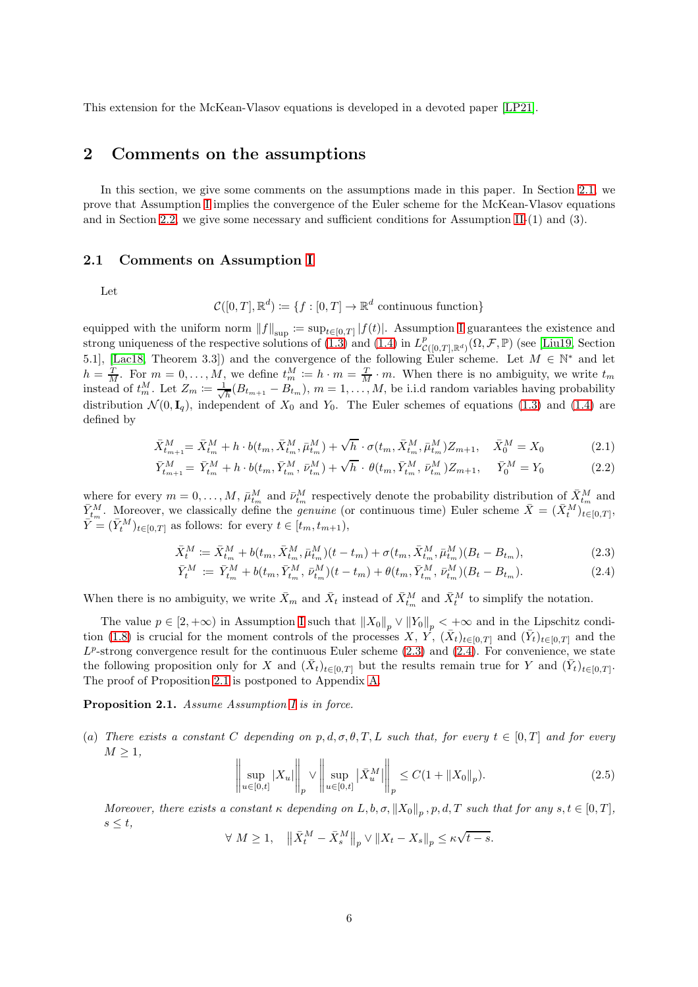<span id="page-5-0"></span>This extension for the McKean-Vlasov equations is developed in a devoted paper [\[LP21\]](#page-21-11).

### 2 Comments on the assumptions

In this section, we give some comments on the assumptions made in this paper. In Section [2.1,](#page-5-3) we prove that Assumption [I](#page-2-2) implies the convergence of the Euler scheme for the McKean-Vlasov equations and in Section [2.2,](#page-6-0) we give some necessary and sufficient conditions for Assumption [II-](#page-2-0)(1) and (3).

#### <span id="page-5-3"></span>2.1 Comments on Assumption [I](#page-2-2)

Let

<span id="page-5-2"></span><span id="page-5-1"></span>
$$
\mathcal{C}([0,T],\mathbb{R}^d) \coloneqq \{f:[0,T] \to \mathbb{R}^d \text{ continuous function}\}
$$

equipped with the uniform norm  $||f||_{\sup} := \sup_{t \in [0,T]} |f(t)|$ . Assumption [I](#page-2-2) guarantees the existence and strong uniqueness of the respective solutions of [\(1.3\)](#page-1-1) and [\(1.4\)](#page-1-2) in  $L^p_{\mathcal{C}([0,T],\mathbb{R}^d)}(\Omega,\mathcal{F},\mathbb{P})$  (see [\[Liu19,](#page-21-12) Section] 5.1], [\[Lac18,](#page-21-13) Theorem 3.3]) and the convergence of the following Euler scheme. Let  $M \in \mathbb{N}^*$  and let  $h = \frac{T}{M}$ . For  $m = 0, \ldots, M$ , we define  $t_m^M := h \cdot m = \frac{T}{M} \cdot m$ . When there is no ambiguity, we write  $t_m$ instead of  $t_m^M$ . Let  $Z_m \coloneqq \frac{1}{\sqrt{2}}$  $\frac{1}{h}(B_{t_{m+1}}-B_{t_m}), m=1,\ldots,M$ , be i.i.d random variables having probability distribution  $\mathcal{N}(0, \mathbf{I}_q)$ , independent of  $X_0$  and  $Y_0$ . The Euler schemes of equations [\(1.3\)](#page-1-1) and [\(1.4\)](#page-1-2) are defined by

$$
\bar{X}_{t_{m+1}}^M = \bar{X}_{t_m}^M + h \cdot b(t_m, \bar{X}_{t_m}^M, \bar{\mu}_{t_m}^M) + \sqrt{h} \cdot \sigma(t_m, \bar{X}_{t_m}^M, \bar{\mu}_{t_m}^M) Z_{m+1}, \quad \bar{X}_0^M = X_0 \tag{2.1}
$$

$$
\bar{Y}_{t_{m+1}}^M = \bar{Y}_{t_m}^M + h \cdot b(t_m, \bar{Y}_{t_m}^M, \bar{\nu}_{t_m}^M) + \sqrt{h} \cdot \theta(t_m, \bar{Y}_{t_m}^M, \bar{\nu}_{t_m}^M) Z_{m+1}, \quad \bar{Y}_0^M = Y_0
$$
\n(2.2)

where for every  $m = 0, \ldots, M$ ,  $\bar{\mu}_{t_m}^M$  and  $\bar{\nu}_{t_m}^M$  respectively denote the probability distribution of  $\bar{X}_{t_m}^M$  and  $\bar{Y}_{t_m}^M$ . Moreover, we classically define the *genuine* (or continuous time) Euler scheme  $\bar{X} = (\bar{X}_t^M)_{t \in [0,T]}^{\dots}$  $\overline{Y}^m = (\overline{Y}^M_t)_{t \in [0,T]}$  as follows: for every  $t \in [t_m, t_{m+1}),$ 

$$
\bar{X}_t^M := \bar{X}_{t_m}^M + b(t_m, \bar{X}_{t_m}^M, \bar{\mu}_{t_m}^M)(t - t_m) + \sigma(t_m, \bar{X}_{t_m}^M, \bar{\mu}_{t_m}^M)(B_t - B_{t_m}),
$$
\n(2.3)

<span id="page-5-4"></span>
$$
\bar{Y}_t^M := \bar{Y}_{t_m}^M + b(t_m, \bar{Y}_{t_m}^M, \bar{\nu}_{t_m}^M)(t - t_m) + \theta(t_m, \bar{Y}_{t_m}^M, \bar{\nu}_{t_m}^M)(B_t - B_{t_m}).
$$
\n(2.4)

When there is no ambiguity, we write  $\bar{X}_m$  and  $\bar{X}_t$  instead of  $\bar{X}_{t_m}^M$  and  $\bar{X}_t^M$  to simplify the notation.

The value  $p \in [2, +\infty)$  in Assumption [I](#page-2-2) such that  $||X_0||_p \vee ||Y_0||_p < +\infty$  and in the Lipschitz condi-tion [\(1.8\)](#page-2-3) is crucial for the moment controls of the processes  $X, Y, (\bar{X}_t)_{t \in [0,T]}$  and  $(\bar{Y}_t)_{t \in [0,T]}$  and the  $L^p$ -strong convergence result for the continuous Euler scheme  $(2.3)$  and  $(2.4)$ . For convenience, we state the following proposition only for X and  $(\bar{X}_t)_{t\in[0,T]}$  but the results remain true for Y and  $(\bar{Y}_t)_{t\in[0,T]}$ . The proof of Proposition [2.1](#page-5-6) is postponed to Appendix [A.](#page-22-0)

<span id="page-5-6"></span>Proposition 2.1. Assume Assumption [I](#page-2-2) is in force.

(a) There exists a constant C depending on p, d,  $\sigma$ ,  $\theta$ , T, L such that, for every  $t \in [0, T]$  and for every  $M \geq 1$ ,

<span id="page-5-7"></span><span id="page-5-5"></span>
$$
\left\| \sup_{u \in [0,t]} |X_u| \right\|_p \vee \left\| \sup_{u \in [0,t]} |\bar{X}_u^M| \right\|_p \le C(1 + \|X_0\|_p). \tag{2.5}
$$

Moreover, there exists a constant  $\kappa$  depending on  $L, b, \sigma, \|X_0\|_p$ ,  $p, d, T$  such that for any  $s, t \in [0, T]$ ,  $s \leq t$ ,

 $\forall M \geq 1, \quad \left\| \bar{X}_{t}^{M} - \bar{X}_{s}^{M} \right\|_{p} \vee \left\| X_{t} - X_{s} \right\|_{p} \leq \kappa \sqrt{t - s}.$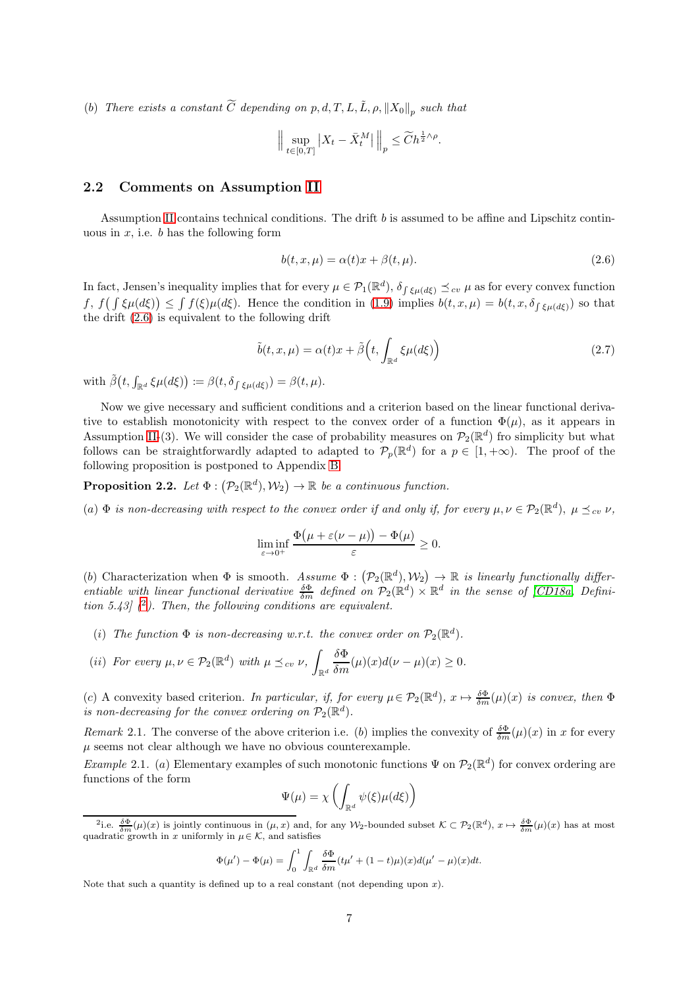(b) There exists a constant  $\widetilde{C}$  depending on p, d, T, L,  $\widetilde{L}$ ,  $\rho$ ,  $||X_0||_p$  such that

$$
\Big\|\sup_{t\in[0,T]}\big|X_t-\bar{X}^M_t\big|\,\Big\|_p\leq \widetilde{C}h^{\frac{1}{2}\wedge\rho}.
$$

#### <span id="page-6-0"></span>2.2 Comments on Assumption [II](#page-2-0)

Assumption [II](#page-2-0) contains technical conditions. The drift b is assumed to be affine and Lipschitz continuous in  $x$ , i.e.  $b$  has the following form

<span id="page-6-1"></span>
$$
b(t, x, \mu) = \alpha(t)x + \beta(t, \mu). \tag{2.6}
$$

In fact, Jensen's inequality implies that for every  $\mu \in \mathcal{P}_1(\mathbb{R}^d)$ ,  $\delta_{\int \xi \mu(d\xi)} \preceq_{cv} \mu$  as for every convex function  $f, f(\int \xi \mu(d\xi)) \leq \int f(\xi) \mu(d\xi)$ . Hence the condition in (1.[9\)](#page-2-4) implies  $b(t, x, \mu) = b(t, x, \delta_{\int \xi \mu(d\xi))}$  so that the drift [\(2.6\)](#page-6-1) is equivalent to the following drift

$$
\tilde{b}(t,x,\mu) = \alpha(t)x + \tilde{\beta}\left(t, \int_{\mathbb{R}^d} \xi \mu(d\xi)\right)
$$
\n(2.7)

with  $\tilde{\beta}(t, \int_{\mathbb{R}^d} \xi \mu(d\xi)) \coloneqq \beta(t, \delta_{\int \xi \mu(d\xi)}) = \beta(t, \mu).$ 

Now we give necessary and sufficient conditions and a criterion based on the linear functional derivative to establish monotonicity with respect to the convex order of a function  $\Phi(\mu)$ , as it appears in Assumption [II-](#page-2-0)(3). We will consider the case of probability measures on  $\mathcal{P}_2(\mathbb{R}^d)$  fro simplicity but what follows can be straightforwardly adapted to adapted to  $\mathcal{P}_p(\mathbb{R}^d)$  for a  $p \in [1, +\infty)$ . The proof of the following proposition is postponed to Appendix [B.](#page-29-0)

<span id="page-6-3"></span>**Proposition 2.2.** Let  $\Phi : (\mathcal{P}_2(\mathbb{R}^d), \mathcal{W}_2) \to \mathbb{R}$  be a continuous function.

(a)  $\Phi$  is non-decreasing with respect to the convex order if and only if, for every  $\mu, \nu \in \mathcal{P}_2(\mathbb{R}^d)$ ,  $\mu \preceq_{cv} \nu$ ,

$$
\liminf_{\varepsilon \to 0^+} \frac{\Phi\big(\mu + \varepsilon(\nu - \mu)\big) - \Phi(\mu)}{\varepsilon} \ge 0.
$$

(b) Characterization when  $\Phi$  is smooth. Assume  $\Phi : (\mathcal{P}_2(\mathbb{R}^d), \mathcal{W}_2) \to \mathbb{R}$  is linearly functionally differentiable with linear functional derivative  $\frac{\delta \Phi}{\delta m}$  defined on  $\mathcal{P}_2(\mathbb{R}^d) \times \mathbb{R}^d$  in the sense of [\[CD18a,](#page-20-5) Definition 5.43]  $(2)$  $(2)$  $(2)$ . Then, the following conditions are equivalent.

(i) The function  $\Phi$  is non-decreasing w.r.t. the convex order on  $\mathcal{P}_2(\mathbb{R}^d)$ .

(ii) For every 
$$
\mu, \nu \in \mathcal{P}_2(\mathbb{R}^d)
$$
 with  $\mu \preceq_{cv} \nu$ ,  $\int_{\mathbb{R}^d} \frac{\delta \Phi}{\delta m}(\mu)(x) d(\nu - \mu)(x) \ge 0$ .

(c) A convexity based criterion. In particular, if, for every  $\mu \in \mathcal{P}_2(\mathbb{R}^d)$ ,  $x \mapsto \frac{\delta \Phi}{\delta m}(\mu)(x)$  is convex, then  $\Phi$ is non-decreasing for the convex ordering on  $\mathcal{P}_2(\mathbb{R}^d)$ .

Remark 2.1. The converse of the above criterion i.e. (b) implies the convexity of  $\frac{\delta \Phi}{\delta m}(\mu)(x)$  in x for every  $\mu$  seems not clear although we have no obvious counterexample.

Example 2.1. (a) Elementary examples of such monotonic functions  $\Psi$  on  $\mathcal{P}_2(\mathbb{R}^d)$  for convex ordering are functions of the form

$$
\Psi(\mu) = \chi \left( \int_{\mathbb{R}^d} \psi(\xi) \mu(d\xi) \right)
$$

$$
\Phi(\mu') - \Phi(\mu) = \int_0^1 \int_{\mathbb{R}^d} \frac{\delta \Phi}{\delta m} (t\mu' + (1-t)\mu)(x) d(\mu' - \mu)(x) dt.
$$

Note that such a quantity is defined up to a real constant (not depending upon  $x$ ).

<span id="page-6-2"></span><sup>&</sup>lt;sup>2</sup>i.e.  $\frac{\delta \Phi}{\delta m}(\mu)(x)$  is jointly continuous in  $(\mu, x)$  and, for any W<sub>2</sub>-bounded subset  $\mathcal{K} \subset \mathcal{P}_2(\mathbb{R}^d)$ ,  $x \mapsto \frac{\delta \Phi}{\delta m}(\mu)(x)$  has at most quadratic growth in x uniformly in  $\mu \in \mathcal{K}$ , and satisfies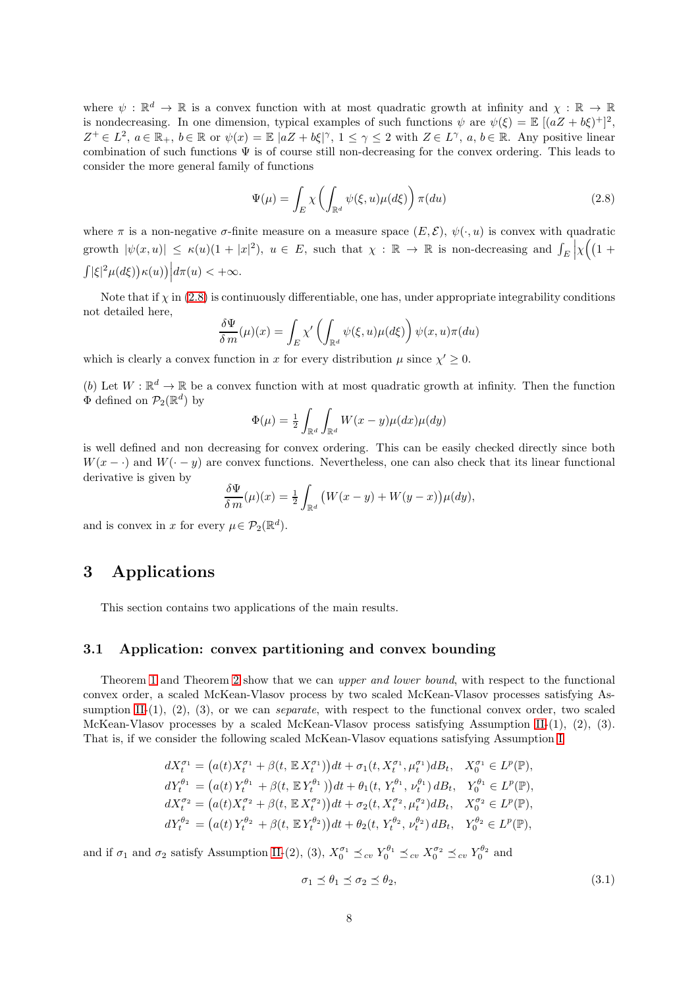where  $\psi : \mathbb{R}^d \to \mathbb{R}$  is a convex function with at most quadratic growth at infinity and  $\chi : \mathbb{R} \to \mathbb{R}$ is nondecreasing. In one dimension, typical examples of such functions  $\psi$  are  $\psi(\xi) = \mathbb{E}[(aZ + b\xi)^+]^2$ ,  $Z^+ \in L^2$ ,  $a \in \mathbb{R}_+$ ,  $b \in \mathbb{R}$  or  $\psi(x) = \mathbb{E} |aZ + b\xi|^{\gamma}$ ,  $1 \leq \gamma \leq 2$  with  $Z \in L^{\gamma}$ ,  $a, b \in \mathbb{R}$ . Any positive linear combination of such functions  $\Psi$  is of course still non-decreasing for the convex ordering. This leads to consider the more general family of functions

<span id="page-7-1"></span>
$$
\Psi(\mu) = \int_{E} \chi \left( \int_{\mathbb{R}^d} \psi(\xi, u) \mu(d\xi) \right) \pi(du) \tag{2.8}
$$

where  $\pi$  is a non-negative  $\sigma$ -finite measure on a measure space  $(E, \mathcal{E}), \psi(\cdot, u)$  is convex with quadratic growth  $|\psi(x, u)| \leq \kappa(u)(1 + |x|^2)$ ,  $u \in E$ , such that  $\chi : \mathbb{R} \to \mathbb{R}$  is non-decreasing and  $\int_E$  $\chi((1 +$  $\int |\xi|^2 \mu(d\xi) \big) \kappa(u) \big) \Big| d\pi(u) < +\infty.$ 

Note that if  $\chi$  in [\(2.8\)](#page-7-1) is continuously differentiable, one has, under appropriate integrability conditions not detailed here,

$$
\frac{\delta \Psi}{\delta m}(\mu)(x) = \int_E \chi' \left( \int_{\mathbb{R}^d} \psi(\xi, u) \mu(d\xi) \right) \psi(x, u) \pi(du)
$$

which is clearly a convex function in x for every distribution  $\mu$  since  $\chi' \geq 0$ .

(b) Let  $W: \mathbb{R}^d \to \mathbb{R}$  be a convex function with at most quadratic growth at infinity. Then the function  $\Phi$  defined on  $\mathcal{P}_2(\mathbb{R}^d)$  by

$$
\Phi(\mu) = \frac{1}{2} \int_{\mathbb{R}^d} \int_{\mathbb{R}^d} W(x - y) \mu(dx) \mu(dy)
$$

is well defined and non decreasing for convex ordering. This can be easily checked directly since both  $W(x - \cdot)$  and  $W(-y)$  are convex functions. Nevertheless, one can also check that its linear functional derivative is given by

$$
\frac{\delta \Psi}{\delta m}(\mu)(x) = \frac{1}{2} \int_{\mathbb{R}^d} \big( W(x - y) + W(y - x) \big) \mu(dy),
$$

<span id="page-7-0"></span>and is convex in x for every  $\mu \in \mathcal{P}_2(\mathbb{R}^d)$ .

## 3 Applications

This section contains two applications of the main results.

#### 3.1 Application: convex partitioning and convex bounding

Theorem [1](#page-3-1) and Theorem [2](#page-3-2) show that we can upper and lower bound, with respect to the functional convex order, a scaled McKean-Vlasov process by two scaled McKean-Vlasov processes satisfying As-sumption [II-](#page-2-0) $(1)$ ,  $(2)$ ,  $(3)$ , or we can *separate*, with respect to the functional convex order, two scaled McKean-Vlasov processes by a scaled McKean-Vlasov process satisfying Assumption [II-](#page-2-0)(1), (2), (3). That is, if we consider the following scaled McKean-Vlasov equations satisfying Assumption [I](#page-2-2)

$$
dX_t^{\sigma_1} = (a(t)X_t^{\sigma_1} + \beta(t, \mathbb{E} X_t^{\sigma_1}))dt + \sigma_1(t, X_t^{\sigma_1}, \mu_t^{\sigma_1})dB_t, \quad X_0^{\sigma_1} \in L^p(\mathbb{P}),
$$
  
\n
$$
dY_t^{\theta_1} = (a(t)Y_t^{\theta_1} + \beta(t, \mathbb{E} Y_t^{\theta_1}))dt + \theta_1(t, Y_t^{\theta_1}, \nu_t^{\theta_1})dB_t, \quad Y_0^{\theta_1} \in L^p(\mathbb{P}),
$$
  
\n
$$
dX_t^{\sigma_2} = (a(t)X_t^{\sigma_2} + \beta(t, \mathbb{E} X_t^{\sigma_2}))dt + \sigma_2(t, X_t^{\sigma_2}, \mu_t^{\sigma_2})dB_t, \quad X_0^{\sigma_2} \in L^p(\mathbb{P}),
$$
  
\n
$$
dY_t^{\theta_2} = (a(t)Y_t^{\theta_2} + \beta(t, \mathbb{E} Y_t^{\theta_2}))dt + \theta_2(t, Y_t^{\theta_2}, \nu_t^{\theta_2})dB_t, \quad Y_0^{\theta_2} \in L^p(\mathbb{P}),
$$

and if  $\sigma_1$  and  $\sigma_2$  satisfy Assumption [II-](#page-2-0)(2), (3),  $X_0^{\sigma_1} \preceq_{cv} Y_0^{\theta_1} \preceq_{cv} X_0^{\sigma_2} \preceq_{cv} Y_0^{\theta_2}$  and

<span id="page-7-2"></span>
$$
\sigma_1 \preceq \theta_1 \preceq \sigma_2 \preceq \theta_2,\tag{3.1}
$$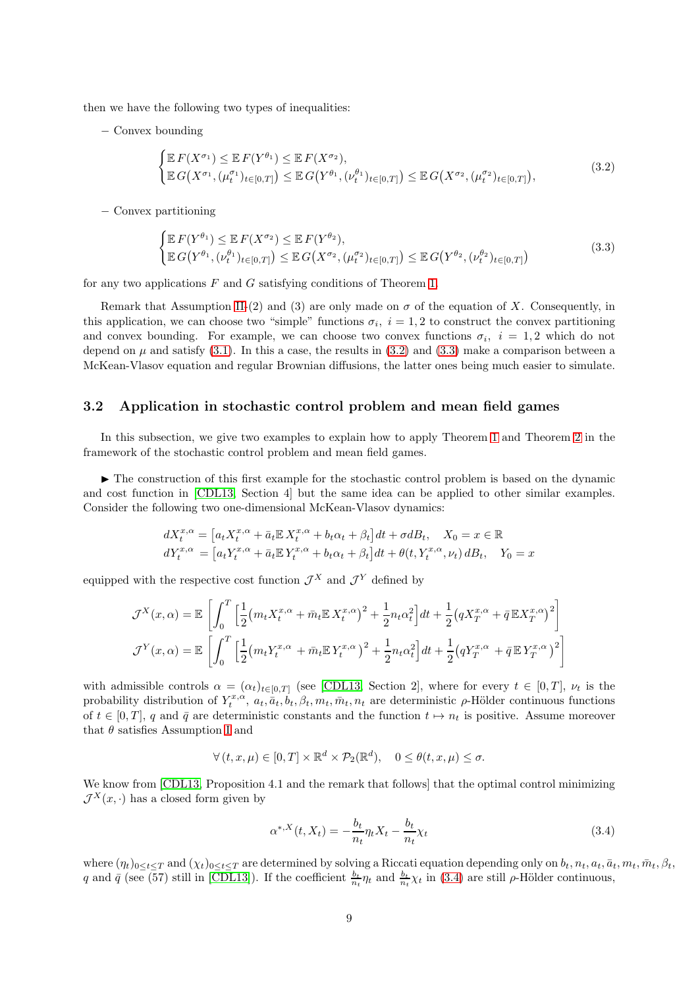then we have the following two types of inequalities:

− Convex bounding

<span id="page-8-0"></span>
$$
\begin{cases} \mathbb{E} F(X^{\sigma_1}) \leq \mathbb{E} F(Y^{\theta_1}) \leq \mathbb{E} F(X^{\sigma_2}), \\ \mathbb{E} G(X^{\sigma_1}, (\mu_t^{\sigma_1})_{t \in [0,T]}) \leq \mathbb{E} G(Y^{\theta_1}, (\nu_t^{\theta_1})_{t \in [0,T]}) \leq \mathbb{E} G(X^{\sigma_2}, (\mu_t^{\sigma_2})_{t \in [0,T]}), \end{cases}
$$
(3.2)

− Convex partitioning

<span id="page-8-1"></span>
$$
\begin{cases} \mathbb{E} F(Y^{\theta_1}) \leq \mathbb{E} F(X^{\sigma_2}) \leq \mathbb{E} F(Y^{\theta_2}),\\ \mathbb{E} G(Y^{\theta_1}, (\nu_t^{\theta_1})_{t \in [0,T]}) \leq \mathbb{E} G(X^{\sigma_2}, (\mu_t^{\sigma_2})_{t \in [0,T]}) \leq \mathbb{E} G(Y^{\theta_2}, (\nu_t^{\theta_2})_{t \in [0,T]}) \end{cases}
$$
(3.3)

for any two applications  $F$  and  $G$  satisfying conditions of Theorem [1.](#page-3-1)

Remark that Assumption [II-](#page-2-0)(2) and (3) are only made on  $\sigma$  of the equation of X. Consequently, in this application, we can choose two "simple" functions  $\sigma_i$ ,  $i = 1, 2$  to construct the convex partitioning and convex bounding. For example, we can choose two convex functions  $\sigma_i$ ,  $i = 1, 2$  which do not depend on  $\mu$  and satisfy [\(3.1\)](#page-7-2). In this a case, the results in [\(3.2\)](#page-8-0) and [\(3.3\)](#page-8-1) make a comparison between a McKean-Vlasov equation and regular Brownian diffusions, the latter ones being much easier to simulate.

#### 3.2 Application in stochastic control problem and mean field games

In this subsection, we give two examples to explain how to apply Theorem [1](#page-3-1) and Theorem [2](#page-3-2) in the framework of the stochastic control problem and mean field games.

▶ The construction of this first example for the stochastic control problem is based on the dynamic and cost function in [\[CDL13,](#page-20-7) Section 4] but the same idea can be applied to other similar examples. Consider the following two one-dimensional McKean-Vlasov dynamics:

$$
dX_t^{x,\alpha} = \left[a_t X_t^{x,\alpha} + \bar{a}_t \mathbb{E} X_t^{x,\alpha} + b_t \alpha_t + \beta_t\right] dt + \sigma dB_t, \quad X_0 = x \in \mathbb{R}
$$
  

$$
dY_t^{x,\alpha} = \left[a_t Y_t^{x,\alpha} + \bar{a}_t \mathbb{E} Y_t^{x,\alpha} + b_t \alpha_t + \beta_t\right] dt + \theta(t, Y_t^{x,\alpha}, \nu_t) dB_t, \quad Y_0 = x
$$

equipped with the respective cost function  $\mathcal{J}^X$  and  $\mathcal{J}^Y$  defined by

$$
\mathcal{J}^X(x,\alpha) = \mathbb{E}\left[\int_0^T \left[\frac{1}{2} \left(m_t X_t^{x,\alpha} + \bar{m}_t \mathbb{E} X_t^{x,\alpha}\right)^2 + \frac{1}{2} n_t \alpha_t^2\right] dt + \frac{1}{2} \left(q X_T^{x,\alpha} + \bar{q} \mathbb{E} X_T^{x,\alpha}\right)^2\right]
$$

$$
\mathcal{J}^Y(x,\alpha) = \mathbb{E}\left[\int_0^T \left[\frac{1}{2} \left(m_t Y_t^{x,\alpha} + \bar{m}_t \mathbb{E} Y_t^{x,\alpha}\right)^2 + \frac{1}{2} n_t \alpha_t^2\right] dt + \frac{1}{2} \left(q Y_T^{x,\alpha} + \bar{q} \mathbb{E} Y_T^{x,\alpha}\right)^2\right]
$$

with admissible controls  $\alpha = (\alpha_t)_{t \in [0,T]}$  (see [\[CDL13,](#page-20-7) Section 2], where for every  $t \in [0,T]$ ,  $\nu_t$  is the probability distribution of  $Y_t^{x,\alpha}, a_t, \overline{a}_t, b_t, \beta_t, m_t, \overline{m}_t, n_t$  are deterministic  $\rho$ -Hölder continuous functions of  $t \in [0, T]$ , q and  $\bar{q}$  are deterministic constants and the function  $t \mapsto n_t$  is positive. Assume moreover that  $\theta$  satisfies Assumption [I](#page-2-2) and

$$
\forall (t, x, \mu) \in [0, T] \times \mathbb{R}^d \times \mathcal{P}_2(\mathbb{R}^d), \quad 0 \le \theta(t, x, \mu) \le \sigma.
$$

We know from [\[CDL13,](#page-20-7) Proposition 4.1 and the remark that follows] that the optimal control minimizing  $\mathcal{J}^X(x, \cdot)$  has a closed form given by

<span id="page-8-2"></span>
$$
\alpha^{*,X}(t, X_t) = -\frac{b_t}{n_t} \eta_t X_t - \frac{b_t}{n_t} \chi_t \tag{3.4}
$$

where  $(\eta_t)_{0\leq t\leq T}$  and  $(\chi_t)_{0\leq t\leq T}$  are determined by solving a Riccati equation depending only on  $b_t, n_t, a_t, \bar{a}_t, m_t, \bar{m}_t, \beta_t$ , q and  $\bar{q}$  (see (57) still in [\[CDL13\]](#page-20-7)). If the coefficient  $\frac{b_t}{n_t}\eta_t$  and  $\frac{b_t}{n_t}\chi_t$  in [\(3.4\)](#page-8-2) are still  $\rho$ -Hölder continuous,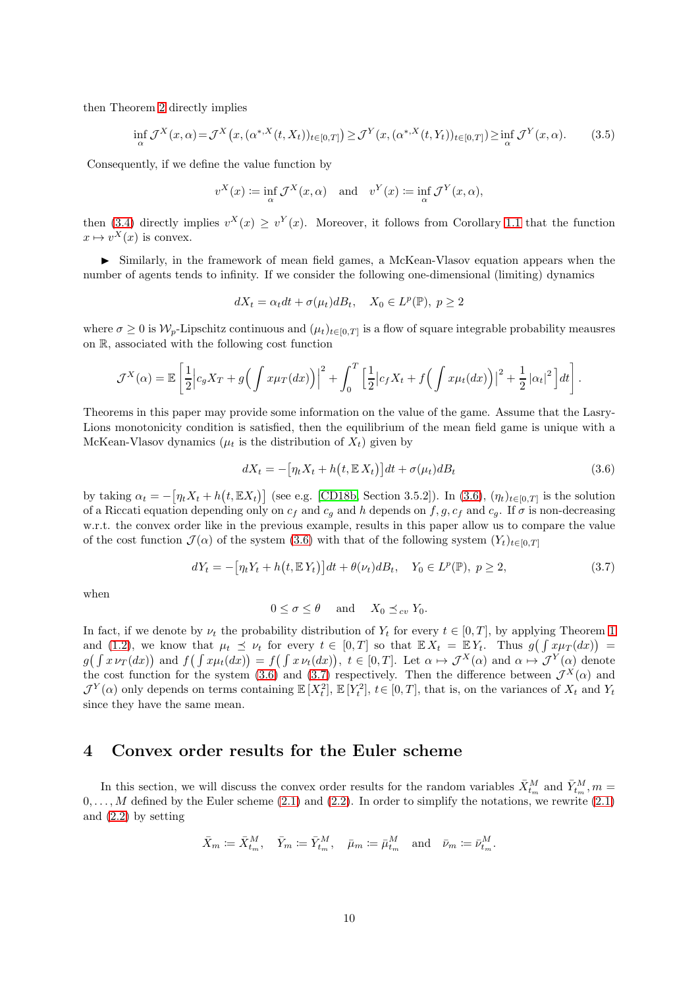then Theorem [2](#page-3-2) directly implies

$$
\inf_{\alpha} \mathcal{J}^X(x,\alpha) = \mathcal{J}^X(x, (\alpha^{*,X}(t,X_t))_{t \in [0,T]}) \ge \mathcal{J}^Y(x, (\alpha^{*,X}(t,Y_t))_{t \in [0,T]}) \ge \inf_{\alpha} \mathcal{J}^Y(x,\alpha).
$$
 (3.5)

Consequently, if we define the value function by

$$
v^X(x) \coloneqq \inf_{\alpha} \mathcal{J}^X(x, \alpha) \quad \text{and} \quad v^Y(x) \coloneqq \inf_{\alpha} \mathcal{J}^Y(x, \alpha),
$$

then [\(3.4\)](#page-8-2) directly implies  $v^X(x) \ge v^Y(x)$ . Moreover, it follows from Corollary [1.1](#page-4-0) that the function  $x \mapsto v^X(x)$  is convex.

► Similarly, in the framework of mean field games, a McKean-Vlasov equation appears when the number of agents tends to infinity. If we consider the following one-dimensional (limiting) dynamics

$$
dX_t = \alpha_t dt + \sigma(\mu_t) dB_t, \quad X_0 \in L^p(\mathbb{P}), \ p \ge 2
$$

where  $\sigma \geq 0$  is  $W_p$ -Lipschitz continuous and  $(\mu_t)_{t \in [0,T]}$  is a flow of square integrable probability meausres on R, associated with the following cost function

$$
\mathcal{J}^X(\alpha) = \mathbb{E}\left[\frac{1}{2}\Big|c_gX_T + g\Big(\int x\mu_T(dx)\Big)\Big|^2 + \int_0^T \Big[\frac{1}{2}\Big|c_fX_t + f\Big(\int x\mu_t(dx)\Big)\Big|^2 + \frac{1}{2}\Big|\alpha_t\Big|^2\Big]dt\right].
$$

Theorems in this paper may provide some information on the value of the game. Assume that the Lasry-Lions monotonicity condition is satisfied, then the equilibrium of the mean field game is unique with a McKean-Vlasov dynamics ( $\mu_t$  is the distribution of  $X_t$ ) given by

<span id="page-9-1"></span>
$$
dX_t = -\left[\eta_t X_t + h\left(t, \mathbb{E}\,X_t\right)\right]dt + \sigma(\mu_t)dB_t\tag{3.6}
$$

by taking  $\alpha_t = -\left[\eta_t X_t + h(t, \mathbb{E}X_t)\right]$  (see e.g. [\[CD18b,](#page-20-8) Section 3.5.2]). In [\(3.6\)](#page-9-1),  $(\eta_t)_{t \in [0,T]}$  is the solution of a Riccati equation depending only on  $c_f$  and  $c_g$  and h depends on f, g,  $c_f$  and  $c_g$ . If  $\sigma$  is non-decreasing w.r.t. the convex order like in the previous example, results in this paper allow us to compare the value of the cost function  $\mathcal{J}(\alpha)$  of the system [\(3.6\)](#page-9-1) with that of the following system  $(Y_t)_{t\in[0,T]}$ 

<span id="page-9-2"></span>
$$
dY_t = -\left[\eta_t Y_t + h\left(t, \mathbb{E} Y_t\right)\right] dt + \theta(\nu_t) dB_t, \quad Y_0 \in L^p(\mathbb{P}), \ p \ge 2,
$$
\n
$$
(3.7)
$$

when

$$
0 \le \sigma \le \theta \quad \text{and} \quad X_0 \le_{cv} Y_0.
$$

In fact, if we denote by  $\nu_t$  the probability distribution of  $Y_t$  for every  $t \in [0, T]$ , by applying Theorem [1](#page-3-1) and [\(1.2\)](#page-1-3), we know that  $\mu_t \preceq \nu_t$  for every  $t \in [0,T]$  so that  $\mathbb{E} X_t = \mathbb{E} Y_t$ . Thus  $g(\int x \mu_T(dx)) =$  $g(f x \nu_T(dx))$  and  $f(f x \mu_t(dx)) = f(f x \nu_t(dx)), t \in [0,T].$  Let  $\alpha \mapsto \mathcal{J}^X(\alpha)$  and  $\alpha \mapsto \mathcal{J}^Y(\alpha)$  denote the cost function for the system [\(3.6\)](#page-9-1) and [\(3.7\)](#page-9-2) respectively. Then the difference between  $\mathcal{J}^X(\alpha)$  and  $\mathcal{J}^Y(\alpha)$  only depends on terms containing  $\mathbb{E}[X_t^2], \mathbb{E}[Y_t^2], t \in [0,T]$ , that is, on the variances of  $X_t$  and  $Y_t$ since they have the same mean.

### <span id="page-9-0"></span>4 Convex order results for the Euler scheme

In this section, we will discuss the convex order results for the random variables  $\bar{X}_{t_m}^M$  and  $\bar{Y}_{t_m}^M$ ,  $m =$  $0, \ldots, M$  defined by the Euler scheme [\(2.1\)](#page-5-1) and [\(2.2\)](#page-5-2). In order to simplify the notations, we rewrite (2.1) and [\(2.2\)](#page-5-2) by setting

$$
\bar{X}_m \coloneqq \bar{X}^M_{t_m}, \quad \bar{Y}_m \coloneqq \bar{Y}^M_{t_m}, \quad \bar{\mu}_m \coloneqq \bar{\mu}^M_{t_m} \quad \text{and} \quad \bar{\nu}_m \coloneqq \bar{\nu}^M_{t_m}.
$$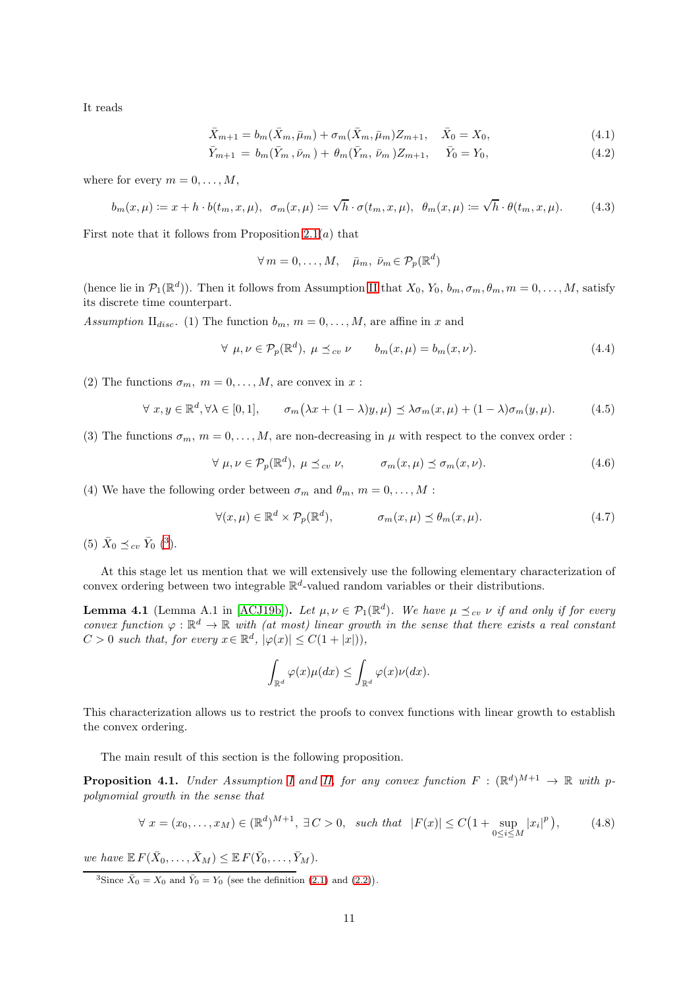It reads

$$
\bar{X}_{m+1} = b_m(\bar{X}_m, \bar{\mu}_m) + \sigma_m(\bar{X}_m, \bar{\mu}_m) Z_{m+1}, \quad \bar{X}_0 = X_0,
$$
\n(4.1)

$$
\bar{Y}_{m+1} = b_m(\bar{Y}_m, \bar{\nu}_m) + \theta_m(\bar{Y}_m, \bar{\nu}_m) Z_{m+1}, \quad \bar{Y}_0 = Y_0,
$$
\n(4.2)

where for every  $m = 0, \ldots, M$ ,

$$
b_m(x,\mu) := x + h \cdot b(t_m, x, \mu), \quad \sigma_m(x,\mu) := \sqrt{h} \cdot \sigma(t_m, x, \mu), \quad \theta_m(x,\mu) := \sqrt{h} \cdot \theta(t_m, x, \mu). \tag{4.3}
$$

First note that it follows from Proposition  $2.1(a)$  that

<span id="page-10-3"></span><span id="page-10-2"></span>
$$
\forall m = 0, \dots, M, \quad \bar{\mu}_m, \ \bar{\nu}_m \in \mathcal{P}_p(\mathbb{R}^d)
$$

(hence lie in  $\mathcal{P}_1(\mathbb{R}^d)$ ). Then it follows from Assumption [II](#page-2-0) that  $X_0, Y_0, b_m, \sigma_m, \theta_m, m = 0, \ldots, M$ , satisfy its discrete time counterpart.

<span id="page-10-4"></span>Assumption II<sub>disc</sub>. (1) The function  $b_m$ ,  $m = 0, \ldots, M$ , are affine in x and

<span id="page-10-5"></span>
$$
\forall \ \mu, \nu \in \mathcal{P}_p(\mathbb{R}^d), \ \mu \preceq_{cv} \nu \qquad b_m(x, \mu) = b_m(x, \nu). \tag{4.4}
$$

(2) The functions  $\sigma_m$ ,  $m = 0, \ldots, M$ , are convex in x:

<span id="page-10-10"></span>
$$
\forall x, y \in \mathbb{R}^d, \forall \lambda \in [0, 1], \qquad \sigma_m(\lambda x + (1 - \lambda)y, \mu) \preceq \lambda \sigma_m(x, \mu) + (1 - \lambda)\sigma_m(y, \mu). \tag{4.5}
$$

(3) The functions  $\sigma_m$ ,  $m = 0, \ldots, M$ , are non-decreasing in  $\mu$  with respect to the convex order :

<span id="page-10-6"></span>
$$
\forall \ \mu, \nu \in \mathcal{P}_p(\mathbb{R}^d), \ \mu \preceq_{cv} \nu, \qquad \sigma_m(x, \mu) \preceq \sigma_m(x, \nu). \tag{4.6}
$$

(4) We have the following order between  $\sigma_m$  and  $\theta_m$ ,  $m = 0, \ldots, M$ :

<span id="page-10-7"></span>
$$
\forall (x,\mu) \in \mathbb{R}^d \times \mathcal{P}_p(\mathbb{R}^d), \qquad \sigma_m(x,\mu) \le \theta_m(x,\mu). \tag{4.7}
$$

(5)  $\bar{X}_0 \preceq_{cv} \bar{Y}_0$  ([3](#page-10-0)).

At this stage let us mention that we will extensively use the following elementary characterization of convex ordering between two integrable  $\mathbb{R}^d$ -valued random variables or their distributions.

<span id="page-10-8"></span>**Lemma 4.1** (Lemma A.1 in [\[ACJ19b\]](#page-20-9)). Let  $\mu, \nu \in \mathcal{P}_1(\mathbb{R}^d)$ . We have  $\mu \preceq_{cv} \nu$  if and only if for every convex function  $\varphi : \mathbb{R}^d \to \mathbb{R}$  with (at most) linear growth in the sense that there exists a real constant  $C > 0$  such that, for every  $x \in \mathbb{R}^d$ ,  $|\varphi(x)| \leq C(1 + |x|)$ ,

$$
\int_{\mathbb{R}^d} \varphi(x) \mu(dx) \leq \int_{\mathbb{R}^d} \varphi(x) \nu(dx).
$$

This characterization allows us to restrict the proofs to convex functions with linear growth to establish the convex ordering.

The main result of this section is the following proposition.

<span id="page-10-1"></span>**Proposition 4.1.** Under Assumption [I](#page-2-2) and [II,](#page-2-0) for any convex function  $F : (\mathbb{R}^d)^{M+1} \to \mathbb{R}$  with ppolynomial growth in the sense that

<span id="page-10-9"></span>
$$
\forall x = (x_0, \dots, x_M) \in (\mathbb{R}^d)^{M+1}, \exists C > 0, \text{ such that } |F(x)| \le C \left(1 + \sup_{0 \le i \le M} |x_i|^p\right),\tag{4.8}
$$

we have  $\mathbb{E} F(\bar{X}_0,\ldots,\bar{X}_M) \leq \mathbb{E} F(\bar{Y}_0,\ldots,\bar{Y}_M).$ 

<span id="page-10-0"></span><sup>3</sup>Since  $\bar{X}_0 = X_0$  and  $\bar{Y}_0 = Y_0$  (see the definition [\(2.1\)](#page-5-1) and [\(2.2\)](#page-5-2)).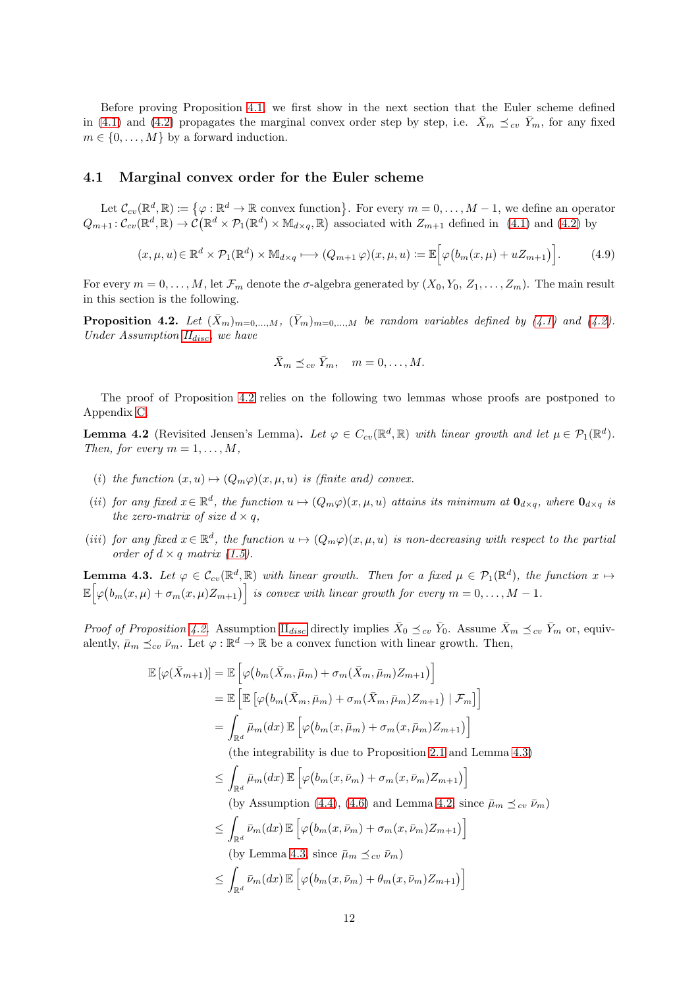Before proving Proposition [4.1,](#page-10-1) we first show in the next section that the Euler scheme defined in [\(4.1\)](#page-10-2) and [\(4.2\)](#page-10-3) propagates the marginal convex order step by step, i.e.  $\bar{X}_m \preceq_{cv} \bar{Y}_m$ , for any fixed  $m \in \{0, \ldots, M\}$  by a forward induction.

#### 4.1 Marginal convex order for the Euler scheme

Let  $\mathcal{C}_{cv}(\mathbb{R}^d, \mathbb{R}) \coloneqq \{ \varphi : \mathbb{R}^d \to \mathbb{R} \text{ convex function} \}.$  For every  $m = 0, \ldots, M-1$ , we define an operator  $Q_{m+1} : C_{cv}(\mathbb{R}^d, \mathbb{R}) \to \mathcal{C}(\mathbb{R}^d \times \mathcal{P}_1(\mathbb{R}^d) \times \mathbb{M}_{d \times q}, \mathbb{R})$  associated with  $Z_{m+1}$  defined in [\(4.1\)](#page-10-2) and [\(4.2\)](#page-10-3) by

$$
(x,\mu,u)\in\mathbb{R}^d\times\mathcal{P}_1(\mathbb{R}^d)\times\mathbb{M}_{d\times q}\longmapsto (Q_{m+1}\,\varphi)(x,\mu,u):=\mathbb{E}\Big[\varphi\big(b_m(x,\mu)+uZ_{m+1}\big)\Big].\tag{4.9}
$$

For every  $m = 0, \ldots, M$ , let  $\mathcal{F}_m$  denote the  $\sigma$ -algebra generated by  $(X_0, Y_0, Z_1, \ldots, Z_m)$ . The main result in this section is the following.

<span id="page-11-0"></span>**Proposition 4.2.** Let  $(\bar{X}_m)_{m=0,...,M}$ ,  $(\bar{Y}_m)_{m=0,...,M}$  be random variables defined by [\(4.1\)](#page-10-2) and [\(4.2\)](#page-10-3). Under Assumption  $II<sub>disc</sub>$  $II<sub>disc</sub>$  $II<sub>disc</sub>$ , we have

$$
\bar{X}_m \preceq_{cv} \bar{Y}_m, \quad m = 0, \dots, M.
$$

The proof of Proposition [4.2](#page-11-0) relies on the following two lemmas whose proofs are postponed to Appendix [C.](#page-30-0)

<span id="page-11-2"></span>**Lemma 4.2** (Revisited Jensen's Lemma). Let  $\varphi \in C_{cv}(\mathbb{R}^d, \mathbb{R})$  with linear growth and let  $\mu \in \mathcal{P}_1(\mathbb{R}^d)$ . Then, for every  $m = 1, \ldots, M$ ,

- (i) the function  $(x, u) \mapsto (Q_m \varphi)(x, \mu, u)$  is (finite and) convex.
- (ii) for any fixed  $x \in \mathbb{R}^d$ , the function  $u \mapsto (Q_m\varphi)(x,\mu,u)$  attains its minimum at  $\mathbf{0}_{d\times q}$ , where  $\mathbf{0}_{d\times q}$  is the zero-matrix of size  $d \times q$ ,
- (iii) for any fixed  $x \in \mathbb{R}^d$ , the function  $u \mapsto (Q_m \varphi)(x, \mu, u)$  is non-decreasing with respect to the partial order of  $d \times q$  matrix [\(1.5\)](#page-1-4).

<span id="page-11-1"></span>**Lemma 4.3.** Let  $\varphi \in \mathcal{C}_{cv}(\mathbb{R}^d, \mathbb{R})$  with linear growth. Then for a fixed  $\mu \in \mathcal{P}_1(\mathbb{R}^d)$ , the function  $x \mapsto$  $\mathbb{E}\Big[\varphi\big(b_m(x,\mu)+\sigma_m(x,\mu)Z_{m+1}\big)\Big]$  is convex with linear growth for every  $m=0,\ldots,M-1$ .

Proof of Proposition [4.2.](#page-11-0) Assumption  $\Pi_{disc}$  $\Pi_{disc}$  $\Pi_{disc}$  directly implies  $\bar{X}_0 \preceq_{cv} \bar{Y}_0$ . Assume  $\bar{X}_m \preceq_{cv} \bar{Y}_m$  or, equivalently,  $\bar{\mu}_m \preceq_{cv} \bar{\nu}_m$ . Let  $\varphi : \mathbb{R}^d \to \mathbb{R}$  be a convex function with linear growth. Then,

$$
\mathbb{E}[\varphi(\bar{X}_{m+1})] = \mathbb{E}\left[\varphi\big(b_m(\bar{X}_m, \bar{\mu}_m) + \sigma_m(\bar{X}_m, \bar{\mu}_m)Z_{m+1}\big)\right]
$$
  
\n
$$
= \mathbb{E}\left[\mathbb{E}\left[\varphi\big(b_m(\bar{X}_m, \bar{\mu}_m) + \sigma_m(\bar{X}_m, \bar{\mu}_m)Z_{m+1}\big) \mid \mathcal{F}_m\right]\right]
$$
  
\n
$$
= \int_{\mathbb{R}^d} \bar{\mu}_m(dx) \mathbb{E}\left[\varphi\big(b_m(x, \bar{\mu}_m) + \sigma_m(x, \bar{\mu}_m)Z_{m+1}\big)\right]
$$

(the integrability is due to Proposition [2.1](#page-5-6) and Lemma [4.3\)](#page-11-1)

$$
\leq \int_{\mathbb{R}^d} \bar{\mu}_m(dx) \mathbb{E} \left[ \varphi \big( b_m(x, \bar{\nu}_m) + \sigma_m(x, \bar{\nu}_m) Z_{m+1} \big) \right]
$$
  
(by Assumption (4.4), (4.6) and Lemma 4.2, since  $\bar{\mu}_m \preceq_{cv} \bar{\nu}_m$ )  

$$
\leq \int_{\mathbb{R}^d} \bar{\nu}_m(dx) \mathbb{E} \left[ \varphi \big( b_m(x, \bar{\nu}_m) + \sigma_m(x, \bar{\nu}_m) Z_{m+1} \big) \right]
$$
  
(by Lemma 4.3, since  $\bar{\mu}_m \preceq_{cv} \bar{\nu}_m$ )  

$$
\leq \int_{\mathbb{R}^d} \bar{\nu}_m(dx) \mathbb{E} \left[ \varphi \big( b_m(x, \bar{\nu}_m) + a_m(x, \bar{\nu}_m) Z_{m+1} \big) \right]
$$

$$
\leq \int_{\mathbb{R}^d} \bar{\nu}_m(dx) \, \mathbb{E} \left[ \varphi \big( b_m(x,\bar{\nu}_m) + \theta_m(x,\bar{\nu}_m) Z_{m+1} \big) \right]
$$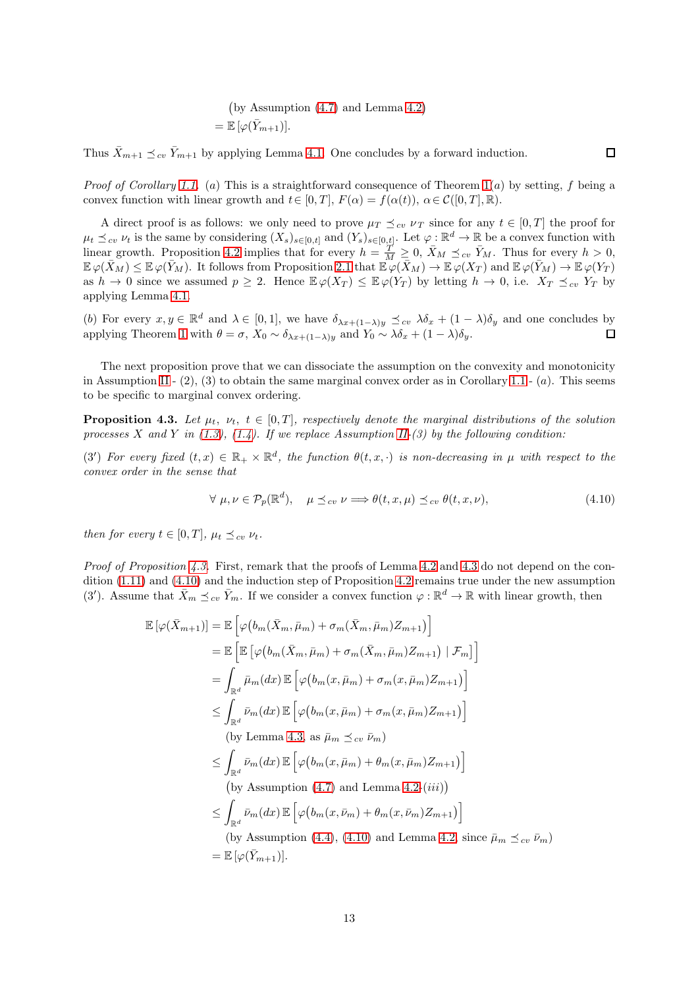by Assumption [\(4.7\)](#page-10-7) and Lemma [4.2](#page-11-2)  $=\mathbb{E}\left[\varphi(\bar{Y}_{m+1})\right].$ 

Thus  $\bar{X}_{m+1} \preceq_{cv} \bar{Y}_{m+1}$  by applying Lemma [4.1.](#page-10-8) One concludes by a forward induction.

*Proof of Corollary [1.1.](#page-4-0)* (a) This is a straightforward consequence of Theorem  $1(a)$  by setting, f being a convex function with linear growth and  $t \in [0, T]$ ,  $F(\alpha) = f(\alpha(t))$ ,  $\alpha \in \mathcal{C}([0, T], \mathbb{R})$ .

A direct proof is as follows: we only need to prove  $\mu_T \preceq_{cv} \nu_T$  since for any  $t \in [0, T]$  the proof for  $\mu_t \preceq_{cv} \nu_t$  is the same by considering  $(X_s)_{s\in[0,t]}$  and  $(Y_s)_{s\in[0,t]}$ . Let  $\varphi$ :  $\mathbb{R}^d \to \mathbb{R}$  be a convex function with linear growth. Proposition [4.2](#page-11-0) implies that for every  $h = \frac{T}{M} \geq 0$ ,  $\bar{X}_M \preceq_{cv} \bar{Y}_M$ . Thus for every  $h > 0$ ,  $\mathbb{E}\varphi(\bar{X}_M) \leq \mathbb{E}\varphi(\bar{Y}_M)$ . It follows from Proposition [2.1](#page-5-6) that  $\mathbb{E}\varphi(\bar{X}_M) \to \mathbb{E}\varphi(X_T)$  and  $\mathbb{E}\varphi(\bar{Y}_M) \to \mathbb{E}\varphi(Y_T)$ as  $h \to 0$  since we assumed  $p \geq 2$ . Hence  $\mathbb{E}\varphi(X_T) \leq \mathbb{E}\varphi(Y_T)$  by letting  $h \to 0$ , i.e.  $X_T \preceq_{cv} Y_T$  by applying Lemma [4.1.](#page-10-8)

(b) For every  $x, y \in \mathbb{R}^d$  and  $\lambda \in [0, 1]$ , we have  $\delta_{\lambda x + (1-\lambda)y} \preceq_{cv} \lambda \delta_x + (1-\lambda)\delta_y$  and one concludes by applying Theorem [1](#page-3-1) with  $\theta = \sigma$ ,  $X_0 \sim \delta_{\lambda x + (1-\lambda)y}$  and  $Y_0 \sim \lambda \delta_x + (1-\lambda)\delta_y$ .

The next proposition prove that we can dissociate the assumption on the convexity and monotonicity in Assumption [II](#page-2-0) -  $(2)$ ,  $(3)$  to obtain the same marginal convex order as in Corollary [1.1](#page-4-0) -  $(a)$ . This seems to be specific to marginal convex ordering.

<span id="page-12-0"></span>**Proposition 4.3.** Let  $\mu_t$ ,  $\nu_t$ ,  $t \in [0, T]$ , respectively denote the marginal distributions of the solution processes X and Y in  $(1.3)$ ,  $(1.4)$ . If we replace Assumption [II-](#page-2-0)(3) by the following condition:

(3') For every fixed  $(t, x) \in \mathbb{R}_+ \times \mathbb{R}^d$ , the function  $\theta(t, x, \cdot)$  is non-decreasing in  $\mu$  with respect to the convex order in the sense that

<span id="page-12-1"></span>
$$
\forall \ \mu, \nu \in \mathcal{P}_p(\mathbb{R}^d), \quad \mu \leq_{cv} \nu \Longrightarrow \theta(t, x, \mu) \leq_{cv} \theta(t, x, \nu), \tag{4.10}
$$

 $\Box$ 

then for every  $t \in [0, T]$ ,  $\mu_t \preceq_{cv} \nu_t$ .

h

Proof of Proposition [4.3.](#page-12-0) First, remark that the proofs of Lemma [4.2](#page-11-2) and [4.3](#page-11-1) do not depend on the condition [\(1.11\)](#page-2-5) and [\(4.10\)](#page-12-1) and the induction step of Proposition [4.2](#page-11-0) remains true under the new assumption (3'). Assume that  $\bar{X}_m \preceq_{cv} \bar{Y}_m$ . If we consider a convex function  $\varphi : \mathbb{R}^d \to \mathbb{R}$  with linear growth, then

$$
\mathbb{E}[\varphi(\bar{X}_{m+1})] = \mathbb{E}\left[\varphi(b_m(\bar{X}_m, \bar{\mu}_m) + \sigma_m(\bar{X}_m, \bar{\mu}_m)Z_{m+1})\right]
$$
\n
$$
= \mathbb{E}\left[\mathbb{E}\left[\varphi(b_m(\bar{X}_m, \bar{\mu}_m) + \sigma_m(\bar{X}_m, \bar{\mu}_m)Z_{m+1}) | \mathcal{F}_m]\right]\right]
$$
\n
$$
= \int_{\mathbb{R}^d} \bar{\mu}_m(dx) \mathbb{E}\left[\varphi(b_m(x, \bar{\mu}_m) + \sigma_m(x, \bar{\mu}_m)Z_{m+1})\right]
$$
\n
$$
\leq \int_{\mathbb{R}^d} \bar{\nu}_m(dx) \mathbb{E}\left[\varphi(b_m(x, \bar{\mu}_m) + \sigma_m(x, \bar{\mu}_m)Z_{m+1})\right]
$$
\n(by Lemma 4.3, as  $\bar{\mu}_m \leq_{cv} \bar{\nu}_m$ )\n
$$
\leq \int_{\mathbb{R}^d} \bar{\nu}_m(dx) \mathbb{E}\left[\varphi(b_m(x, \bar{\mu}_m) + \theta_m(x, \bar{\mu}_m)Z_{m+1})\right]
$$
\n(by Assumption (4.7) and Lemma 4.2-*(iii)*)\n
$$
\leq \int_{\mathbb{R}^d} \bar{\nu}_m(dx) \mathbb{E}\left[\varphi(b_m(x, \bar{\nu}_m) + \theta_m(x, \bar{\nu}_m)Z_{m+1})\right]
$$
\n(by Assumption (4.4), (4.10) and Lemma 4.2, since  $\bar{\mu}_m \leq_{cv} \bar{\nu}_m$ )\n
$$
= \mathbb{E}[\varphi(\bar{Y}_{m+1})].
$$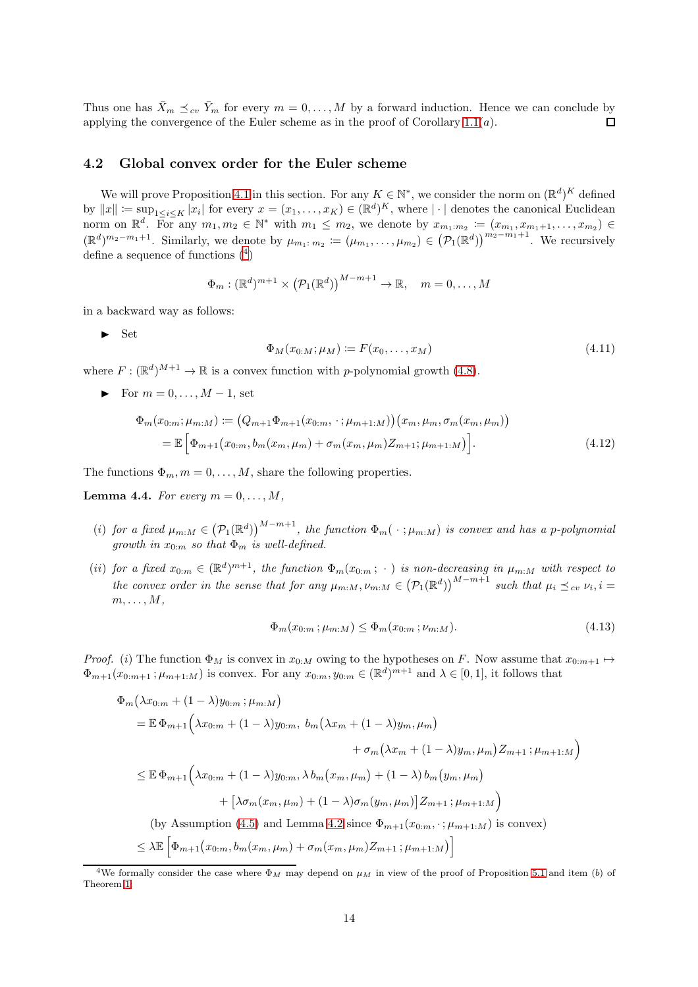Thus one has  $\bar{X}_m \preceq_{cv} \bar{Y}_m$  for every  $m = 0, ..., M$  by a forward induction. Hence we can conclude by applying the convergence of the Euler scheme as in the proof of Corollary 1.1(*a*). applying the convergence of the Euler scheme as in the proof of Corollary  $1.1(a)$ .

#### 4.2 Global convex order for the Euler scheme

We will prove Proposition [4.1](#page-10-1) in this section. For any  $K \in \mathbb{N}^*$ , we consider the norm on  $(\mathbb{R}^d)^K$  defined by  $||x|| := \sup_{1 \leq i \leq K} |x_i|$  for every  $x = (x_1, \ldots, x_K) \in (\mathbb{R}^d)^K$ , where  $|\cdot|$  denotes the canonical Euclidean norm on  $\mathbb{R}^d$ . For any  $m_1, m_2 \in \mathbb{N}^*$  with  $m_1 \leq m_2$ , we denote by  $x_{m_1:m_2} := (x_{m_1}, x_{m_1+1}, \ldots, x_{m_2}) \in$  $(\mathbb{R}^d)^{m_2-m_1+1}$ . Similarly, we denote by  $\mu_{m_1 \dots m_2} := (\mu_{m_1}, \dots, \mu_{m_2}) \in (\mathcal{P}_1(\mathbb{R}^d))^{m_2-m_1+1}$ . We recursively define a sequence of functions  $(4)$  $(4)$  $(4)$ 

$$
\Phi_m : (\mathbb{R}^d)^{m+1} \times (\mathcal{P}_1(\mathbb{R}^d))^{M-m+1} \to \mathbb{R}, \quad m = 0, \dots, M
$$

in a backward way as follows:

 $\blacktriangleright$  Set

<span id="page-13-3"></span><span id="page-13-2"></span>
$$
\Phi_M(x_{0:M}; \mu_M) \coloneqq F(x_0, \dots, x_M) \tag{4.11}
$$

where  $F: (\mathbb{R}^d)^{M+1} \to \mathbb{R}$  is a convex function with *p*-polynomial growth [\(4.8\)](#page-10-9).

For  $m = 0, \ldots, M-1$ , set

$$
\Phi_m(x_{0:m}; \mu_{m:M}) \coloneqq (Q_{m+1}\Phi_{m+1}(x_{0:m}, \cdot; \mu_{m+1:M})) (x_m, \mu_m, \sigma_m(x_m, \mu_m))
$$
\n
$$
= \mathbb{E} \left[ \Phi_{m+1}(x_{0:m}, b_m(x_m, \mu_m) + \sigma_m(x_m, \mu_m) Z_{m+1}; \mu_{m+1:M}) \right]. \tag{4.12}
$$

The functions  $\Phi_m$ ,  $m = 0, \ldots, M$ , share the following properties.

<span id="page-13-1"></span>**Lemma 4.4.** For every  $m = 0, \ldots, M$ ,

- (i) for a fixed  $\mu_{m:M} \in (\mathcal{P}_1(\mathbb{R}^d))^{M-m+1}$ , the function  $\Phi_m(\cdot;\mu_{m:M})$  is convex and has a p-polynomial growth in  $x_{0:m}$  so that  $\Phi_m$  is well-defined.
- (ii) for a fixed  $x_{0:m} \in (\mathbb{R}^d)^{m+1}$ , the function  $\Phi_m(x_{0:m}; \cdot)$  is non-decreasing in  $\mu_{m:M}$  with respect to the convex order in the sense that for any  $\mu_{m:M}$ ,  $\nu_{m:M} \in (\mathcal{P}_1(\mathbb{R}^d))^{M-m+1}$  such that  $\mu_i \preceq_{cv} \nu_i$ ,  $i =$  $m, \ldots, M$ ,

$$
\Phi_m(x_{0:m}; \mu_{m:M}) \le \Phi_m(x_{0:m}; \nu_{m:M}). \tag{4.13}
$$

*Proof.* (i) The function  $\Phi_M$  is convex in  $x_{0:M}$  owing to the hypotheses on F. Now assume that  $x_{0:m+1} \mapsto$  $\Phi_{m+1}(x_{0:m+1}; \mu_{m+1:M})$  is convex. For any  $x_{0:m}, y_{0:m} \in (\mathbb{R}^d)^{m+1}$  and  $\lambda \in [0,1]$ , it follows that

$$
\Phi_m(\lambda x_{0:m} + (1 - \lambda)y_{0:m}; \mu_{m:M})
$$
\n
$$
= \mathbb{E} \Phi_{m+1}(\lambda x_{0:m} + (1 - \lambda)y_{0:m}, b_m(\lambda x_m + (1 - \lambda)y_m, \mu_m)
$$
\n
$$
+ \sigma_m(\lambda x_m + (1 - \lambda)y_m, \mu_m)Z_{m+1}; \mu_{m+1:M})
$$
\n
$$
\leq \mathbb{E} \Phi_{m+1}(\lambda x_{0:m} + (1 - \lambda)y_{0:m}, \lambda b_m(x_m, \mu_m) + (1 - \lambda) b_m(y_m, \mu_m)
$$
\n
$$
+ [\lambda \sigma_m(x_m, \mu_m) + (1 - \lambda) \sigma_m(y_m, \mu_m)]Z_{m+1}; \mu_{m+1:M})
$$
\n(by Assumption (4.5) and Lemma 4.2 since  $\Phi_{m+1}(x_{0:m}, \cdot; \mu_{m+1:M})$  is convex)\n
$$
\leq \lambda \mathbb{E} \Big[\Phi_{m+1}(x_{0:m}, b_m(x_m, \mu_m) + \sigma_m(x_m, \mu_m)Z_{m+1}; \mu_{m+1:M})\Big]
$$

<span id="page-13-0"></span><sup>&</sup>lt;sup>4</sup>We formally consider the case where  $\Phi_M$  may depend on  $\mu_M$  in view of the proof of Proposition [5.1](#page-18-0) and item (b) of Theorem [1.](#page-3-1)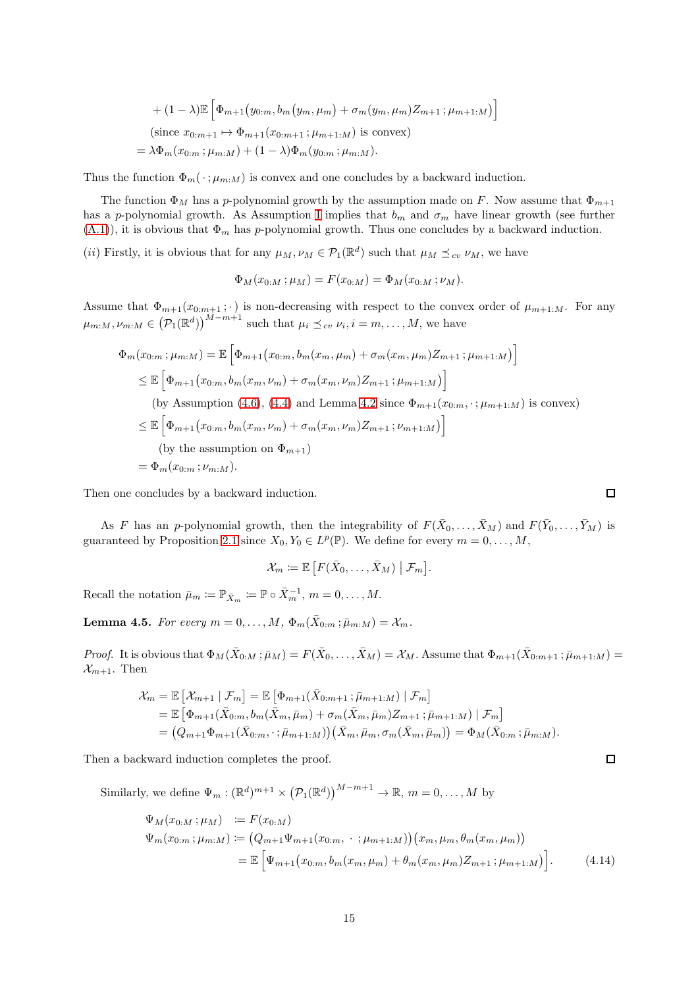+ 
$$
(1 - \lambda) \mathbb{E} \left[ \Phi_{m+1} (y_{0:m}, b_m(y_m, \mu_m) + \sigma_m(y_m, \mu_m) Z_{m+1}; \mu_{m+1:M}) \right]
$$
  
\n(since  $x_{0:m+1} \mapsto \Phi_{m+1}(x_{0:m+1}; \mu_{m+1:M})$  is convex)  
\n $= \lambda \Phi_m (x_{0:m}; \mu_{m:M}) + (1 - \lambda) \Phi_m (y_{0:m}; \mu_{m:M}).$ 

Thus the function  $\Phi_m(\cdot;\mu_{m:M})$  is convex and one concludes by a backward induction.

The function  $\Phi_M$  has a p-polynomial growth by the assumption made on F. Now assume that  $\Phi_{m+1}$ has a p-polynomial growth. As Assumption [I](#page-2-2) implies that  $b_m$  and  $\sigma_m$  have linear growth (see further  $(A.1)$ , it is obvious that  $\Phi_m$  has p-polynomial growth. Thus one concludes by a backward induction.

(*ii*) Firstly, it is obvious that for any  $\mu_M, \nu_M \in \mathcal{P}_1(\mathbb{R}^d)$  such that  $\mu_M \preceq_{cv} \nu_M$ , we have

$$
\Phi_M(x_{0:M}; \mu_M) = F(x_{0:M}) = \Phi_M(x_{0:M}; \nu_M).
$$

Assume that  $\Phi_{m+1}(x_{0:m+1};\cdot)$  is non-decreasing with respect to the convex order of  $\mu_{m+1:M}$ . For any  $\mu_{m:M}, \nu_{m:M} \in (\mathcal{P}_1(\mathbb{R}^d))^{M-m+1}$  such that  $\mu_i \preceq_{cv} \nu_i, i = m, \ldots, M$ , we have

$$
\Phi_m(x_{0:m}; \mu_{m:M}) = \mathbb{E}\left[\Phi_{m+1}(x_{0:m}, b_m(x_m, \mu_m) + \sigma_m(x_m, \mu_m)Z_{m+1}; \mu_{m+1:M})\right]
$$
\n
$$
\leq \mathbb{E}\left[\Phi_{m+1}(x_{0:m}, b_m(x_m, \nu_m) + \sigma_m(x_m, \nu_m)Z_{m+1}; \mu_{m+1:M})\right]
$$
\n(by Assumption (4.6), (4.4) and Lemma 4.2 since  $\Phi_{m+1}(x_{0:m}, \cdot; \mu_{m+1:M})$  is convex)  
\n
$$
\leq \mathbb{E}\left[\Phi_{m+1}(x_{0:m}, b_m(x_m, \nu_m) + \sigma_m(x_m, \nu_m)Z_{m+1}; \nu_{m+1:M})\right]
$$
\n(by the assumption on  $\Phi_{m+1}$ )  
\n
$$
= \Phi_m(x_{0:m}; \nu_{m:M}).
$$

Then one concludes by a backward induction.

As F has an p-polynomial growth, then the integrability of  $F(\bar{X}_0,\ldots,\bar{X}_M)$  and  $F(\bar{Y}_0,\ldots,\bar{Y}_M)$  is guaranteed by Proposition [2.1](#page-5-6) since  $X_0, Y_0 \in L^p(\mathbb{P})$ . We define for every  $m = 0, ..., M$ ,

$$
\mathcal{X}_m := \mathbb{E}\left[F(\bar{X}_0,\ldots,\bar{X}_M) \middle| \mathcal{F}_m\right].
$$

Recall the notation  $\bar{\mu}_m := \mathbb{P}_{\bar{X}_m} := \mathbb{P} \circ \bar{X}_m^{-1}, m = 0, \ldots, M.$ 

<span id="page-14-0"></span>**Lemma 4.5.** For every  $m = 0, \ldots, M$ ,  $\Phi_m(\bar{X}_{0:m}; \bar{\mu}_{m:M}) = \mathcal{X}_m$ .

Proof. It is obvious that  $\Phi_M(\bar{X}_{0:M}; \bar{\mu}_M) = F(\bar{X}_0, \dots, \bar{X}_M) = \mathcal{X}_M$ . Assume that  $\Phi_{m+1}(\bar{X}_{0:m+1}; \bar{\mu}_{m+1:M}) =$  $\mathcal{X}_{m+1}$ . Then

$$
\mathcal{X}_{m} = \mathbb{E} \left[ \mathcal{X}_{m+1} \mid \mathcal{F}_{m} \right] = \mathbb{E} \left[ \Phi_{m+1}(\bar{X}_{0:m+1}; \bar{\mu}_{m+1:M}) \mid \mathcal{F}_{m} \right] \n= \mathbb{E} \left[ \Phi_{m+1}(\bar{X}_{0:m}, b_{m}(\bar{X}_{m}, \bar{\mu}_{m}) + \sigma_{m}(\bar{X}_{m}, \bar{\mu}_{m}) Z_{m+1}; \bar{\mu}_{m+1:M}) \mid \mathcal{F}_{m} \right] \n= (Q_{m+1}\Phi_{m+1}(\bar{X}_{0:m}, \cdot; \bar{\mu}_{m+1:M})) (\bar{X}_{m}, \bar{\mu}_{m}, \sigma_{m}(\bar{X}_{m}, \bar{\mu}_{m})) = \Phi_{M}(\bar{X}_{0:m}; \bar{\mu}_{m:M}).
$$

Then a backward induction completes the proof.

Similarly, we define  $\Psi_m : (\mathbb{R}^d)^{m+1} \times (\mathcal{P}_1(\mathbb{R}^d))^{M-m+1} \to \mathbb{R}, m = 0, \ldots, M$  by

$$
\Psi_M(x_{0:M}; \mu_M) := F(x_{0:M})
$$
\n
$$
\Psi_m(x_{0:m}; \mu_{m:M}) := (Q_{m+1}\Psi_{m+1}(x_{0:m}, \cdot; \mu_{m+1:M})) (x_m, \mu_m, \theta_m(x_m, \mu_m))
$$
\n
$$
= \mathbb{E} \Big[ \Psi_{m+1}(x_{0:m}, b_m(x_m, \mu_m) + \theta_m(x_m, \mu_m) Z_{m+1}; \mu_{m+1:M}) \Big]. \tag{4.14}
$$

<span id="page-14-1"></span> $\Box$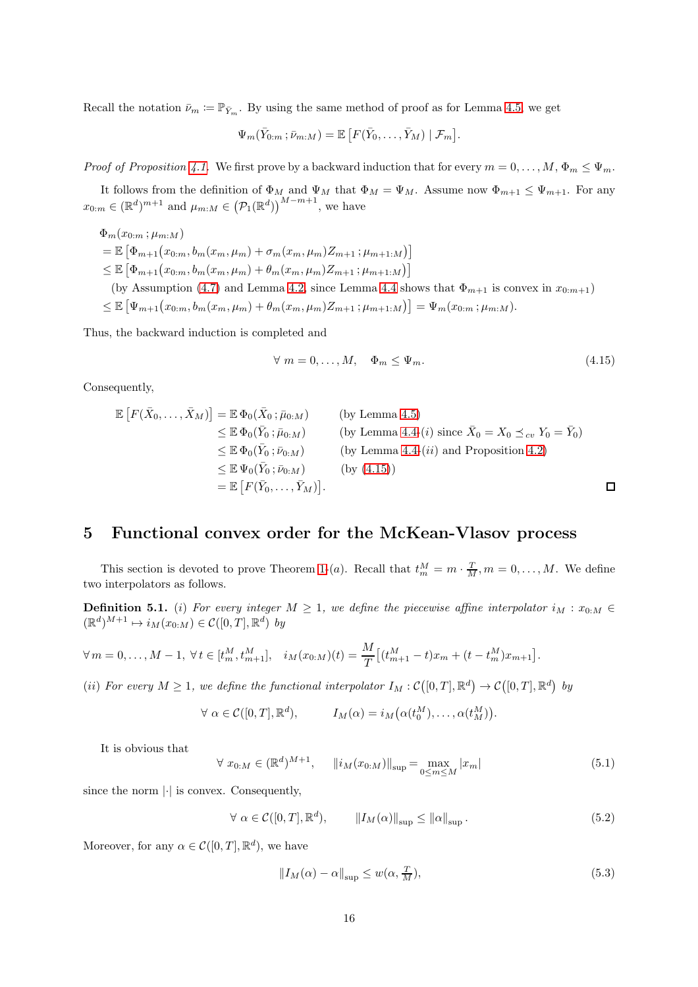Recall the notation  $\bar{\nu}_m := \mathbb{P}_{\bar{Y}_m}$ . By using the same method of proof as for Lemma [4.5,](#page-14-0) we get

$$
\Psi_m(\bar{Y}_{0:m}; \bar{\nu}_{m:M}) = \mathbb{E}\left[F(\bar{Y}_0,\ldots,\bar{Y}_M) \mid \mathcal{F}_m\right].
$$

Proof of Proposition [4.1.](#page-10-1) We first prove by a backward induction that for every  $m = 0, \ldots, M$ ,  $\Phi_m \leq \Psi_m$ .

It follows from the definition of  $\Phi_M$  and  $\Psi_M$  that  $\Phi_M = \Psi_M$ . Assume now  $\Phi_{m+1} \leq \Psi_{m+1}$ . For any  $x_{0:m} \in (\mathbb{R}^d)^{m+1}$  and  $\mu_{m:M} \in (\mathcal{P}_1(\mathbb{R}^d))^{\Lambda-m+1}$ , we have

 $\Phi_m(x_{0:m};\mu_{m:M})$  $= \mathbb{E}\left[\Phi_{m+1}(x_{0:m}, b_m(x_m, \mu_m) + \sigma_m(x_m, \mu_m)Z_{m+1}; \mu_{m+1:M})\right]$  $\leq \mathbb{E}\left[\Phi_{m+1}(x_{0:m}, b_m(x_m, \mu_m) + \theta_m(x_m, \mu_m)Z_{m+1}; \mu_{m+1:M})\right]$ (by Assumption [\(4.7\)](#page-10-7) and Lemma [4.2,](#page-11-2) since Lemma [4.4](#page-13-1) shows that  $\Phi_{m+1}$  is convex in  $x_{0:m+1}$ )

 $\leq \mathbb{E}\left[\Psi_{m+1}(x_{0:m}, b_m(x_m, \mu_m) + \theta_m(x_m, \mu_m)Z_{m+1}; \mu_{m+1:M})\right] = \Psi_m(x_{0:m}; \mu_{m:M}).$ 

Thus, the backward induction is completed and

<span id="page-15-1"></span>
$$
\forall m = 0, \dots, M, \quad \Phi_m \le \Psi_m. \tag{4.15}
$$

Consequently,

$$
\mathbb{E}\left[F(\bar{X}_0,\ldots,\bar{X}_M)\right] = \mathbb{E}\,\Phi_0(\bar{X}_0;\bar{\mu}_{0:M})\n\n\leq \mathbb{E}\,\Phi_0(\bar{Y}_0;\bar{\mu}_{0:M})\n\n\leq \mathbb{E}\,\Phi_0(\bar{Y}_0;\bar{\mu}_{0:M})\n\n\leq \mathbb{E}\,\Phi_0(\bar{Y}_0;\bar{\nu}_{0:M})\n\n\leq \mathbb{E}\,\Phi_0(\bar{Y}_0;\bar{\nu}_{0:M})\n\n\leq \mathbb{E}\,\Psi_0(\bar{Y}_0;\bar{\nu}_{0:M})\n\n\leq \mathbb{E}\,\Psi_0(\bar{Y}_0;\bar{\nu}_{0:M})\n\n\leq \mathbb{E}\,\left[F(\bar{Y}_0,\ldots,\bar{Y}_M)\right].\n\Box
$$

### <span id="page-15-0"></span>5 Functional convex order for the McKean-Vlasov process

This section is devoted to prove Theorem [1-](#page-3-1)(*a*). Recall that  $t_m^M = m \cdot \frac{T}{M}$ ,  $m = 0, ..., M$ . We define two interpolators as follows.

**Definition 5.1.** (i) For every integer  $M \geq 1$ , we define the piecewise affine interpolator  $i_M : x_{0:M} \in$  $(\mathbb{R}^d)^{M+1} \mapsto i_M(x_{0:M}) \in \mathcal{C}([0,T], \mathbb{R}^d)$  by

$$
\forall m = 0, ..., M - 1, \ \forall t \in [t_m^M, t_{m+1}^M], \quad i_M(x_{0:M})(t) = \frac{M}{T} \left[ (t_{m+1}^M - t)x_m + (t - t_m^M)x_{m+1} \right].
$$

(ii) For every  $M \geq 1$ , we define the functional interpolator  $I_M : \mathcal{C}([0,T], \mathbb{R}^d) \to \mathcal{C}([0,T], \mathbb{R}^d)$  by

$$
\forall \alpha \in C([0,T], \mathbb{R}^d), \qquad I_M(\alpha) = i_M(\alpha(t_0^M), \dots, \alpha(t_M^M)).
$$

It is obvious that

<span id="page-15-2"></span>
$$
\forall x_{0:M} \in (\mathbb{R}^d)^{M+1}, \quad ||i_M(x_{0:M})||_{\sup} = \max_{0 \le m \le M} |x_m| \tag{5.1}
$$

since the norm  $\lvert \cdot \rvert$  is convex. Consequently,

<span id="page-15-3"></span> $\forall \alpha \in C([0, T], \mathbb{R}^d), \qquad \|I_M(\alpha)\|_{\sup} \leq \|\alpha\|_{\sup}.$  (5.2)

Moreover, for any  $\alpha \in \mathcal{C}([0,T], \mathbb{R}^d)$ , we have

$$
||I_M(\alpha) - \alpha||_{\sup} \le w(\alpha, \frac{T}{M}),
$$
\n(5.3)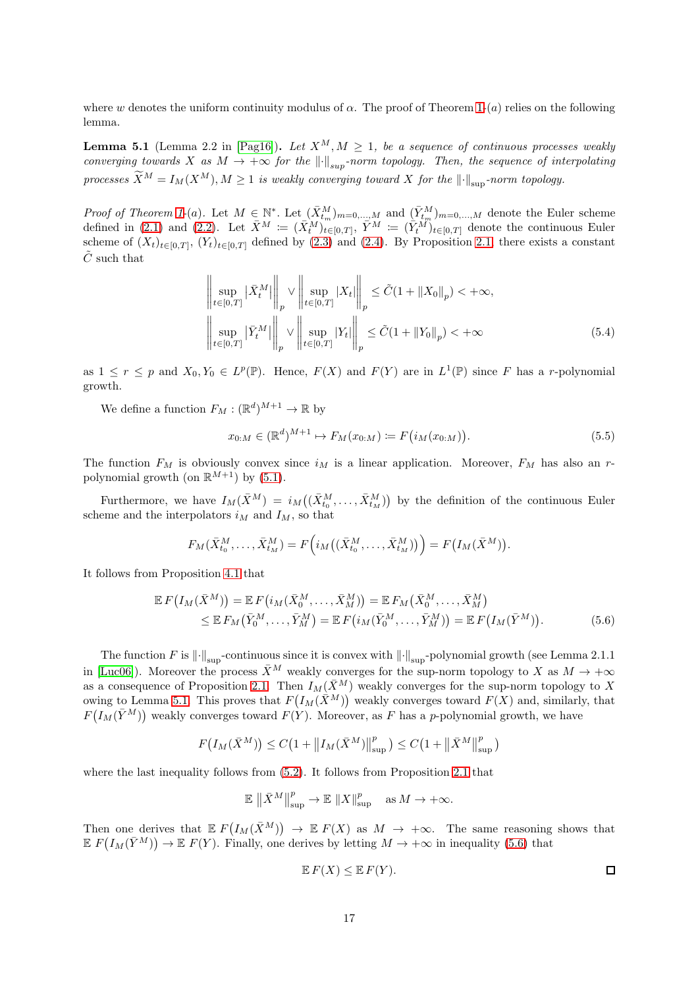where w denotes the uniform continuity modulus of  $\alpha$ . The proof of Theorem [1-](#page-3-1)(a) relies on the following lemma.

<span id="page-16-0"></span>**Lemma 5.1** (Lemma 2.2 in [\[Pag16\]](#page-21-3)). Let  $X^M, M \ge 1$ , be a sequence of continuous processes weakly converging towards X as  $M \to +\infty$  for the  $\lVert \cdot \rVert_{\text{sub}}$ -norm topology. Then, the sequence of interpolating processes  $\widetilde{X}^M = I_M(X^M), M \geq 1$  is weakly converging toward X for the  $\lVert \cdot \rVert_{\sup}$ -norm topology.

Proof of Theorem [1-](#page-3-1)(a). Let  $M \in \mathbb{N}^*$ . Let  $(\bar{X}_{t_m}^M)_{m=0,\dots,M}$  and  $(\bar{Y}_{t_m}^M)_{m=0,\dots,M}$  denote the Euler scheme defined in [\(2.1\)](#page-5-1) and [\(2.2\)](#page-5-2). Let  $\bar{X}^M := (\bar{X}^M_t)_{t \in [0,T]}$ ,  $\bar{Y}^M := (\bar{Y}^M_t)_{t \in [0,T]}$  denote the continuous Euler scheme of  $(X_t)_{t\in[0,T]}$ ,  $(Y_t)_{t\in[0,T]}$  defined by [\(2.3\)](#page-5-4) and [\(2.4\)](#page-5-5). By Proposition [2.1,](#page-5-6) there exists a constant  $\tilde{C}$  such that

$$
\left\| \sup_{t \in [0,T]} |\bar{X}_t^M| \right\|_p \vee \left\| \sup_{t \in [0,T]} |X_t| \right\|_p \le \tilde{C} (1 + \|X_0\|_p) < +\infty,
$$
  

$$
\left\| \sup_{t \in [0,T]} |\bar{Y}_t^M| \right\|_p \vee \left\| \sup_{t \in [0,T]} |Y_t| \right\|_p \le \tilde{C} (1 + \|Y_0\|_p) < +\infty
$$
 (5.4)

as  $1 \leq r \leq p$  and  $X_0, Y_0 \in L^p(\mathbb{P})$ . Hence,  $F(X)$  and  $F(Y)$  are in  $L^1(\mathbb{P})$  since F has a r-polynomial growth.

We define a function  $F_M : (\mathbb{R}^d)^{M+1} \to \mathbb{R}$  by

$$
x_{0:M} \in (\mathbb{R}^d)^{M+1} \mapsto F_M(x_{0:M}) \coloneqq F(i_M(x_{0:M})). \tag{5.5}
$$

The function  $F_M$  is obviously convex since  $i_M$  is a linear application. Moreover,  $F_M$  has also an rpolynomial growth (on  $\mathbb{R}^{M+1}$ ) by [\(5.1\)](#page-15-2).

Furthermore, we have  $I_M(\bar{X}^M) = i_M((\bar{X}^M_{t_0},..., \bar{X}^M_{t_M}))$  by the definition of the continuous Euler scheme and the interpolators  $i_M$  and  $I_M$ , so that

$$
F_M(\bar{X}_{t_0}^M, \ldots, \bar{X}_{t_M}^M) = F\Big(i_M\big((\bar{X}_{t_0}^M, \ldots, \bar{X}_{t_M}^M)\big)\Big) = F\big(I_M(\bar{X}^M)\big).
$$

It follows from Proposition [4.1](#page-10-1) that

$$
\mathbb{E} F(I_M(\bar{X}^M)) = \mathbb{E} F(i_M(\bar{X}_0^M, \dots, \bar{X}_M^M)) = \mathbb{E} F_M(\bar{X}_0^M, \dots, \bar{X}_M^M) \leq \mathbb{E} F_M(\bar{Y}_0^M, \dots, \bar{Y}_M^M) = \mathbb{E} F(i_M(\bar{Y}_0^M, \dots, \bar{Y}_M^M)) = \mathbb{E} F(I_M(\bar{Y}^M)).
$$
\n(5.6)

The function F is  $\left\|\cdot\right\|_{\text{sun}}$ -continuous since it is convex with  $\left\|\cdot\right\|_{\text{sun}}$ -polynomial growth (see Lemma 2.1.1) in [\[Luc06\]](#page-21-14)). Moreover the process  $\bar{X}^M$  weakly converges for the sup-norm topology to X as  $M \to +\infty$ as a consequence of Proposition [2.1.](#page-5-6) Then  $I_M(\bar{X}^M)$  weakly converges for the sup-norm topology to X owing to Lemma [5.1.](#page-16-0) This proves that  $F(I_M(\bar{X}^M))$  weakly converges toward  $F(X)$  and, similarly, that  $F(I_M(\bar{Y}^M))$  weakly converges toward  $F(Y)$ . Moreover, as F has a p-polynomial growth, we have

$$
F(I_M(\bar{X}^M)) \le C(1 + \|I_M(\bar{X}^M)\|_{\sup}^p) \le C(1 + \|\bar{X}^M\|_{\sup}^p)
$$

where the last inequality follows from  $(5.2)$ . It follows from Proposition [2.1](#page-5-6) that

$$
\mathbb{E}\,\left\|\bar{X}^M\right\|_{\sup}^p\rightarrow\mathbb{E}\,\left\|X\right\|_{\sup}^p\quad\text{as}\;M\rightarrow+\infty.
$$

Then one derives that  $E F(I_M(\bar{X}^M)) \to E F(X)$  as  $M \to +\infty$ . The same reasoning shows that  $\mathbb{E} F(I_M(\bar{Y}^M)) \to \mathbb{E} F(Y)$ . Finally, one derives by letting  $M \to +\infty$  in inequality [\(5.6\)](#page-16-1) that

<span id="page-16-1"></span>
$$
\mathbb{E} F(X) \leq \mathbb{E} F(Y).
$$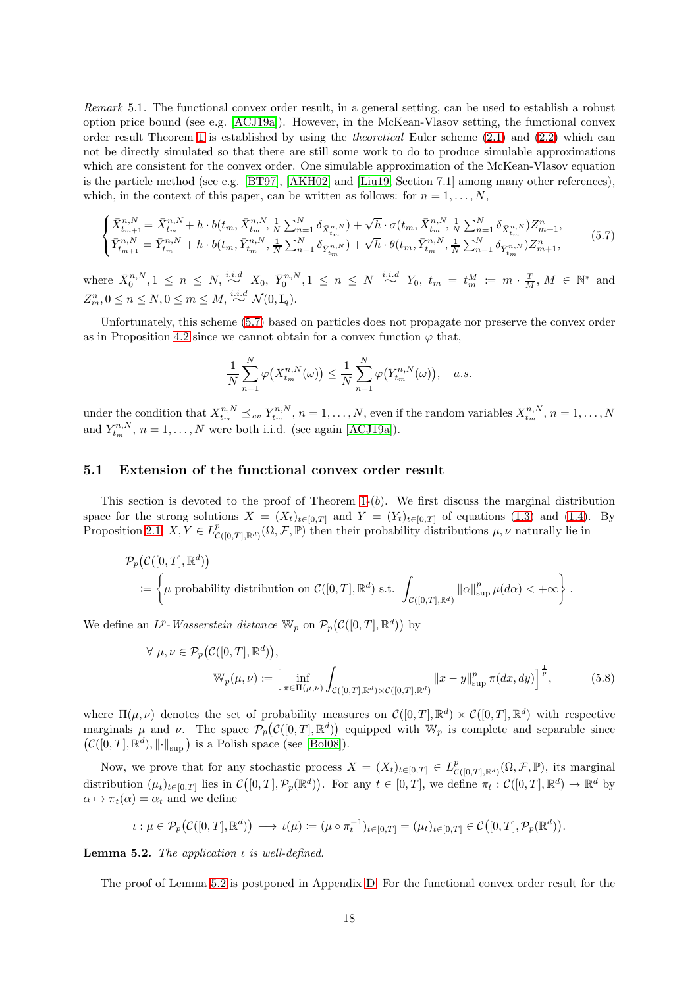Remark 5.1. The functional convex order result, in a general setting, can be used to establish a robust option price bound (see e.g. [\[ACJ19a\]](#page-20-0)). However, in the McKean-Vlasov setting, the functional convex order result Theorem [1](#page-3-1) is established by using the theoretical Euler scheme [\(2.1\)](#page-5-1) and [\(2.2\)](#page-5-2) which can not be directly simulated so that there are still some work to do to produce simulable approximations which are consistent for the convex order. One simulable approximation of the McKean-Vlasov equation is the particle method (see e.g. [\[BT97\]](#page-20-10), [\[AKH02\]](#page-20-11) and [\[Liu19,](#page-21-12) Section 7.1] among many other references), which, in the context of this paper, can be written as follows: for  $n = 1, \ldots, N$ ,

<span id="page-17-1"></span>
$$
\begin{cases}\n\bar{X}_{t_{m+1}}^{n,N} = \bar{X}_{t_m}^{n,N} + h \cdot b(t_m, \bar{X}_{t_m}^{n,N}, \frac{1}{N} \sum_{n=1}^N \delta_{\bar{X}_{t_m}^{n,N}}) + \sqrt{h} \cdot \sigma(t_m, \bar{X}_{t_m}^{n,N}, \frac{1}{N} \sum_{n=1}^N \delta_{\bar{X}_{t_m}^{n,N}}) Z_{m+1}^n, \\
\bar{Y}_{t_{m+1}}^{n,N} = \bar{Y}_{t_m}^{n,N} + h \cdot b(t_m, \bar{Y}_{t_m}^{n,N}, \frac{1}{N} \sum_{n=1}^N \delta_{\bar{Y}_{t_m}^{n,N}}) + \sqrt{h} \cdot \theta(t_m, \bar{Y}_{t_m}^{n,N}, \frac{1}{N} \sum_{n=1}^N \delta_{\bar{Y}_{t_m}^{n,N}}) Z_{m+1}^n,\n\end{cases} (5.7)
$$

where  $\bar{X}_0^{n,N}, 1 \leq n \leq N$ ,  $\stackrel{i.i.d}{\sim} X_0$ ,  $\bar{Y}_0^{n,N}, 1 \leq n \leq N \stackrel{i.i.d}{\sim} Y_0$ ,  $t_m = t_m^M := m \cdot \frac{T}{M}$ ,  $M \in \mathbb{N}^*$  and  $Z_m^n, 0 \le n \le N, 0 \le m \le M, \stackrel{i.i.d}{\sim} \mathcal{N}(0, \mathbf{I}_q).$ 

Unfortunately, this scheme [\(5.7\)](#page-17-1) based on particles does not propagate nor preserve the convex order as in Proposition [4.2](#page-11-0) since we cannot obtain for a convex function  $\varphi$  that,

$$
\frac{1}{N}\sum_{n=1}^N \varphi\big(X_{t_m}^{n,N}(\omega)\big) \leq \frac{1}{N}\sum_{n=1}^N \varphi\big(Y_{t_m}^{n,N}(\omega)\big), \quad a.s.
$$

under the condition that  $X^{n,N}_{t_m} \preceq_{cv} Y^{n,N}_{t_m}$ ,  $n = 1, \ldots, N$ , even if the random variables  $X^{n,N}_{t_m}$ ,  $n = 1, \ldots, N$ and  $Y_{t_m}^{n,N}, n = 1, ..., N$  were both i.i.d. (see again [\[ACJ19a\]](#page-20-0)).

#### 5.1 Extension of the functional convex order result

This section is devoted to the proof of Theorem  $1-(b)$ . We first discuss the marginal distribution space for the strong solutions  $X = (X_t)_{t \in [0,T]}$  and  $Y = (Y_t)_{t \in [0,T]}$  of equations [\(1.3\)](#page-1-1) and [\(1.4\)](#page-1-2). By Proposition [2.1,](#page-5-6)  $X, Y \in L^p_{\mathcal{C}([0,T],\mathbb{R}^d)}(\Omega,\mathcal{F},\mathbb{P})$  then their probability distributions  $\mu, \nu$  naturally lie in

$$
\mathcal{P}_p(C([0,T],\mathbb{R}^d))
$$
  
 :=  $\left\{ \mu \text{ probability distribution on } C([0,T],\mathbb{R}^d) \text{ s.t. } \int_{C([0,T],\mathbb{R}^d)} ||\alpha||_{\sup}^p \mu(d\alpha) < +\infty \right\}.$ 

We define an  $L^p$ -Wasserstein distance  $\mathbb{W}_p$  on  $\mathcal{P}_p(\mathcal{C}([0,T], \mathbb{R}^d))$  by

$$
\forall \mu, \nu \in \mathcal{P}_p(\mathcal{C}([0,T], \mathbb{R}^d)),
$$

$$
\mathbb{W}_p(\mu, \nu) := \left[ \inf_{\pi \in \Pi(\mu, \nu)} \int_{\mathcal{C}([0,T], \mathbb{R}^d) \times \mathcal{C}([0,T], \mathbb{R}^d)} ||x - y||_{\sup}^p \pi(dx, dy) \right]^{\frac{1}{p}},
$$
(5.8)

.

where  $\Pi(\mu, \nu)$  denotes the set of probability measures on  $\mathcal{C}([0,T], \mathbb{R}^d) \times \mathcal{C}([0,T], \mathbb{R}^d)$  with respective marginals  $\mu$  and  $\nu$ . The space  $\mathcal{P}_p(\mathcal{C}([0,T],\mathbb{R}^d))$  equipped with  $\mathbb{W}_p$  is complete and separable since  $\left(\mathcal{C}([0,T],\mathbb{R}^d),\left\|\cdot\right\|_{\sup}\right)$  is a Polish space (see [\[Bol08\]](#page-20-12)).

Now, we prove that for any stochastic process  $X = (X_t)_{t \in [0,T]} \in L^p_{\mathcal{C}([0,T],\mathbb{R}^d)}(\Omega,\mathcal{F},\mathbb{P})$ , its marginal distribution  $(\mu_t)_{t\in[0,T]}$  lies in  $\mathcal{C}([0,T], \mathcal{P}_p(\mathbb{R}^d))$ . For any  $t \in [0,T]$ , we define  $\pi_t : \mathcal{C}([0,T], \mathbb{R}^d) \to \mathbb{R}^d$  by  $\alpha \mapsto \pi_t(\alpha) = \alpha_t$  and we define

$$
\iota : \mu \in \mathcal{P}_p(\mathcal{C}([0,T],\mathbb{R}^d)) \longrightarrow \iota(\mu) \coloneqq (\mu \circ \pi_t^{-1})_{t \in [0,T]} = (\mu_t)_{t \in [0,T]} \in \mathcal{C}([0,T],\mathcal{P}_p(\mathbb{R}^d))
$$

<span id="page-17-0"></span>**Lemma 5.2.** The application  $\iota$  is well-defined.

The proof of Lemma [5.2](#page-17-0) is postponed in Appendix [D.](#page-31-0) For the functional convex order result for the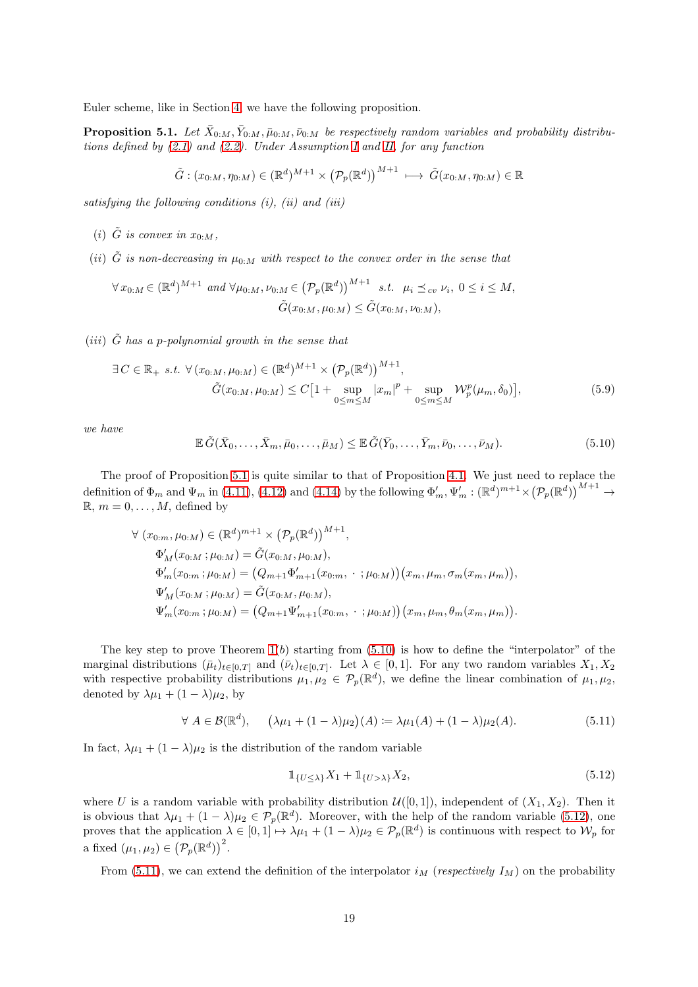Euler scheme, like in Section [4,](#page-9-0) we have the following proposition.

<span id="page-18-0"></span>**Proposition 5.1.** Let  $\bar{X}_{0:M}, \bar{Y}_{0:M}, \bar{\mu}_{0:M}, \bar{\nu}_{0:M}$  be respectively random variables and probability distributions defined by  $(2.1)$  and  $(2.2)$ . Under Assumption [I](#page-2-2) and [II,](#page-2-0) for any function

$$
\tilde{G}:(x_{0:M},\eta_{0:M})\in(\mathbb{R}^d)^{M+1}\times(\mathcal{P}_p(\mathbb{R}^d))^{M+1}\;\longmapsto\,\tilde{G}(x_{0:M},\eta_{0:M})\in\mathbb{R}
$$

satisfying the following conditions  $(i)$ ,  $(ii)$  and  $(iii)$ 

- (i)  $\tilde{G}$  is convex in  $x_0, y_0$ .
- (ii)  $\tilde{G}$  is non-decreasing in  $\mu_{0:M}$  with respect to the convex order in the sense that

$$
\forall x_{0:M} \in (\mathbb{R}^d)^{M+1} \ and \ \forall \mu_{0:M}, \nu_{0:M} \in (\mathcal{P}_p(\mathbb{R}^d))^{M+1} \ s.t. \ \mu_i \preceq_{cv} \nu_i, \ 0 \le i \le M, \tilde{G}(x_{0:M}, \mu_{0:M}) \le \tilde{G}(x_{0:M}, \nu_{0:M}),
$$

(*iii*)  $\tilde{G}$  has a p-polynomial growth in the sense that

$$
\exists C \in \mathbb{R}_{+} \ s.t. \ \forall (x_{0:M}, \mu_{0:M}) \in (\mathbb{R}^{d})^{M+1} \times (\mathcal{P}_{p}(\mathbb{R}^{d}))^{M+1},
$$

$$
\tilde{G}(x_{0:M}, \mu_{0:M}) \le C[1 + \sup_{0 \le m \le M} |x_{m}|^{p} + \sup_{0 \le m \le M} \mathcal{W}_{p}^{p}(\mu_{m}, \delta_{0})],
$$
(5.9)

we have

<span id="page-18-1"></span>
$$
\mathbb{E}\,\tilde{G}(\bar{X}_0,\ldots,\bar{X}_m,\bar{\mu}_0,\ldots,\bar{\mu}_M)\leq \mathbb{E}\,\tilde{G}(\bar{Y}_0,\ldots,\bar{Y}_m,\bar{\nu}_0,\ldots,\bar{\nu}_M). \tag{5.10}
$$

The proof of Proposition [5.1](#page-18-0) is quite similar to that of Proposition [4.1.](#page-10-1) We just need to replace the definition of  $\Phi_m$  and  $\Psi_m$  in [\(4.11\)](#page-13-2), [\(4.12\)](#page-13-3) and [\(4.14\)](#page-14-1) by the following  $\Phi'_m$ ,  $\Psi'_m$  :  $(\mathbb{R}^d)^{m+1} \times (\mathcal{P}_p(\mathbb{R}^d))^{M+1} \to$  $\mathbb{R}, m = 0, \ldots, M$ , defined by

$$
\forall (x_{0:m}, \mu_{0:M}) \in (\mathbb{R}^d)^{m+1} \times (\mathcal{P}_p(\mathbb{R}^d))^{M+1},
$$
  
\n
$$
\Phi'_M(x_{0:M}; \mu_{0:M}) = \tilde{G}(x_{0:M}, \mu_{0:M}),
$$
  
\n
$$
\Phi'_m(x_{0:m}; \mu_{0:M}) = (Q_{m+1}\Phi'_{m+1}(x_{0:m}, \cdot ; \mu_{0:M})) (x_m, \mu_m, \sigma_m(x_m, \mu_m)),
$$
  
\n
$$
\Psi'_M(x_{0:M}; \mu_{0:M}) = \tilde{G}(x_{0:M}, \mu_{0:M}),
$$
  
\n
$$
\Psi'_m(x_{0:m}; \mu_{0:M}) = (Q_{m+1}\Psi'_{m+1}(x_{0:m}, \cdot ; \mu_{0:M})) (x_m, \mu_m, \theta_m(x_m, \mu_m)).
$$

The key step to prove Theorem  $1(b)$  starting from  $(5.10)$  is how to define the "interpolator" of the marginal distributions  $(\bar{\mu}_t)_{t\in[0,T]}$  and  $(\bar{\nu}_t)_{t\in[0,T]}$ . Let  $\lambda \in [0,1]$ . For any two random variables  $X_1, X_2$ with respective probability distributions  $\mu_1, \mu_2 \in \mathcal{P}_p(\mathbb{R}^d)$ , we define the linear combination of  $\mu_1, \mu_2$ , denoted by  $\lambda \mu_1 + (1 - \lambda) \mu_2$ , by

<span id="page-18-3"></span>
$$
\forall A \in \mathcal{B}(\mathbb{R}^d), \quad \left(\lambda \mu_1 + (1 - \lambda)\mu_2\right)(A) \coloneqq \lambda \mu_1(A) + (1 - \lambda)\mu_2(A). \tag{5.11}
$$

In fact,  $\lambda \mu_1 + (1 - \lambda) \mu_2$  is the distribution of the random variable

<span id="page-18-2"></span>
$$
\mathbb{1}_{\{U \le \lambda\}} X_1 + \mathbb{1}_{\{U > \lambda\}} X_2,\tag{5.12}
$$

where U is a random variable with probability distribution  $\mathcal{U}([0,1])$ , independent of  $(X_1, X_2)$ . Then it is obvious that  $\lambda \mu_1 + (1 - \lambda)\mu_2 \in \mathcal{P}_p(\mathbb{R}^d)$ . Moreover, with the help of the random variable [\(5.12\)](#page-18-2), one proves that the application  $\lambda \in [0,1] \mapsto \lambda \mu_1 + (1-\lambda)\mu_2 \in \mathcal{P}_p(\mathbb{R}^d)$  is continuous with respect to  $\mathcal{W}_p$  for a fixed  $(\mu_1, \mu_2) \in (\mathcal{P}_p(\mathbb{R}^d))^2$ .

From [\(5.11\)](#page-18-3), we can extend the definition of the interpolator  $i_M$  (respectively  $I_M$ ) on the probability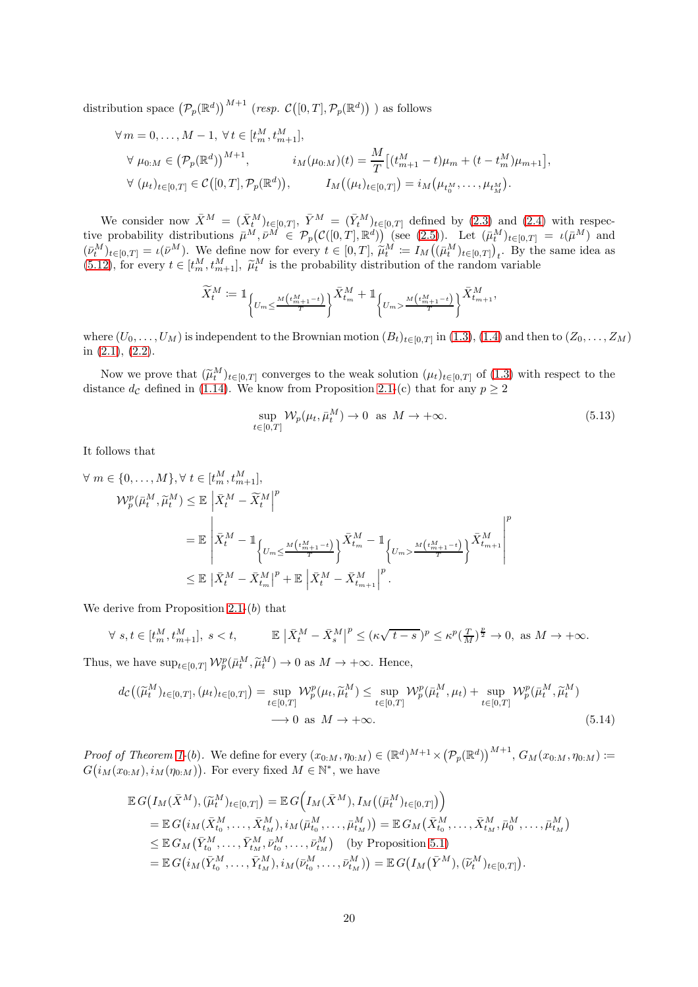distribution space  ${(\mathcal{P}_p(\mathbb{R}^d))}^{M+1}$  (resp.  $\mathcal{C}([0,T], \mathcal{P}_p(\mathbb{R}^d))$ ) as follows

$$
\forall m = 0, ..., M - 1, \forall t \in [t_m^M, t_{m+1}^M],
$$
  
\n
$$
\forall \mu_{0:M} \in (P_p(\mathbb{R}^d))^{M+1}, \qquad i_M(\mu_{0:M})(t) = \frac{M}{T} [(t_{m+1}^M - t)\mu_m + (t - t_m^M)\mu_{m+1}],
$$
  
\n
$$
\forall (\mu_t)_{t \in [0,T]} \in C([0,T], \mathcal{P}_p(\mathbb{R}^d)), \qquad I_M((\mu_t)_{t \in [0,T]}) = i_M(\mu_{t_0^M}, ..., \mu_{t_M^M}).
$$

We consider now  $\bar{X}^M = (\bar{X}^M_t)_{t \in [0,T]}, \ \bar{Y}^M = (\bar{Y}^M_t)_{t \in [0,T]}$  defined by [\(2.3\)](#page-5-4) and [\(2.4\)](#page-5-5) with respective probability distributions  $\bar{\mu}^M$ ,  $\bar{\nu}^M \in \mathcal{P}_p(\mathcal{C}([0,T],\mathbb{R}^d))$  (see [\(2.5\)](#page-5-7)). Let  $(\bar{\mu}_t^M)_{t\in[0,T]} = \iota(\bar{\mu}^M)$  and  $(\bar{\nu}_{t}^{M})_{t\in[0,T]} = \iota(\bar{\nu}^{M})$ . We define now for every  $t \in [0,T]$ ,  $\tilde{\mu}_{t}^{M} := I_{M}((\bar{\mu}_{t}^{M})_{t\in[0,T]})_{t}$ . By the same idea as [\(5.12\)](#page-18-2), for every  $t \in [t_m^M, t_{m+1}^M]$ ,  $\tilde{\mu}_t^M$  is the probability distribution of the random variable

$$
\widetilde{X}^M_t \coloneqq \mathbbm{1}_{\left\{U_m \leq \frac{M\left(t^M_{m+1}-t\right)}{T}\right\}} \bar{X}^M_{t_m} + \mathbbm{1}_{\left\{U_m > \frac{M\left(t^M_{m+1}-t\right)}{T}\right\}} \bar{X}^M_{t_{m+1}},
$$

where  $(U_0, \ldots, U_M)$  is independent to the Brownian motion  $(B_t)_{t \in [0,T]}$  in  $(1.3)$ ,  $(1.4)$  and then to  $(Z_0, \ldots, Z_M)$ in [\(2.1\)](#page-5-1), [\(2.2\)](#page-5-2).

Now we prove that  $(\widetilde{\mu}_t^M)_{t \in [0,T]}$  converges to the weak solution  $(\mu_t)_{t \in [0,T]}$  of  $(1.3)$  with respect to the distance dc defined in [\(1.14\)](#page-3-0). We know from Proposition [2.1-](#page-5-6)(c) that for any  $p \ge 2$ 

<span id="page-19-0"></span>
$$
\sup_{t \in [0,T]} \mathcal{W}_p(\mu_t, \bar{\mu}_t^M) \to 0 \text{ as } M \to +\infty.
$$
\n(5.13)

It follows that

$$
\forall m \in \{0, \ldots, M\}, \forall t \in [t_m^M, t_{m+1}^M],
$$
  
\n
$$
\mathcal{W}_p^p(\bar{\mu}_t^M, \tilde{\mu}_t^M) \leq \mathbb{E} \left| \bar{X}_t^M - \widetilde{X}_t^M \right|^p
$$
  
\n
$$
= \mathbb{E} \left| \bar{X}_t^M - \mathbb{1}_{\left\{ U_m \leq \frac{M\left( t_{m+1}^M - t \right)}{T} \right\}} \bar{X}_{t_m}^M - \mathbb{1}_{\left\{ U_m > \frac{M\left( t_{m+1}^M - t \right)}{T} \right\}} \bar{X}_{t_{m+1}}^M \right|^p
$$
  
\n
$$
\leq \mathbb{E} \left| \bar{X}_t^M - \bar{X}_{t_m}^M \right|^p + \mathbb{E} \left| \bar{X}_t^M - \bar{X}_{t_{m+1}}^M \right|^p.
$$

We derive from Proposition  $2.1-(b)$  that

$$
\forall s, t \in [t_m^M, t_{m+1}^M], s < t, \qquad \mathbb{E} \left| \bar{X}_t^M - \bar{X}_s^M \right|^p \leq (\kappa \sqrt{t-s})^p \leq \kappa^p (\frac{T}{M})^{\frac{p}{2}} \to 0, \text{ as } M \to +\infty.
$$

Thus, we have  $\sup_{t\in[0,T]} \mathcal{W}_p^p(\bar{\mu}_t^M, \tilde{\mu}_t^M) \to 0$  as  $M \to +\infty$ . Hence,

$$
d_{\mathcal{C}}\left((\widetilde{\mu}_{t}^{M})_{t\in[0,T]},(\mu_{t})_{t\in[0,T]}\right) = \sup_{t\in[0,T]} \mathcal{W}_{p}^{p}(\mu_{t},\widetilde{\mu}_{t}^{M}) \leq \sup_{t\in[0,T]} \mathcal{W}_{p}^{p}(\bar{\mu}_{t}^{M},\mu_{t}) + \sup_{t\in[0,T]} \mathcal{W}_{p}^{p}(\bar{\mu}_{t}^{M},\widetilde{\mu}_{t}^{M})
$$
  

$$
\longrightarrow 0 \text{ as } M \to +\infty.
$$
 (5.14)

Proof of Theorem [1-](#page-3-1)(b). We define for every  $(x_{0:M}, \eta_{0:M}) \in (\mathbb{R}^d)^{M+1} \times (\mathcal{P}_p(\mathbb{R}^d))^{M+1}, G_M(x_{0:M}, \eta_{0:M}) \coloneqq$  $G(i_M(x_{0:M}), i_M(\eta_{0:M}))$ . For every fixed  $M \in \mathbb{N}^*$ , we have

$$
\mathbb{E} G(I_M(\bar{X}^M), (\tilde{\mu}_t^M)_{t \in [0,T]}) = \mathbb{E} G(I_M(\bar{X}^M), I_M((\bar{\mu}_t^M)_{t \in [0,T]}))
$$
\n
$$
= \mathbb{E} G(i_M(\bar{X}^M_{t_0}, \dots, \bar{X}^M_{t_M}), i_M(\bar{\mu}^M_{t_0}, \dots, \bar{\mu}^M_{t_M})) = \mathbb{E} G_M(\bar{X}^M_{t_0}, \dots, \bar{X}^M_{t_M}, \bar{\mu}^M_0, \dots, \bar{\mu}^M_{t_M})
$$
\n
$$
\leq \mathbb{E} G_M(\bar{Y}^M_{t_0}, \dots, \bar{Y}^M_{t_M}, \bar{\nu}^M_{t_0}, \dots, \bar{\nu}^M_{t_M}) \quad \text{(by Proposition 5.1)}
$$
\n
$$
= \mathbb{E} G(i_M(\bar{Y}^M_{t_0}, \dots, \bar{Y}^M_{t_M}), i_M(\bar{\nu}^M_{t_0}, \dots, \bar{\nu}^M_{t_M})) = \mathbb{E} G(I_M(\bar{Y}^M), (\tilde{\nu}^M_t)_{t \in [0,T]}).
$$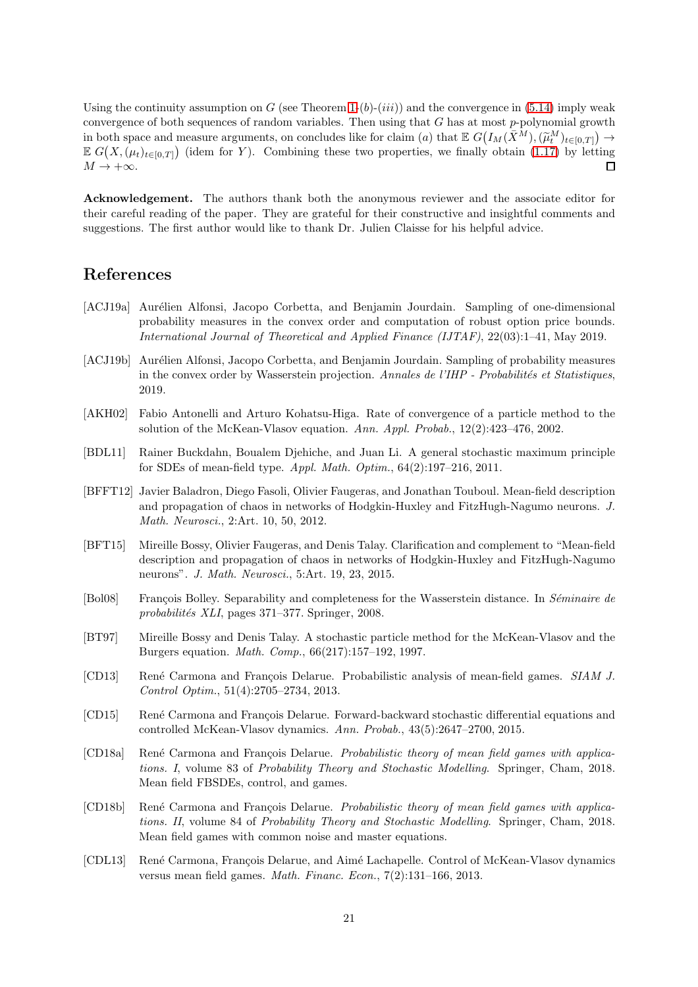Using the continuity assumption on G (see Theorem [1-](#page-3-1) $(b)$ - $(iii)$ ) and the convergence in [\(5.14\)](#page-19-0) imply weak convergence of both sequences of random variables. Then using that  $G$  has at most  $p$ -polynomial growth in both space and measure arguments, on concludes like for claim (a) that  $\mathbb{E} G(I_M(\bar{X}^M),(\tilde{\mu}_t^M)_{t\in[0,T]}) \to$  $\mathbb{E} G(X, (\mu_t)_{t\in[0,T]})$  (idem for Y). Combining these two properties, we finally obtain [\(1.17\)](#page-3-3) by letting  $M \rightarrow +\infty$ .  $\Box$ 

Acknowledgement. The authors thank both the anonymous reviewer and the associate editor for their careful reading of the paper. They are grateful for their constructive and insightful comments and suggestions. The first author would like to thank Dr. Julien Claisse for his helpful advice.

### References

- <span id="page-20-0"></span>[ACJ19a] Aurélien Alfonsi, Jacopo Corbetta, and Benjamin Jourdain. Sampling of one-dimensional probability measures in the convex order and computation of robust option price bounds. International Journal of Theoretical and Applied Finance (IJTAF), 22(03):1–41, May 2019.
- <span id="page-20-9"></span>[ACJ19b] Aurélien Alfonsi, Jacopo Corbetta, and Benjamin Jourdain. Sampling of probability measures in the convex order by Wasserstein projection. Annales de l'IHP - Probabilités et Statistiques, 2019.
- <span id="page-20-11"></span>[AKH02] Fabio Antonelli and Arturo Kohatsu-Higa. Rate of convergence of a particle method to the solution of the McKean-Vlasov equation. Ann. Appl. Probab., 12(2):423–476, 2002.
- <span id="page-20-6"></span>[BDL11] Rainer Buckdahn, Boualem Djehiche, and Juan Li. A general stochastic maximum principle for SDEs of mean-field type. Appl. Math. Optim., 64(2):197–216, 2011.
- <span id="page-20-1"></span>[BFFT12] Javier Baladron, Diego Fasoli, Olivier Faugeras, and Jonathan Touboul. Mean-field description and propagation of chaos in networks of Hodgkin-Huxley and FitzHugh-Nagumo neurons. J. Math. Neurosci., 2:Art. 10, 50, 2012.
- <span id="page-20-2"></span>[BFT15] Mireille Bossy, Olivier Faugeras, and Denis Talay. Clarification and complement to "Mean-field description and propagation of chaos in networks of Hodgkin-Huxley and FitzHugh-Nagumo neurons". J. Math. Neurosci., 5:Art. 19, 23, 2015.
- <span id="page-20-12"></span>[Bol08] Francois Bolley. Separability and completeness for the Wasserstein distance. In Séminaire de  $probabilities$  XLI, pages 371–377. Springer, 2008.
- <span id="page-20-10"></span>[BT97] Mireille Bossy and Denis Talay. A stochastic particle method for the McKean-Vlasov and the Burgers equation. Math. Comp., 66(217):157–192, 1997.
- <span id="page-20-3"></span>[CD13] René Carmona and François Delarue. Probabilistic analysis of mean-field games. SIAM J. Control Optim., 51(4):2705–2734, 2013.
- <span id="page-20-4"></span>[CD15] René Carmona and François Delarue. Forward-backward stochastic differential equations and controlled McKean-Vlasov dynamics. Ann. Probab., 43(5):2647–2700, 2015.
- <span id="page-20-5"></span>[CD18a] René Carmona and François Delarue. Probabilistic theory of mean field games with applications. I, volume 83 of Probability Theory and Stochastic Modelling. Springer, Cham, 2018. Mean field FBSDEs, control, and games.
- <span id="page-20-8"></span>[CD18b] René Carmona and François Delarue. Probabilistic theory of mean field games with applications. II, volume 84 of Probability Theory and Stochastic Modelling. Springer, Cham, 2018. Mean field games with common noise and master equations.
- <span id="page-20-7"></span>[CDL13] René Carmona, François Delarue, and Aimé Lachapelle. Control of McKean-Vlasov dynamics versus mean field games. Math. Financ. Econ., 7(2):131–166, 2013.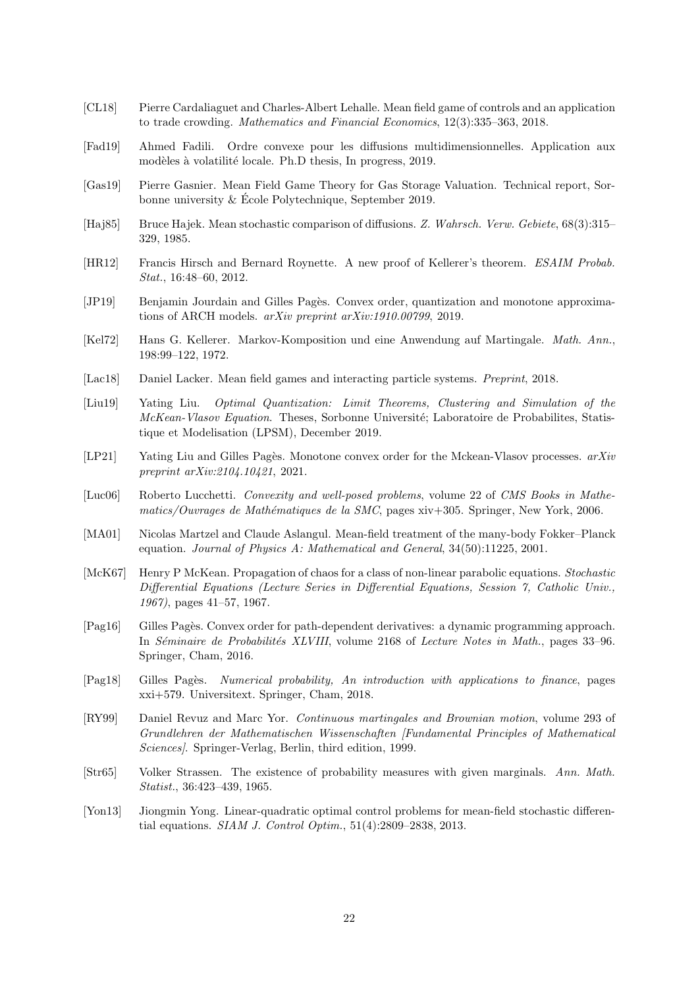- <span id="page-21-7"></span>[CL18] Pierre Cardaliaguet and Charles-Albert Lehalle. Mean field game of controls and an application to trade crowding. Mathematics and Financial Economics, 12(3):335–363, 2018.
- <span id="page-21-17"></span>[Fad19] Ahmed Fadili. Ordre convexe pour les diffusions multidimensionnelles. Application aux modèles à volatilité locale. Ph.D thesis, In progress, 2019.
- <span id="page-21-8"></span>[Gas19] Pierre Gasnier. Mean Field Game Theory for Gas Storage Valuation. Technical report, Sorbonne university & Ecole Polytechnique, September 2019.
- <span id="page-21-10"></span>[Haj85] Bruce Hajek. Mean stochastic comparison of diffusions. Z. Wahrsch. Verw. Gebiete, 68(3):315– 329, 1985.
- <span id="page-21-1"></span>[HR12] Francis Hirsch and Bernard Roynette. A new proof of Kellerer's theorem. ESAIM Probab. Stat., 16:48–60, 2012.
- <span id="page-21-4"></span>[JP19] Benjamin Jourdain and Gilles Pagès. Convex order, quantization and monotone approximations of ARCH models. arXiv preprint arXiv:1910.00799, 2019.
- <span id="page-21-0"></span>[Kel72] Hans G. Kellerer. Markov-Komposition und eine Anwendung auf Martingale. Math. Ann., 198:99–122, 1972.
- <span id="page-21-13"></span>[Lac18] Daniel Lacker. Mean field games and interacting particle systems. Preprint, 2018.
- <span id="page-21-12"></span>[Liu19] Yating Liu. Optimal Quantization: Limit Theorems, Clustering and Simulation of the McKean-Vlasov Equation. Theses, Sorbonne Université; Laboratoire de Probabilites, Statistique et Modelisation (LPSM), December 2019.
- <span id="page-21-11"></span>[LP21] Yating Liu and Gilles Pages. Monotone convex order for the Mckean-Vlasov processes.  $arXiv$ preprint arXiv:2104.10421, 2021.
- <span id="page-21-14"></span>[Luc06] Roberto Lucchetti. Convexity and well-posed problems, volume 22 of CMS Books in Mathe $matics/Ourages de Mathématiques de la SMC, pages xiv+305. Springer, New York, 2006.$
- <span id="page-21-6"></span>[MA01] Nicolas Martzel and Claude Aslangul. Mean-field treatment of the many-body Fokker–Planck equation. Journal of Physics A: Mathematical and General, 34(50):11225, 2001.
- <span id="page-21-5"></span>[McK67] Henry P McKean. Propagation of chaos for a class of non-linear parabolic equations. Stochastic Differential Equations (Lecture Series in Differential Equations, Session 7, Catholic Univ., 1967), pages 41–57, 1967.
- <span id="page-21-3"></span>[Pag16] Gilles Pagès. Convex order for path-dependent derivatives: a dynamic programming approach. In Séminaire de Probabilités XLVIII, volume 2168 of Lecture Notes in Math., pages 33–96. Springer, Cham, 2016.
- <span id="page-21-15"></span>[Pag18] Gilles Pages. Numerical probability, An introduction with applications to finance, pages xxi+579. Universitext. Springer, Cham, 2018.
- <span id="page-21-16"></span>[RY99] Daniel Revuz and Marc Yor. Continuous martingales and Brownian motion, volume 293 of Grundlehren der Mathematischen Wissenschaften [Fundamental Principles of Mathematical Sciences]. Springer-Verlag, Berlin, third edition, 1999.
- <span id="page-21-2"></span>[Str65] Volker Strassen. The existence of probability measures with given marginals. Ann. Math. Statist., 36:423–439, 1965.
- <span id="page-21-9"></span>[Yon13] Jiongmin Yong. Linear-quadratic optimal control problems for mean-field stochastic differential equations. SIAM J. Control Optim., 51(4):2809–2838, 2013.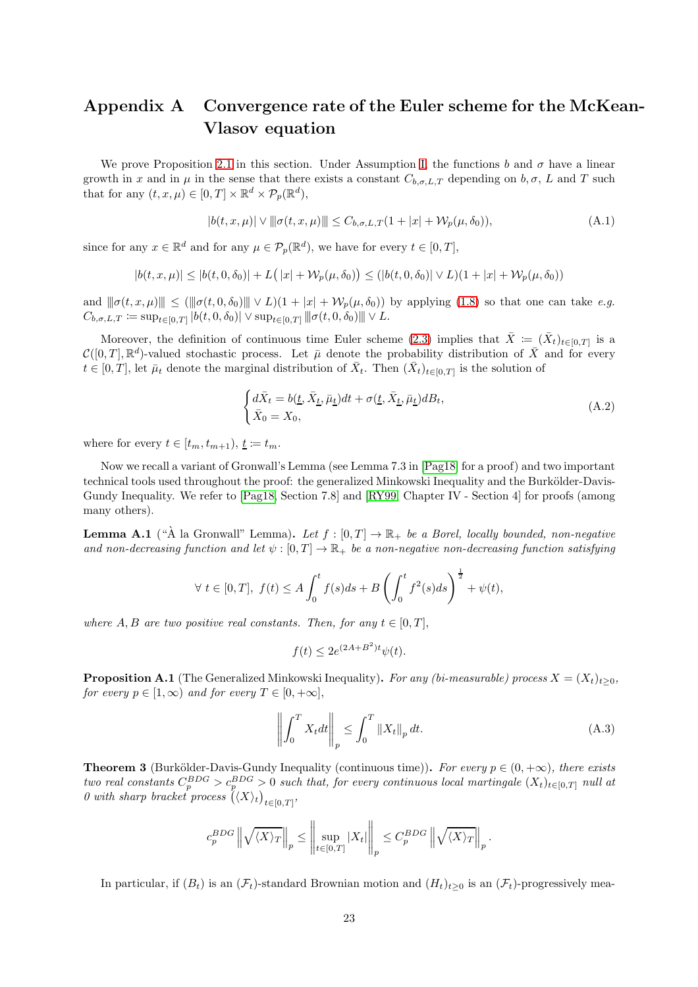# <span id="page-22-0"></span>Appendix A Convergence rate of the Euler scheme for the McKean-Vlasov equation

We prove Proposition [2.1](#page-5-6) in this section. Under Assumption [I,](#page-2-2) the functions b and  $\sigma$  have a linear growth in x and in  $\mu$  in the sense that there exists a constant  $C_{b,\sigma,L,T}$  depending on  $b,\sigma, L$  and T such that for any  $(t, x, \mu) \in [0, T] \times \mathbb{R}^d \times \mathcal{P}_p(\mathbb{R}^d)$ ,

<span id="page-22-1"></span>
$$
|b(t, x, \mu)| \vee ||\sigma(t, x, \mu)|| \le C_{b, \sigma, L, T} (1 + |x| + \mathcal{W}_p(\mu, \delta_0)),
$$
\n(A.1)

since for any  $x \in \mathbb{R}^d$  and for any  $\mu \in \mathcal{P}_p(\mathbb{R}^d)$ , we have for every  $t \in [0, T]$ ,

$$
|b(t,x,\mu)|\leq|b(t,0,\delta_0)|+L\big(\left|x\right|+\mathcal{W}_p(\mu,\delta_0)\big)\leq \left(|b(t,0,\delta_0)|\vee L\right)\left(1+\left|x\right|+\mathcal{W}_p(\mu,\delta_0)\right)
$$

and  $\|\sigma(t, x, \mu)\| \leq (\|\sigma(t, 0, \delta_0)\| \vee L)(1 + |x| + \mathcal{W}_p(\mu, \delta_0))$  by applying [\(1.8\)](#page-2-3) so that one can take e.g.  $C_{b,\sigma,L,T} := \sup_{t \in [0,T]} |b(t,0,\delta_0)| \vee \sup_{t \in [0,T]} ||\sigma(t,0,\delta_0)||| \vee L.$ 

Moreover, the definition of continuous time Euler scheme [\(2.3\)](#page-5-4) implies that  $\bar{X} := (\bar{X}_t)_{t \in [0,T]}$  is a  $\mathcal{C}([0,T],\mathbb{R}^d)$ -valued stochastic process. Let  $\bar{\mu}$  denote the probability distribution of  $\bar{X}$  and for every  $t \in [0,T]$ , let  $\bar{\mu}_t$  denote the marginal distribution of  $\bar{X}_t$ . Then  $(\bar{X}_t)_{t \in [0,T]}$  is the solution of

$$
\begin{cases} d\bar{X}_t = b(\underline{t}, \bar{X}_{\underline{t}}, \bar{\mu}_t)dt + \sigma(\underline{t}, \bar{X}_{\underline{t}}, \bar{\mu}_t)dB_t, \\ \bar{X}_0 = X_0, \end{cases} \tag{A.2}
$$

where for every  $t \in [t_m, t_{m+1}), \underline{t} \coloneqq t_m$ .

Now we recall a variant of Gronwall's Lemma (see Lemma 7.3 in [\[Pag18\]](#page-21-15) for a proof) and two important technical tools used throughout the proof: the generalized Minkowski Inequality and the Burkölder-Davis-Gundy Inequality. We refer to [\[Pag18,](#page-21-15) Section 7.8] and [\[RY99,](#page-21-16) Chapter IV - Section 4] for proofs (among many others).

<span id="page-22-3"></span>**Lemma A.1** ("A la Gronwall" Lemma). Let  $f : [0, T] \to \mathbb{R}_+$  be a Borel, locally bounded, non-negative and non-decreasing function and let  $\psi:[0,T] \to \mathbb{R}_+$  be a non-negative non-decreasing function satisfying

$$
\forall \ t \in [0, T], \ f(t) \le A \int_0^t f(s)ds + B\left(\int_0^t f^2(s)ds\right)^{\frac{1}{2}} + \psi(t),
$$

where A, B are two positive real constants. Then, for any  $t \in [0, T]$ ,

$$
f(t) \le 2e^{(2A+B^2)t}\psi(t).
$$

<span id="page-22-2"></span>**Proposition A.1** (The Generalized Minkowski Inequality). For any (bi-measurable) process  $X = (X_t)_{t>0}$ , for every  $p \in [1,\infty)$  and for every  $T \in [0,+\infty]$ ,

$$
\left\| \int_{0}^{T} X_{t} dt \right\|_{p} \leq \int_{0}^{T} \|X_{t}\|_{p} dt.
$$
\n(A.3)

<span id="page-22-4"></span>**Theorem 3** (Burkölder-Davis-Gundy Inequality (continuous time)). For every  $p \in (0, +\infty)$ , there exists two real constants  $C_p^{BDG} > c_p^{BDG} > 0$  such that, for every continuous local martingale  $(X_t)_{t \in [0,T]}$  null at 0 with sharp bracket process  $((X)_t)_{t\in[0,T]},$ 

$$
c_p^{BDG} \left\| \sqrt{\langle X \rangle_T} \right\|_p \le \left\| \sup_{t \in [0,T]} |X_t| \right\|_p \le C_p^{BDG} \left\| \sqrt{\langle X \rangle_T} \right\|_p.
$$

 $\mathbf{r}$ 

In particular, if  $(B_t)$  is an  $(\mathcal{F}_t)$ -standard Brownian motion and  $(H_t)_{t>0}$  is an  $(\mathcal{F}_t)$ -progressively mea-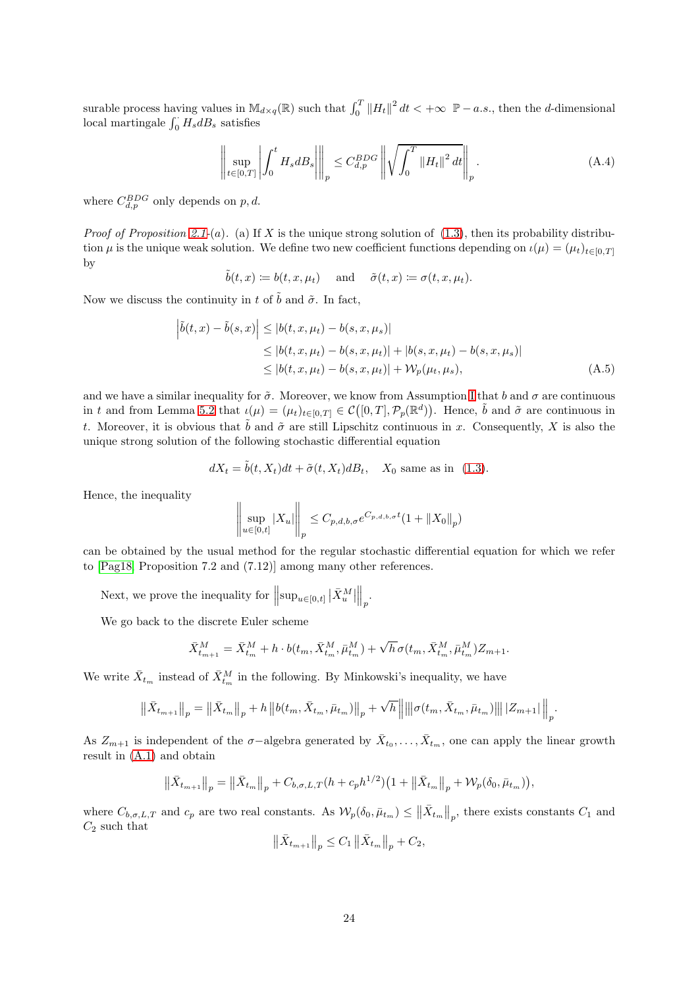surable process having values in  $\mathbb{M}_{d\times q}(\mathbb{R})$  such that  $\int_0^T \|H_t\|^2 dt < +\infty \ \mathbb{P}-a.s.$ , then the d-dimensional local martingale  $\int_0^{\cdot} H_s dB_s$  satisfies

<span id="page-23-0"></span>
$$
\left\| \sup_{t \in [0,T]} \left| \int_0^t H_s dB_s \right| \right\|_p \leq C_{d,p}^{BDG} \left\| \sqrt{\int_0^T \left\| H_t \right\|^2 dt} \right\|_p. \tag{A.4}
$$

where  $C_{d,p}^{BDG}$  only depends on  $p, d$ .

*Proof of Proposition [2.1-](#page-5-6)(a).* (a) If X is the unique strong solution of (1.[3\)](#page-1-1), then its probability distribution  $\mu$  is the unique weak solution. We define two new coefficient functions depending on  $\iota(\mu) = (\mu_t)_{t \in [0,T]}$ by

 $\tilde{b}(t, x) \coloneqq b(t, x, \mu_t)$  and  $\tilde{\sigma}(t, x) \coloneqq \sigma(t, x, \mu_t).$ 

Now we discuss the continuity in t of  $\tilde{b}$  and  $\tilde{\sigma}$ . In fact,

$$
\left| \tilde{b}(t, x) - \tilde{b}(s, x) \right| \le |b(t, x, \mu_t) - b(s, x, \mu_s)|
$$
  
\n
$$
\le |b(t, x, \mu_t) - b(s, x, \mu_t)| + |b(s, x, \mu_t) - b(s, x, \mu_s)|
$$
  
\n
$$
\le |b(t, x, \mu_t) - b(s, x, \mu_t)| + \mathcal{W}_p(\mu_t, \mu_s),
$$
\n(A.5)

and we have a similar inequality for  $\tilde{\sigma}$ . Moreover, we know from Assumption [I](#page-2-2) that b and  $\sigma$  are continuous in t and from Lemma [5.2](#page-17-0) that  $\iota(\mu) = (\mu_t)_{t \in [0,T]} \in C([0,T], \mathcal{P}_p(\mathbb{R}^d))$ . Hence,  $\tilde{b}$  and  $\tilde{\sigma}$  are continuous in t. Moreover, it is obvious that  $\tilde{b}$  and  $\tilde{\sigma}$  are still Lipschitz continuous in x. Consequently, X is also the unique strong solution of the following stochastic differential equation

$$
dX_t = \tilde{b}(t, X_t)dt + \tilde{\sigma}(t, X_t)dB_t, \quad X_0 \text{ same as in (1.3)}.
$$

Hence, the inequality

$$
\left\|\sup_{u\in[0,t]}|X_u|\right\|_p \leq C_{p,d,b,\sigma}e^{C_{p,d,b,\sigma}t}(1+\|X_0\|_p)
$$

can be obtained by the usual method for the regular stochastic differential equation for which we refer to [\[Pag18,](#page-21-15) Proposition 7.2 and (7.12)] among many other references.

Next, we prove the inequality for  $\left\|\sup_{u\in[0,t]}\left|\bar{X}^M_u\right|\right.$  $\big\|_p.$ 

We go back to the discrete Euler scheme

$$
\bar{X}_{t_{m+1}}^M = \bar{X}_{t_m}^M + h \cdot b(t_m, \bar{X}_{t_m}^M, \bar{\mu}_{t_m}^M) + \sqrt{h} \sigma(t_m, \bar{X}_{t_m}^M, \bar{\mu}_{t_m}^M) Z_{m+1}.
$$

We write  $\bar{X}_{t_m}$  instead of  $\bar{X}_{t_m}^M$  in the following. By Minkowski's inequality, we have

$$
\left\Vert \bar{X}_{t_{m+1}}\right\Vert _{p}=\left\Vert \bar{X}_{t_{m}}\right\Vert _{p}+h\left\Vert b(t_{m},\bar{X}_{t_{m}},\bar{\mu}_{t_{m}})\right\Vert _{p}+\sqrt{h}\left\Vert \left\Vert \sigma(t_{m},\bar{X}_{t_{m}},\bar{\mu}_{t_{m}})\right\Vert \right\Vert \left\vert Z_{m+1}\right\vert \right\Vert _{p}.
$$

As  $Z_{m+1}$  is independent of the  $\sigma$ -algebra generated by  $\bar{X}_{t_0}, \ldots, \bar{X}_{t_m}$ , one can apply the linear growth result in [\(A.1\)](#page-22-1) and obtain

$$
\|\bar{X}_{t_{m+1}}\|_p = \|\bar{X}_{t_m}\|_p + C_{b,\sigma,L,T}(h + c_p h^{1/2})\left(1 + \|\bar{X}_{t_m}\|_p + \mathcal{W}_p(\delta_0, \bar{\mu}_{t_m})\right),
$$

where  $C_{b,\sigma,L,T}$  and  $c_p$  are two real constants. As  $\mathcal{W}_p(\delta_0, \bar{\mu}_{t_m}) \leq ||\bar{X}_{t_m}||_p$ , there exists constants  $C_1$  and  $C_2$  such that

$$
\left\| \bar{X}_{t_{m+1}} \right\|_{p} \leq C_{1} \left\| \bar{X}_{t_{m}} \right\|_{p} + C_{2},
$$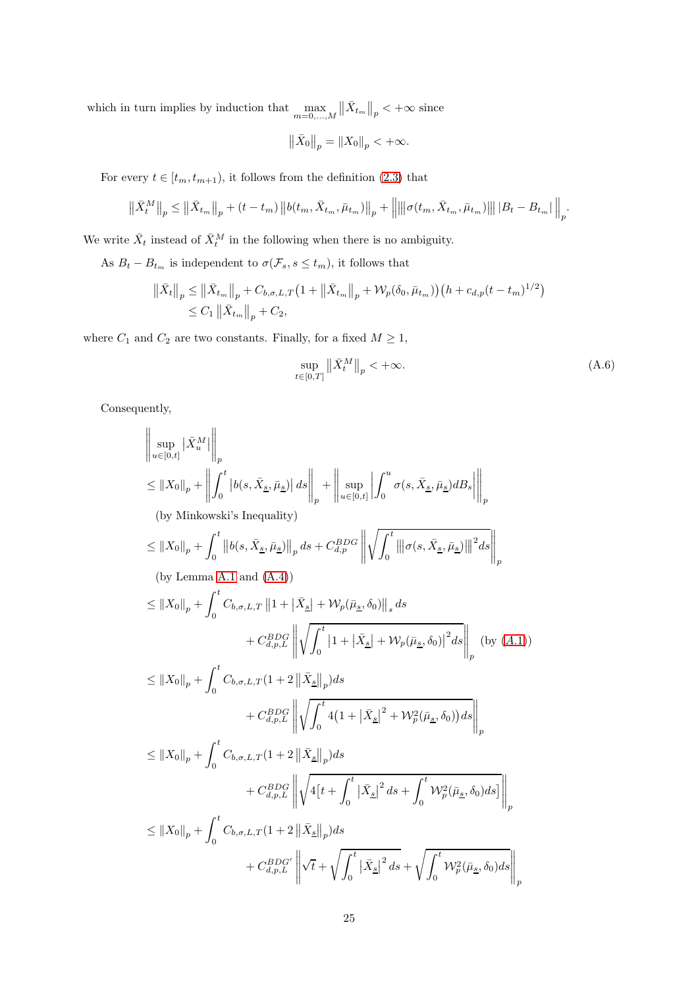which in turn implies by induction that  $\max_{m=0,\ldots,M}$  $\left\|\bar{X}_{t_m}\right\|_p < +\infty$  since

$$
\left\| \bar{X}_0 \right\|_p = \left\| X_0 \right\|_p < +\infty.
$$

For every  $t \in [t_m, t_{m+1})$ , it follows from the definition [\(2.3\)](#page-5-4) that

$$
\left\| \bar{X}_{t}^{M} \right\|_{p} \leq \left\| \bar{X}_{t_{m}} \right\|_{p} + (t - t_{m}) \left\| b(t_{m}, \bar{X}_{t_{m}}, \bar{\mu}_{t_{m}}) \right\|_{p} + \left\| \left\| \sigma(t_{m}, \bar{X}_{t_{m}}, \bar{\mu}_{t_{m}}) \right\| \right\| \left| B_{t} - B_{t_{m}} \right| \right\|_{p}.
$$

We write  $\bar{X}_t$  instead of  $\bar{X}_t^M$  in the following when there is no ambiguity.

As  $B_t - B_{t_m}$  is independent to  $\sigma(\mathcal{F}_s, s \le t_m)$ , it follows that

$$
\|\bar{X}_t\|_p \le \|\bar{X}_{t_m}\|_p + C_{b,\sigma,L,T} \left(1 + \|\bar{X}_{t_m}\|_p + \mathcal{W}_p(\delta_0, \bar{\mu}_{t_m})\right) \left(h + c_{d,p}(t - t_m)^{1/2}\right) \\
\le C_1 \|\bar{X}_{t_m}\|_p + C_2,
$$

where  $C_1$  and  $C_2$  are two constants. Finally, for a fixed  $M \ge 1$ ,

<span id="page-24-0"></span>
$$
\sup_{t \in [0,T]} \left\| \bar{X}_t^M \right\|_p < +\infty. \tag{A.6}
$$

Consequently,

$$
\left\|\sup_{u\in[0,t]} |\bar{X}_{u}^{M}|\right\|_{p}
$$
\n
$$
\leq \|X_{0}\|_{p} + \left\|\int_{0}^{t} |b(s, \bar{X}_{\underline{s}}, \bar{\mu}_{\underline{s}})| ds \right\|_{p} + \left\|\sup_{u\in[0,t]} \left| \int_{0}^{u} \sigma(s, \bar{X}_{\underline{s}}, \bar{\mu}_{\underline{s}}) dB_{s} \right\|_{p}
$$
\n(by Minkowski's Inequality)\n
$$
\leq \|X_{0}\|_{p} + \int_{0}^{t} \|b(s, \bar{X}_{\underline{s}}, \bar{\mu}_{\underline{s}})\|_{p} ds + C_{a,p}^{BDG} \left\|\sqrt{\int_{0}^{t} ||\sigma(s, \bar{X}_{\underline{s}}, \bar{\mu}_{\underline{s}})||^{2} ds} \right\|_{p}
$$
\n(by Lemma A.1 and (A.4))\n
$$
\leq \|X_{0}\|_{p} + \int_{0}^{t} C_{b,\sigma,L,T} \|1 + |\bar{X}_{\underline{s}}| + \mathcal{W}_{p}(\bar{\mu}_{\underline{s}}, \delta_{0})\|_{s} ds
$$
\n
$$
+ C_{d,p,L}^{BDG} \left\|\sqrt{\int_{0}^{t} |1 + |\bar{X}_{\underline{s}}| + \mathcal{W}_{p}(\bar{\mu}_{\underline{s}}, \delta_{0})|^{2} ds} \right\|_{p}
$$
\n(by (A.1))\n
$$
\leq \|X_{0}\|_{p} + \int_{0}^{t} C_{b,\sigma,L,T} (1 + 2 \|\bar{X}_{\underline{s}}\|_{p}) ds
$$
\n
$$
+ C_{d,p,L}^{BDG} \left\|\sqrt{\int_{0}^{t} 4(1 + |\bar{X}_{\underline{s}}|^{2} + \mathcal{W}_{p}^{2}(\bar{\mu}_{\underline{s}}, \delta_{0})) ds} \right\|_{p}
$$
\n
$$
\leq \|X_{0}\|_{p} + \int_{0}^{t} C_{b,\sigma,L,T} (1 + 2 \|\bar{X}_{\underline{s}}\|_{p}) ds
$$
\n
$$
+ C_{d,p,L}^{BDG} \left\|\sqrt{4\left[t + \int_{0}^{t} |\bar{X}_{\underline{s}}|^{2} ds + \int_{0}^{t} \mathcal{W}_{p}^{2}(\bar{\mu}_{\underline{s}}, \delta_{0}) ds}\right\|_{p}
$$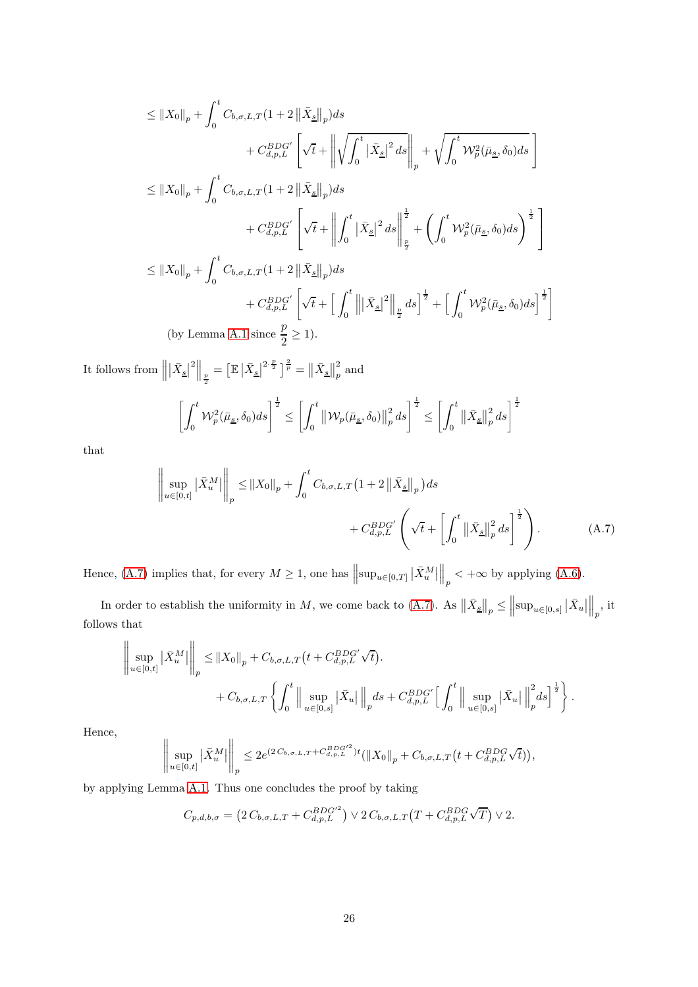$$
\leq ||X_0||_p + \int_0^t C_{b,\sigma,L,T}(1+2||\bar{X}_{\underline{s}}||_p)ds + C_{d,p,L}^{BDG'} \left[\sqrt{t} + \left\|\sqrt{\int_0^t |\bar{X}_{\underline{s}}|^2 ds}\right\|_p + \sqrt{\int_0^t W_p^2(\bar{\mu}_{\underline{s}}, \delta_0)ds}\right] \leq ||X_0||_p + \int_0^t C_{b,\sigma,L,T}(1+2||\bar{X}_{\underline{s}}||_p)ds + C_{d,p,L}^{BDG'} \left[\sqrt{t} + \left\|\int_0^t |\bar{X}_{\underline{s}}|^2 ds\right\|_{\frac{p}{2}}^{\frac{1}{2}} + \left(\int_0^t W_p^2(\bar{\mu}_{\underline{s}}, \delta_0)ds\right)^{\frac{1}{2}}\right] \leq ||X_0||_p + \int_0^t C_{b,\sigma,L,T}(1+2||\bar{X}_{\underline{s}}||_p)ds + C_{d,p,L}^{BDG'} \left[\sqrt{t} + \left[\int_0^t \left\|\left|\bar{X}_{\underline{s}}\right|^2\right\|_{\frac{p}{2}} ds\right]^{\frac{1}{2}} + \left[\int_0^t W_p^2(\bar{\mu}_{\underline{s}}, \delta_0)ds\right]^{\frac{1}{2}} \right] (by Lemma A.1 since  $\frac{p}{2} \geq 1$ ).
$$

It follows from  $\parallel$  $\left|\bar{X}_{\underline{s}}\right|^{2}\bigg\|_{\frac{p}{2}}=\left[\mathbb{E}\left|\bar{X}_{\underline{s}}\right|^{2\cdot\frac{p}{2}}\right]^{\frac{2}{p}}=\left\|\bar{X}_{\underline{s}}\right\|_{p}^{2}$  $_p^2$  and

<span id="page-25-0"></span>
$$
\left[\int_0^t \mathcal{W}_p^2(\bar{\mu}_{\underline{s}}, \delta_0) ds\right]^{\frac{1}{2}} \le \left[\int_0^t \left\|\mathcal{W}_p(\bar{\mu}_{\underline{s}}, \delta_0)\right\|_p^2 ds\right]^{\frac{1}{2}} \le \left[\int_0^t \left\|\bar{X}_{\underline{s}}\right\|_p^2 ds\right]^{\frac{1}{2}}
$$

that

$$
\left\| \sup_{u \in [0,t]} |\bar{X}_u^M| \right\|_p \le \|X_0\|_p + \int_0^t C_{b,\sigma,L,T} (1+2 \|\bar{X}_{\underline{s}}\|_p) ds + C_{d,p,L}^{BDG'} \left( \sqrt{t} + \left[ \int_0^t ||\bar{X}_{\underline{s}}||_p^2 ds \right]^{\frac{1}{2}} \right).
$$
 (A.7)

Hence, [\(A.7\)](#page-25-0) implies that, for every  $M \geq 1$ , one has  $\left\| \sup_{u \in [0,T]} |\bar{X}_u^M| \right\|$  $\Big\|_p < +\infty$  by applying [\(A.6\)](#page-24-0).

In order to establish the uniformity in M, we come back to [\(A.7\)](#page-25-0). As  $\|\bar{X}_{\underline{s}}\|_p \leq$  $\left\Vert \sup_{u\in\left[0,s\right]}\left|\bar{X}_{u}\right|$  $\Big\|_p, \, \text{it}$ follows that

$$
\left\| \sup_{u \in [0,t]} \left| \bar{X}_u^M \right| \right\|_p \leq \left\| X_0 \right\|_p + C_{b,\sigma,L,T} \left( t + C_{d,p,L}^{BDG'} \sqrt{t} \right).
$$
  
+  $C_{b,\sigma,L,T} \left\{ \int_0^t \left\| \sup_{u \in [0,s]} \left| \bar{X}_u \right| \right\|_p ds + C_{d,p,L}^{BDG'} \left[ \int_0^t \left\| \sup_{u \in [0,s]} \left| \bar{X}_u \right| \right\|_p^2 ds \right]^{\frac{1}{2}} \right\}.$ 

Hence,

$$
\left\| \sup_{u \in [0,t]} |\bar{X}_u^M| \right\|_p \le 2e^{(2C_{b,\sigma,L,T} + C_{d,p,L}^{BDG'^2})t} (\|X_0\|_p + C_{b,\sigma,L,T} (t + C_{d,p,L}^{BDG}\sqrt{t})),
$$

by applying Lemma [A.1.](#page-22-3) Thus one concludes the proof by taking

$$
C_{p,d,b,\sigma} = \left(2 C_{b,\sigma,L,T} + C_{d,p,L}^{BDG^{\prime 2}}\right) \vee 2 C_{b,\sigma,L,T} \left(T + C_{d,p,L}^{BDG} \sqrt{T}\right) \vee 2.
$$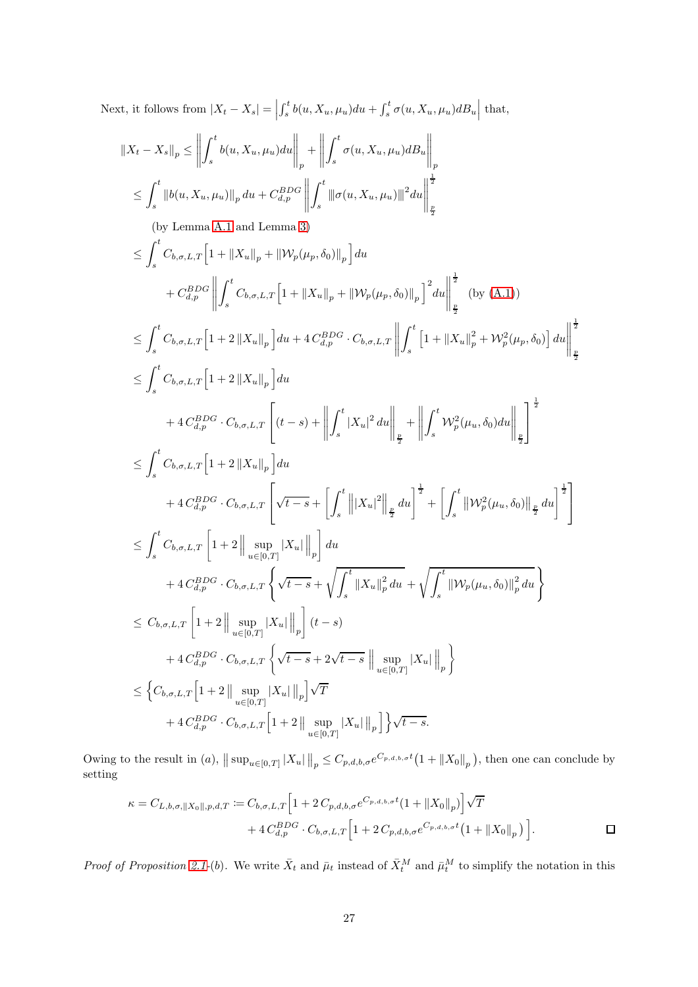Next, it follows from  $|X_t - X_s| =$  $\int_s^t b(u, X_u, \mu_u) du + \int_s^t \sigma(u, X_u, \mu_u) dB_u \Big|$  that,

$$
\begin{split} &\|X_{t}-X_{s}\|_{p} \leq \left\|\int_{s}^{t}b(u,X_{u},\mu_{u})du\right\|_{p}+\left\|\int_{s}^{t}\sigma(u,X_{u},\mu_{u})dB_{u}\right\|_{p} \\ &\leq \int_{s}^{t}\left\|b(u,X_{u},\mu_{u})\right\|_{p}du+C_{d,p}^{BDO}\left\|\int_{s}^{t}\left\|\sigma(u,X_{u},\mu_{u})\right\|^{2}du\right\|_{\frac{p}{2}}^{2} \\ &\text{(by Lemma A.1 and Lemma 3)}\\ &\leq \int_{s}^{t}C_{b,\sigma,L,T}\Big[1+\left\|X_{u}\right\|_{p}+\left\|{\mathcal W}_{p}(\mu_{p},\delta_{0})\right\|_{p}\Big]du \\ &\quad +C_{d,p}^{BDO}\left\|\int_{s}^{t}C_{b,\sigma,L,T}\Big[1+\left\|X_{u}\right\|_{p}+\left\|{\mathcal W}_{p}(\mu_{p},\delta_{0})\right\|_{p}\right]^{2}du\right\|_{\frac{p}{2}}^{2} \\ &\text{(by (A.1))}\\ &\leq \int_{s}^{t}C_{b,\sigma,L,T}\Big[1+2\left\|X_{u}\right\|_{p}\Big]du+4\,C_{d,p}^{BDO}\cdot C_{b,\sigma,L,T}\left\|\int_{s}^{t}\Big[1+\left\|X_{u}\right\|_{p}^{2}+{\mathcal W}_{p}^{2}(\mu_{p},\delta_{0})\right]du\right\|_{\frac{p}{2}}^{2} \\ &\leq \int_{s}^{t}C_{b,\sigma,L,T}\Big[1+2\left\|X_{u}\right\|_{p}\Big]du \\ &\quad +4\,C_{d,p}^{BDO}\cdot C_{b,\sigma,L,T}\Bigg[\left(t-s\right)+\left\|\int_{s}^{t}\left|X_{u}\right|^{2}du\right\|_{\frac{p}{2}}+\left\|\int_{s}^{t}{\mathcal W}_{p}^{2}(\mu_{u},\delta_{0})du\right\|_{\frac{p}{2}}\Bigg]^{1\over 2} \\ &\leq \int_{s}^{t}C_{b,\sigma,L,T}\Big[1+2\left\|X_{u}\right\|_{p}\Big]du \\ &\quad +4\,C_{d,p}^{BDO}\cdot C_{b,\sigma,L,T}\Bigg[\sqrt{t-s}+\left\|\int_{s}^{t}\
$$

Owing to the result in (a),  $||\sup_{u\in[0,T]}|X_u||_p \leq C_{p,d,b,\sigma}e^{C_{p,d,b,\sigma}t}(1+||X_0||_p)$ , then one can conclude by setting

$$
\kappa = C_{L,b,\sigma,\|X_0\|,p,d,T} := C_{b,\sigma,L,T} \Big[ 1 + 2 \, C_{p,d,b,\sigma} e^{C_{p,d,b,\sigma}t} (1 + \|X_0\|_p) \Big] \sqrt{T} + 4 \, C_{d,p}^{BDG} \cdot C_{b,\sigma,L,T} \Big[ 1 + 2 \, C_{p,d,b,\sigma} e^{C_{p,d,b,\sigma}t} \big( 1 + \|X_0\|_p \big) \Big].
$$

*Proof of Proposition [2.1-](#page-5-6)(b)*. We write  $\bar{X}_t$  and  $\bar{\mu}_t$  instead of  $\bar{X}_t^M$  and  $\bar{\mu}_t^M$  to simplify the notation in this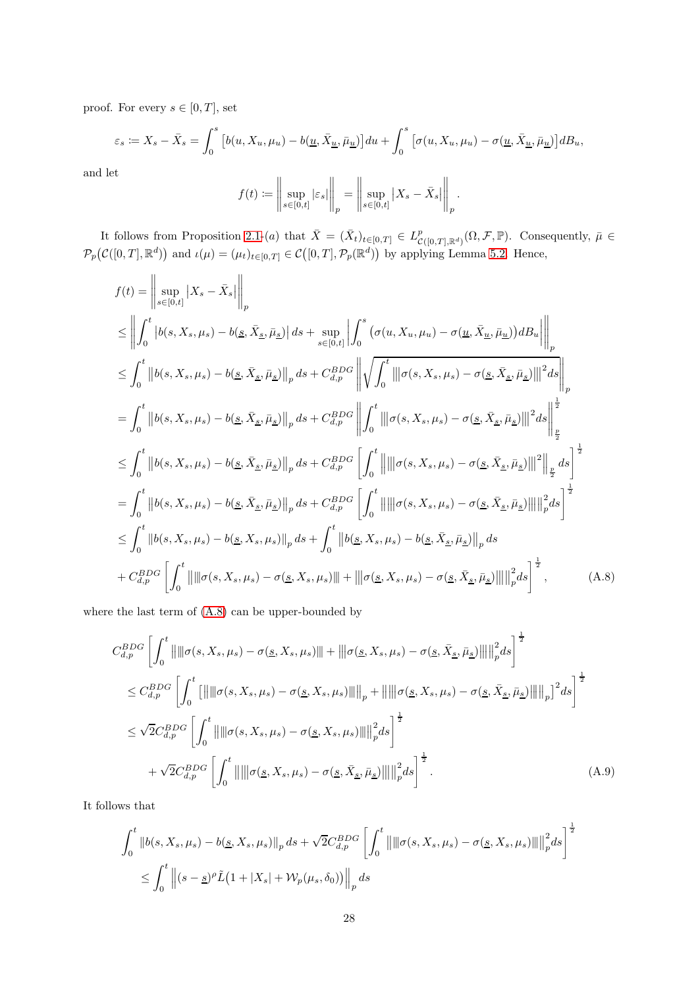proof. For every  $s \in [0, T]$ , set

$$
\varepsilon_s := X_s - \bar{X}_s = \int_0^s \left[ b(u, X_u, \mu_u) - b(\underline{u}, \bar{X}_{\underline{u}}, \bar{\mu}_{\underline{u}}) \right] du + \int_0^s \left[ \sigma(u, X_u, \mu_u) - \sigma(\underline{u}, \bar{X}_{\underline{u}}, \bar{\mu}_{\underline{u}}) \right] d_s,
$$

and let

$$
f(t) := \left\| \sup_{s \in [0,t]} |\varepsilon_s| \right\|_p = \left\| \sup_{s \in [0,t]} |X_s - \bar{X}_s| \right\|_p.
$$

It follows from Proposition [2.1-](#page-5-6)(a) that  $\bar{X} = (\bar{X}_t)_{t \in [0,T]} \in L^p_{\mathcal{C}([0,T],\mathbb{R}^d)}(\Omega,\mathcal{F},\mathbb{P})$ . Consequently,  $\bar{\mu} \in$  $\mathcal{P}_p(\mathcal{C}([0,T],\mathbb{R}^d))$  and  $\iota(\mu) = (\mu_t)_{t \in [0,T]} \in \mathcal{C}([0,T],\mathcal{P}_p(\mathbb{R}^d))$  by applying Lemma [5.2.](#page-17-0) Hence,

$$
f(t) = \left\| \sup_{s \in [0,t]} |X_s - \bar{X}_s| \right\|_p
$$
  
\n
$$
\leq \left\| \int_0^t |b(s, X_s, \mu_s) - b(\underline{s}, \bar{X}_\underline{s}, \bar{\mu}_\underline{s})| ds + \sup_{s \in [0,t]} \left| \int_0^s (\sigma(u, X_u, \mu_u) - \sigma(\underline{u}, \bar{X}_\underline{u}, \bar{\mu}_\underline{u})) dB_u \right| \right\|_p
$$
  
\n
$$
\leq \int_0^t \|b(s, X_s, \mu_s) - b(\underline{s}, \bar{X}_\underline{s}, \bar{\mu}_\underline{s})\|_p ds + C_{d,p}^{BDG} \left\| \sqrt{\int_0^t \|\sigma(s, X_s, \mu_s) - \sigma(\underline{s}, \bar{X}_\underline{s}, \bar{\mu}_\underline{s})\|_q^2 ds} \right\|_p
$$
  
\n
$$
= \int_0^t \|b(s, X_s, \mu_s) - b(\underline{s}, \bar{X}_\underline{s}, \bar{\mu}_\underline{s})\|_p ds + C_{d,p}^{BDG} \left\| \int_0^t \|\sigma(s, X_s, \mu_s) - \sigma(\underline{s}, \bar{X}_\underline{s}, \bar{\mu}_\underline{s})\|_q^2 ds \right\|_p^{\frac{1}{2}}
$$
  
\n
$$
\leq \int_0^t \|b(s, X_s, \mu_s) - b(\underline{s}, \bar{X}_\underline{s}, \bar{\mu}_\underline{s})\|_p ds + C_{d,p}^{BDG} \left[ \int_0^t \left\| \|\sigma(s, X_s, \mu_s) - \sigma(\underline{s}, \bar{X}_\underline{s}, \bar{\mu}_\underline{s})\|_q^2 ds \right\|_p^{\frac{1}{2}}
$$
  
\n
$$
= \int_0^t \|b(s, X_s, \mu_s) - b(\underline{s}, \bar{X}_\underline{s}, \bar{\mu}_\underline{s})\|_p ds + C_{d,p}^{BDG} \left[ \int_0^t \left\| \|\sigma(s, X_s, \mu_s) - \sigma(\underline{s}, \bar{X}_\underline{s}, \bar{\mu}_\underline{s})\| \|\|_p^2 ds \right\|_p^{\frac{1}{2}}
$$
  
\n
$$
\leq \int_0^t \|b(s, X_s, \mu_s) - b(\underline{s}, \bar{X}_
$$

where the last term of [\(A.8\)](#page-27-0) can be upper-bounded by

<span id="page-27-0"></span>
$$
C_{d,p}^{BDG} \left[ \int_0^t \left\| \left\| \sigma(s, X_s, \mu_s) - \sigma(\underline{s}, X_s, \mu_s) \right\| \right\| + \left\| \left\| \sigma(\underline{s}, X_s, \mu_s) - \sigma(\underline{s}, \bar{X}_s, \bar{\mu}_s) \right\| \right\|_p^2 ds \right]^{\frac{1}{2}}
$$
  
\n
$$
\leq C_{d,p}^{BDG} \left[ \int_0^t \left[ \left\| \left\| \sigma(s, X_s, \mu_s) - \sigma(\underline{s}, X_s, \mu_s) \right\| \right\|_p + \left\| \left\| \sigma(\underline{s}, X_s, \mu_s) - \sigma(\underline{s}, \bar{X}_s, \bar{\mu}_s) \right\| \right\|_p \right]^2 ds \right]^{\frac{1}{2}}
$$
  
\n
$$
\leq \sqrt{2} C_{d,p}^{BDG} \left[ \int_0^t \left\| \left\| \sigma(s, X_s, \mu_s) - \sigma(\underline{s}, X_s, \mu_s) \right\| \right\|_p^2 ds \right]^{\frac{1}{2}}
$$
  
\n
$$
+ \sqrt{2} C_{d,p}^{BDG} \left[ \int_0^t \left\| \left\| \left\| \sigma(\underline{s}, X_s, \mu_s) - \sigma(\underline{s}, \bar{X}_s, \bar{\mu}_s) \right\| \right\|_p^2 ds \right]^{\frac{1}{2}}.
$$
\n(A.9)

It follows that

<span id="page-27-1"></span>
$$
\int_0^t \|b(s, X_s, \mu_s) - b(\underline{s}, X_s, \mu_s)\|_p ds + \sqrt{2} C_{d,p}^{BDG} \left[ \int_0^t \left\| \|\sigma(s, X_s, \mu_s) - \sigma(\underline{s}, X_s, \mu_s)\| \right\|_p^2 ds \right]^{\frac{1}{2}}
$$
  

$$
\leq \int_0^t \left\| (s - \underline{s})^\rho \tilde{L} (1 + |X_s| + \mathcal{W}_p(\mu_s, \delta_0)) \right\|_p ds
$$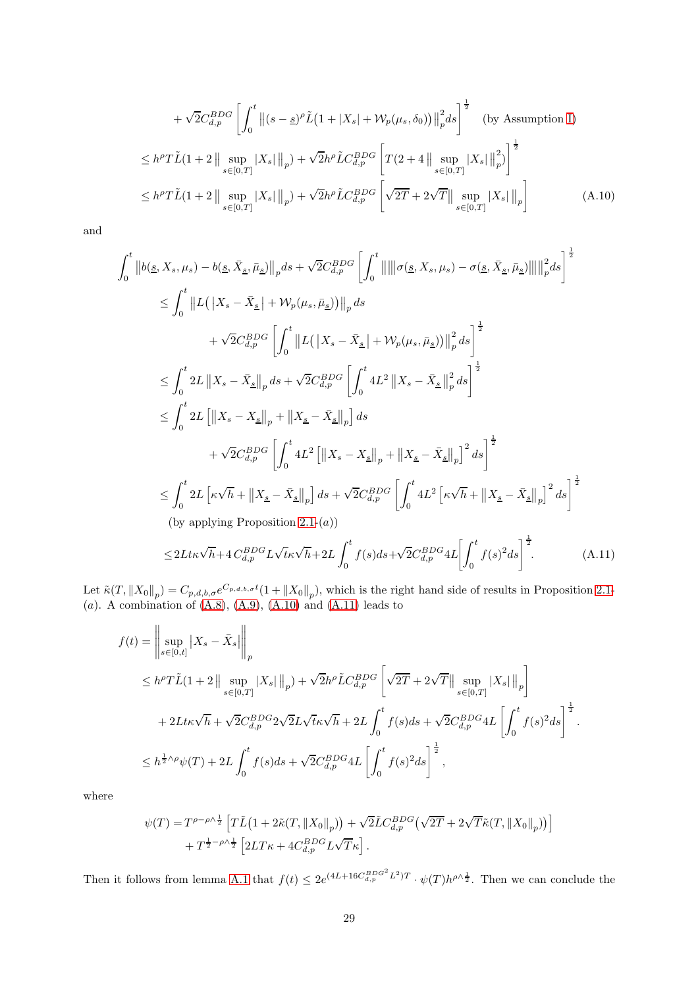$$
+\sqrt{2}C_{d,p}^{BDG}\left[\int_{0}^{t} \left\|(s-\underline{s})^{\rho}\tilde{L}\left(1+|X_{s}|+\mathcal{W}_{p}(\mu_{s},\delta_{0})\right)\right\|_{p}^{2}d s\right]^{\frac{1}{2}} \quad \text{(by Assumption I)}
$$
\n
$$
\leq h^{\rho}T\tilde{L}(1+2\left\|\sup_{s\in[0,T]}|X_{s}|\right\|_{p})+\sqrt{2}h^{\rho}\tilde{L}C_{d,p}^{BDG}\left[T(2+4\left\|\sup_{s\in[0,T]}|X_{s}|\right\|_{p}^{2})\right]^{\frac{1}{2}}
$$
\n
$$
\leq h^{\rho}T\tilde{L}(1+2\left\|\sup_{s\in[0,T]}|X_{s}|\right\|_{p})+\sqrt{2}h^{\rho}\tilde{L}C_{d,p}^{BDG}\left[\sqrt{2T}+2\sqrt{T}\right\|\sup_{s\in[0,T]}|X_{s}|\right\|_{p}\right]
$$
\n(A.10)

and

$$
\int_{0}^{t} \left\|b(\underline{s}, X_{s}, \mu_{s}) - b(\underline{s}, \bar{X}_{\underline{s}}, \bar{\mu}_{\underline{s}})\right\|_{p} ds + \sqrt{2}C_{d,p}^{BDG} \left[\int_{0}^{t} \left\|\left\|\left\|\sigma(\underline{s}, X_{s}, \mu_{s}) - \sigma(\underline{s}, \bar{X}_{\underline{s}}, \bar{\mu}_{\underline{s}})\right\|\right\|_{p}^{2} ds\right\|^{2}
$$
\n
$$
\leq \int_{0}^{t} \left\|L\left(\left|X_{s} - \bar{X}_{\underline{s}}\right| + \mathcal{W}_{p}(\mu_{s}, \bar{\mu}_{\underline{s}})\right)\right\|_{p} ds
$$
\n
$$
+ \sqrt{2}C_{d,p}^{BDG} \left[\int_{0}^{t} \left\|L\left(\left|X_{s} - \bar{X}_{\underline{s}}\right| + \mathcal{W}_{p}(\mu_{s}, \bar{\mu}_{\underline{s}})\right)\right\|_{p}^{2} ds\right]^{2}
$$
\n
$$
\leq \int_{0}^{t} 2L \left\|X_{s} - \bar{X}_{\underline{s}}\right\|_{p} ds + \sqrt{2}C_{d,p}^{BDG} \left[\int_{0}^{t} 4L^{2} \left\|X_{s} - \bar{X}_{\underline{s}}\right\|_{p}^{2} ds\right]^{2}
$$
\n
$$
\leq \int_{0}^{t} 2L \left[\left\|X_{s} - X_{\underline{s}}\right\|_{p} + \left\|X_{\underline{s}} - \bar{X}_{\underline{s}}\right\|_{p}\right] ds
$$
\n
$$
+ \sqrt{2}C_{d,p}^{BDG} \left[\int_{0}^{t} 4L^{2} \left[\left\|X_{s} - X_{\underline{s}}\right\|_{p} + \left\|X_{\underline{s}} - \bar{X}_{\underline{s}}\right\|_{p}\right]^{2} ds\right]^{2}
$$
\n
$$
\leq \int_{0}^{t} 2L \left[\kappa \sqrt{h} + \left\|X_{\underline{s}} - \bar{X}_{\underline{s}}\right\|_{p}\right] ds + \sqrt{2}C_{d,p}^{BDG} \left[\int_{0}^{t} 4L^{2} \left[\kappa \sqrt{h} + \left\|X_{\underline{s}} - \bar{X}_{\underline{s}}\right\
$$

 $\mathbf{0}$  $\mathbf{0}$ Let  $\tilde{\kappa}(T, \|X_0\|_p) = C_{p,d,b,\sigma} e^{C_{p,d,b,\sigma}t} (1 + \|X_0\|_p)$ , which is the right hand side of results in Proposition [2.1-](#page-5-6) (a). A combination of  $(A.8)$ ,  $(A.9)$ ,  $(A.10)$  and  $(A.11)$  leads to

<span id="page-28-1"></span><span id="page-28-0"></span> $(A.11)$ 

$$
f(t) = \left\| \sup_{s \in [0,t]} |X_s - \bar{X}_s| \right\|_p
$$
  
\n
$$
\leq h^{\rho} T \tilde{L} (1+2 \left\| \sup_{s \in [0,T]} |X_s| \right\|_p) + \sqrt{2} h^{\rho} \tilde{L} C_{d,p}^{BDG} \left[ \sqrt{2T} + 2\sqrt{T} \right\| \sup_{s \in [0,T]} |X_s| \left\|_p \right]
$$
  
\n
$$
+ 2L t \kappa \sqrt{h} + \sqrt{2} C_{d,p}^{BDG} 2\sqrt{2} L \sqrt{t} \kappa \sqrt{h} + 2L \int_0^t f(s) ds + \sqrt{2} C_{d,p}^{BDG} 4L \left[ \int_0^t f(s)^2 ds \right]^{\frac{1}{2}}.
$$
  
\n
$$
\leq h^{\frac{1}{2} \wedge \rho} \psi(T) + 2L \int_0^t f(s) ds + \sqrt{2} C_{d,p}^{BDG} 4L \left[ \int_0^t f(s)^2 ds \right]^{\frac{1}{2}},
$$

where

$$
\psi(T) = T^{\rho - \rho \wedge \frac{1}{2}} \left[ T \tilde{L} \left( 1 + 2 \tilde{\kappa}(T, \|X_0\|_p) \right) + \sqrt{2} \tilde{L} C_{d,p}^{BDG} \left( \sqrt{2T} + 2 \sqrt{T} \tilde{\kappa}(T, \|X_0\|_p) \right) \right] + T^{\frac{1}{2} - \rho \wedge \frac{1}{2}} \left[ 2LT\kappa + 4C_{d,p}^{BDG} L \sqrt{T} \kappa \right].
$$

Then it follows from lemma [A.1](#page-22-3) that  $f(t) \leq 2e^{(4L+16C_{d,p}^{BDG^2}L^2)T} \cdot \psi(T)h^{\rho\wedge \frac{1}{2}}$ . Then we can conclude the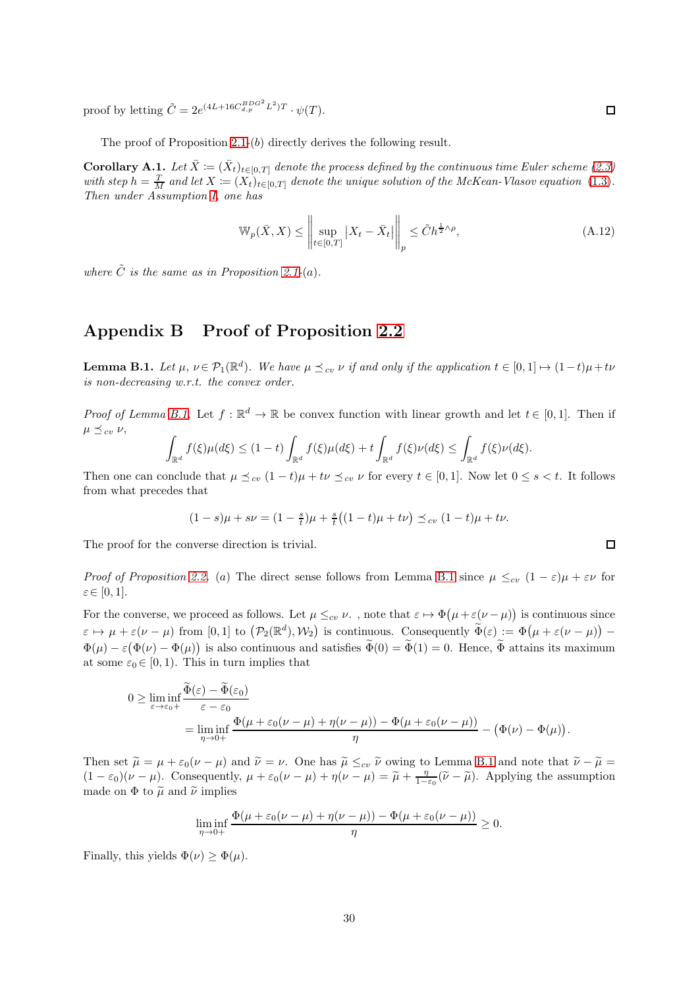proof by letting  $\tilde{C} = 2e^{(4L+16C_{d,p}^{BDG^2}L^2)T} \cdot \psi(T)$ .

The proof of Proposition [2.1-](#page-5-6)(b) directly derives the following result.

**Corollary A.1.** Let  $\bar{X} := (\bar{X}_t)_{t \in [0,T]}$  denote the process defined by the continuous time Euler scheme [\(2.3\)](#page-5-4) with step  $h = \frac{T}{M}$  and let  $X := (X_t)_{t \in [0,T]}$  denote the unique solution of the McKean-Vlasov equation [\(1](#page-1-1).3). Then under Assumption [I,](#page-2-2) one has

$$
\mathbb{W}_p(\bar{X}, X) \le \left\| \sup_{t \in [0, T]} |X_t - \bar{X}_t| \right\|_p \le \tilde{C} h^{\frac{1}{2} \wedge \rho}, \tag{A.12}
$$

where  $\tilde{C}$  is the same as in Proposition [2.1-](#page-5-6)(a).

## <span id="page-29-0"></span>Appendix B Proof of Proposition [2.2](#page-6-3)

<span id="page-29-1"></span>**Lemma B.1.** Let  $\mu$ ,  $\nu \in \mathcal{P}_1(\mathbb{R}^d)$ . We have  $\mu \leq_{cv} \nu$  if and only if the application  $t \in [0,1] \mapsto (1-t)\mu + t\nu$ is non-decreasing w.r.t. the convex order.

*Proof of Lemma [B.1.](#page-29-1)* Let  $f : \mathbb{R}^d \to \mathbb{R}$  be convex function with linear growth and let  $t \in [0,1]$ . Then if  $\mu \preceq_{cv} \nu$ ,

$$
\int_{\mathbb{R}^d} f(\xi) \mu(d\xi) \le (1-t) \int_{\mathbb{R}^d} f(\xi) \mu(d\xi) + t \int_{\mathbb{R}^d} f(\xi) \nu(d\xi) \le \int_{\mathbb{R}^d} f(\xi) \nu(d\xi).
$$

Then one can conclude that  $\mu \preceq_{cv} (1-t)\mu + t\nu \preceq_{cv} \nu$  for every  $t \in [0,1]$ . Now let  $0 \leq s < t$ . It follows from what precedes that

$$
(1-s)\mu + s\nu = (1-\frac{s}{t})\mu + \frac{s}{t}\left((1-t)\mu + t\nu\right) \preceq_{cv} (1-t)\mu + t\nu.
$$

The proof for the converse direction is trivial.

*Proof of Proposition [2.2.](#page-6-3)* (a) The direct sense follows from Lemma [B.1](#page-29-1) since  $\mu \leq_{cv} (1 - \varepsilon)\mu + \varepsilon\nu$  for  $\varepsilon \in [0, 1].$ 

For the converse, we proceed as follows. Let  $\mu \leq_{cv} \nu$ , note that  $\varepsilon \mapsto \Phi(\mu + \varepsilon(\nu - \mu))$  is continuous since  $\varepsilon \mapsto \mu + \varepsilon(\nu - \mu)$  from  $[0, 1]$  to  $(\mathcal{P}_2(\mathbb{R}^d), \mathcal{W}_2)$  is continuous. Consequently  $\widetilde{\Phi}(\varepsilon) := \Phi(\mu + \varepsilon(\nu - \mu))$  - $\Phi(\mu) - \varepsilon(\Phi(\nu) - \Phi(\mu))$  is also continuous and satisfies  $\widetilde{\Phi}(0) = \widetilde{\Phi}(1) = 0$ . Hence,  $\widetilde{\Phi}$  attains its maximum at some  $\varepsilon_0 \in [0, 1)$ . This in turn implies that

$$
0 \geq \liminf_{\varepsilon \to \varepsilon_0+} \frac{\Phi(\varepsilon) - \Phi(\varepsilon_0)}{\varepsilon - \varepsilon_0}
$$
  
= 
$$
\liminf_{\eta \to 0+} \frac{\Phi(\mu + \varepsilon_0(\nu - \mu) + \eta(\nu - \mu)) - \Phi(\mu + \varepsilon_0(\nu - \mu))}{\eta} - (\Phi(\nu) - \Phi(\mu)).
$$

Then set  $\tilde{\mu} = \mu + \varepsilon_0(\nu - \mu)$  and  $\tilde{\nu} = \nu$ . One has  $\tilde{\mu} \leq_{cv} \tilde{\nu}$  owing to Lemma [B.1](#page-29-1) and note that  $\tilde{\nu} - \tilde{\mu} =$  $(1 - \varepsilon_0)(\nu - \mu)$ . Consequently,  $\mu + \varepsilon_0(\nu - \mu) + \eta(\nu - \mu) = \tilde{\mu} + \frac{\eta}{1 - \varepsilon_0}(\tilde{\nu} - \tilde{\mu})$ . Applying the assumption made on  $\Phi$  to  $\tilde{\mu}$  and  $\tilde{\nu}$  implies

$$
\liminf_{\eta \to 0+} \frac{\Phi(\mu + \varepsilon_0(\nu - \mu) + \eta(\nu - \mu)) - \Phi(\mu + \varepsilon_0(\nu - \mu))}{\eta} \ge 0.
$$

Finally, this yields  $\Phi(\nu) > \Phi(\mu)$ .

 $\Box$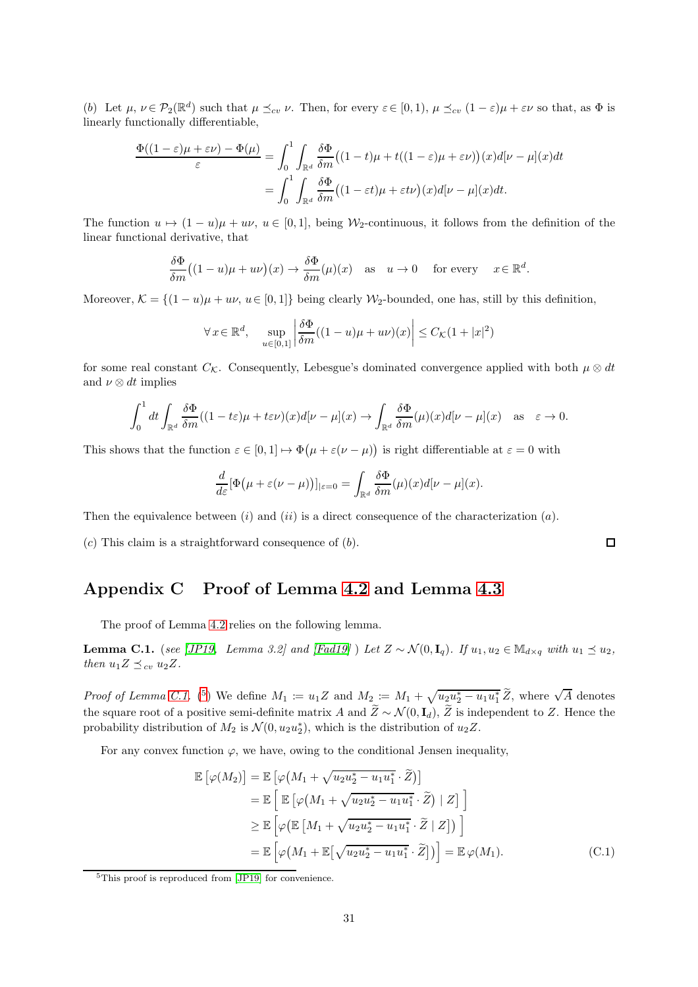(b) Let  $\mu, \nu \in \mathcal{P}_2(\mathbb{R}^d)$  such that  $\mu \preceq_{cv} \nu$ . Then, for every  $\varepsilon \in [0,1)$ ,  $\mu \preceq_{cv} (1-\varepsilon)\mu + \varepsilon \nu$  so that, as  $\Phi$  is linearly functionally differentiable,

$$
\frac{\Phi((1-\varepsilon)\mu + \varepsilon\nu) - \Phi(\mu)}{\varepsilon} = \int_0^1 \int_{\mathbb{R}^d} \frac{\delta\Phi}{\delta m} \big( (1-t)\mu + t((1-\varepsilon)\mu + \varepsilon\nu) \big)(x) d[\nu - \mu](x) dt
$$

$$
= \int_0^1 \int_{\mathbb{R}^d} \frac{\delta\Phi}{\delta m} \big( (1-\varepsilon t)\mu + \varepsilon t\nu \big)(x) d[\nu - \mu](x) dt.
$$

The function  $u \mapsto (1 - u)\mu + u\nu$ ,  $u \in [0, 1]$ , being W<sub>2</sub>-continuous, it follows from the definition of the linear functional derivative, that

$$
\frac{\delta\Phi}{\delta m}\big((1-u)\mu+u\nu\big)(x)\to\frac{\delta\Phi}{\delta m}(\mu)(x)\quad\text{as}\quad u\to 0\quad\text{ for every }\quad x\in\mathbb{R}^d.
$$

Moreover,  $\mathcal{K} = \{(1-u)\mu + uv, u \in [0,1]\}$  being clearly W<sub>2</sub>-bounded, one has, still by this definition,

$$
\forall x \in \mathbb{R}^d, \quad \sup_{u \in [0,1]} \left| \frac{\delta \Phi}{\delta m} ((1-u)\mu + u\nu)(x) \right| \le C_{\mathcal{K}} (1+|x|^2)
$$

for some real constant  $C_K$ . Consequently, Lebesgue's dominated convergence applied with both  $\mu \otimes dt$ and  $\nu \otimes dt$  implies

$$
\int_0^1 dt \int_{\mathbb{R}^d} \frac{\delta \Phi}{\delta m} ((1 - t\varepsilon)\mu + t\varepsilon \nu)(x) d[\nu - \mu](x) \to \int_{\mathbb{R}^d} \frac{\delta \Phi}{\delta m} (\mu)(x) d[\nu - \mu](x) \quad \text{as} \quad \varepsilon \to 0.
$$

This shows that the function  $\varepsilon \in [0,1] \mapsto \Phi(\mu + \varepsilon(\nu - \mu))$  is right differentiable at  $\varepsilon = 0$  with

$$
\frac{d}{d\varepsilon}[\Phi(\mu + \varepsilon(\nu - \mu))]_{|\varepsilon = 0} = \int_{\mathbb{R}^d} \frac{\delta \Phi}{\delta m}(\mu)(x) d[\nu - \mu](x).
$$

Then the equivalence between (i) and (ii) is a direct consequence of the characterization  $(a)$ .

<span id="page-30-0"></span> $(c)$  This claim is a straightforward consequence of  $(b)$ .

# Appendix C Proof of Lemma [4.2](#page-11-2) and Lemma [4.3](#page-11-1)

The proof of Lemma [4.2](#page-11-2) relies on the following lemma.

<span id="page-30-1"></span>**Lemma C.1.** (see [\[JP19,](#page-21-4) Lemma 3.2] and [\[Fad19\]](#page-21-17) ) Let  $Z \sim \mathcal{N}(0, \mathbf{I}_q)$ . If  $u_1, u_2 \in \mathbb{M}_{d \times q}$  with  $u_1 \preceq u_2$ , then  $u_1Z \preceq_{cv} u_2Z$ .

*Proof of Lemma [C.1.](#page-30-1)* (<sup>[5](#page-30-2)</sup>) We define  $M_1 := u_1 Z$  and  $M_2 := M_1 + \sqrt{u_2 u_2^* - u_1 u_1^*} \widetilde{Z}$ , where  $\sqrt{A}$  denotes the square root of a positive semi-definite matrix A and  $\widetilde{Z} \sim \mathcal{N}(0, \mathbf{I}_d)$ ,  $\widetilde{Z}$  is independent to Z. Hence the probability distribution of  $M_2$  is  $\mathcal{N}(0, u_2u_2^*)$ , which is the distribution of  $u_2Z$ .

For any convex function  $\varphi$ , we have, owing to the conditional Jensen inequality,

$$
\mathbb{E}\left[\varphi(M_2)\right] = \mathbb{E}\left[\varphi\left(M_1 + \sqrt{u_2 u_2^* - u_1 u_1^*} \cdot \widetilde{Z}\right)\right]
$$
  
\n
$$
= \mathbb{E}\left[\mathbb{E}\left[\varphi\left(M_1 + \sqrt{u_2 u_2^* - u_1 u_1^*} \cdot \widetilde{Z}\right) \mid Z\right]\right]
$$
  
\n
$$
\geq \mathbb{E}\left[\varphi\left(\mathbb{E}\left[M_1 + \sqrt{u_2 u_2^* - u_1 u_1^*} \cdot \widetilde{Z} \mid Z\right]\right)\right]
$$
  
\n
$$
= \mathbb{E}\left[\varphi\left(M_1 + \mathbb{E}\left[\sqrt{u_2 u_2^* - u_1 u_1^*} \cdot \widetilde{Z}\right]\right)\right] = \mathbb{E}\varphi(M_1).
$$
 (C.1)

<span id="page-30-2"></span><sup>5</sup>This proof is reproduced from [\[JP19\]](#page-21-4) for convenience.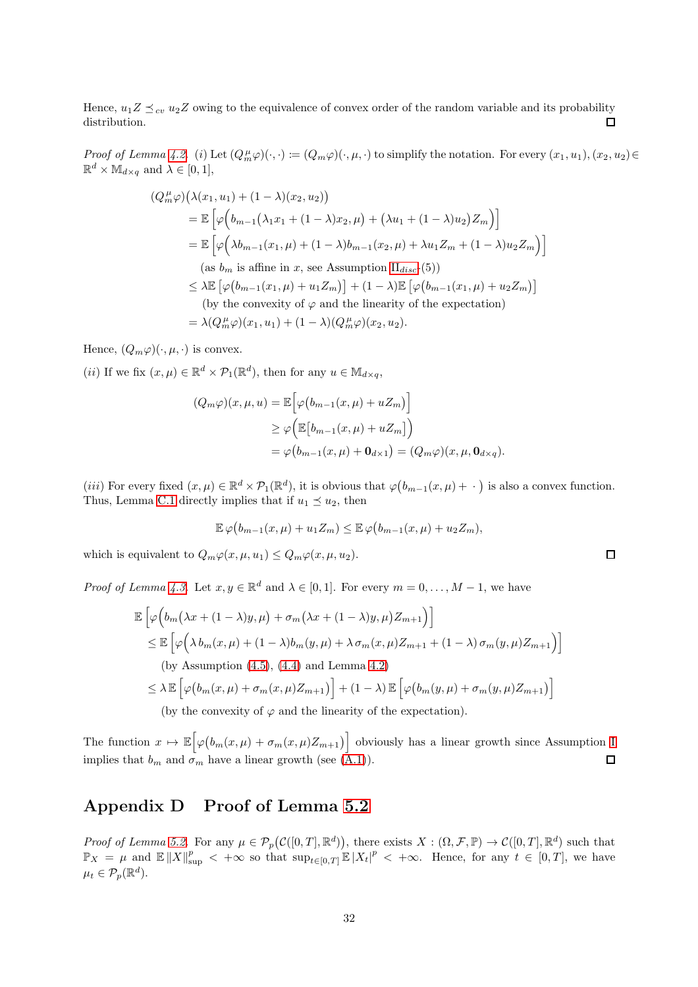Hence,  $u_1 Z \preceq_{cv} u_2 Z$  owing to the equivalence of convex order of the random variable and its probability distribution. distribution.

Proof of Lemma [4.2.](#page-11-2) (i) Let  $(Q_m^{\mu}\varphi)(\cdot,\cdot) \coloneqq (Q_m\varphi)(\cdot,\mu,\cdot)$  to simplify the notation. For every  $(x_1,u_1), (x_2,u_2) \in$  $\mathbb{R}^d \times \mathbb{M}_{d \times q}$  and  $\lambda \in [0, 1],$ 

$$
(Q_m^{\mu}\varphi)\big(\lambda(x_1, u_1) + (1 - \lambda)(x_2, u_2)\big)
$$
  
=  $\mathbb{E}\big[\varphi\Big(b_{m-1}\big(\lambda_1x_1 + (1 - \lambda)x_2, \mu\big) + \big(\lambda u_1 + (1 - \lambda)u_2\big)Z_m\big)\big]$   
=  $\mathbb{E}\big[\varphi\Big(\lambda b_{m-1}(x_1, \mu) + (1 - \lambda)b_{m-1}(x_2, \mu) + \lambda u_1 Z_m + (1 - \lambda)u_2 Z_m\big)\big]$   
(as  $b_m$  is affine in  $x$ , see Assumption II<sub>disc</sub>-(5))  
 $\leq \lambda \mathbb{E}\big[\varphi\Big(b_{m-1}(x_1, \mu) + u_1 Z_m\big)\big] + (1 - \lambda)\mathbb{E}\big[\varphi\Big(b_{m-1}(x_1, \mu) + u_2 Z_m\big)\big]$   
(by the convexity of  $\varphi$  and the linearity of the expectation)  
=  $\lambda(Q_m^{\mu}\varphi)(x_1, u_1) + (1 - \lambda)(Q_m^{\mu}\varphi)(x_2, u_2).$ 

Hence,  $(Q_m \varphi)(\cdot, \mu, \cdot)$  is convex.

(*ii*) If we fix  $(x, \mu) \in \mathbb{R}^d \times \mathcal{P}_1(\mathbb{R}^d)$ , then for any  $u \in \mathbb{M}_{d \times q}$ ,

$$
(Q_m \varphi)(x, \mu, u) = \mathbb{E}\Big[\varphi(b_{m-1}(x,\mu) + uZ_m)\Big]
$$
  
\n
$$
\geq \varphi\Big(\mathbb{E}\big[b_{m-1}(x,\mu) + uZ_m\big]\Big)
$$
  
\n
$$
= \varphi\big(b_{m-1}(x,\mu) + \mathbf{0}_{d\times 1}\big) = (Q_m \varphi)(x, \mu, \mathbf{0}_{d\times q}).
$$

(*iii*) For every fixed  $(x, \mu) \in \mathbb{R}^d \times \mathcal{P}_1(\mathbb{R}^d)$ , it is obvious that  $\varphi(b_{m-1}(x,\mu)+\cdot)$  is also a convex function. Thus, Lemma [C.1](#page-30-1) directly implies that if  $u_1 \preceq u_2$ , then

$$
\mathbb{E}\,\varphi\big(b_{m-1}(x,\mu)+u_1Z_m\big)\leq \mathbb{E}\,\varphi\big(b_{m-1}(x,\mu)+u_2Z_m\big),
$$

which is equivalent to  $Q_m\varphi(x,\mu,u_1) \leq Q_m\varphi(x,\mu,u_2)$ .

*Proof of Lemma [4.3.](#page-11-1)* Let  $x, y \in \mathbb{R}^d$  and  $\lambda \in [0, 1]$ . For every  $m = 0, \ldots, M - 1$ , we have

$$
\mathbb{E}\left[\varphi\Big(b_m\big(\lambda x + (1-\lambda)y,\mu\big) + \sigma_m\big(\lambda x + (1-\lambda)y,\mu\big)Z_{m+1}\Big)\right]
$$
\n
$$
\leq \mathbb{E}\left[\varphi\Big(\lambda b_m(x,\mu) + (1-\lambda)b_m(y,\mu) + \lambda\sigma_m(x,\mu)Z_{m+1} + (1-\lambda)\sigma_m(y,\mu)Z_{m+1}\Big)\right]
$$
\n(by Assumption (4.5), (4.4) and Lemma 4.2)\n
$$
\leq \lambda \mathbb{E}\left[\varphi\big(b_m(x,\mu) + \sigma_m(x,\mu)Z_{m+1}\big)\right] + (1-\lambda)\mathbb{E}\left[\varphi\big(b_m(y,\mu) + \sigma_m(y,\mu)Z_{m+1}\big)\right]
$$
\n(by the convexity of  $\varphi$  and the linearity of the expectation).

The function  $x \mapsto \mathbb{E}\Big[\varphi\big(b_m(x,\mu) + \sigma_m(x,\mu)Z_{m+1}\big)\Big]$  obviously has a linear growth since Assumption [I](#page-2-2) implies that  $b_m$  and  $\sigma_m$  have a linear growth (see [\(A.1\)](#page-22-1)).  $\Box$ 

## <span id="page-31-0"></span>Appendix D Proof of Lemma [5.2](#page-17-0)

Proof of Lemma [5.2.](#page-17-0) For any  $\mu \in \mathcal{P}_p(\mathcal{C}([0,T],\mathbb{R}^d))$ , there exists  $X: (\Omega,\mathcal{F},\mathbb{P}) \to \mathcal{C}([0,T],\mathbb{R}^d)$  such that  $\mathbb{P}_X = \mu$  and  $\mathbb{E} \|X\|_{\sup}^p < +\infty$  so that  $\sup_{t \in [0,T]} \mathbb{E} |X_t|^p < +\infty$ . Hence, for any  $t \in [0,T]$ , we have  $\mu_t \in \mathcal{P}_p(\mathbb{R}^d).$